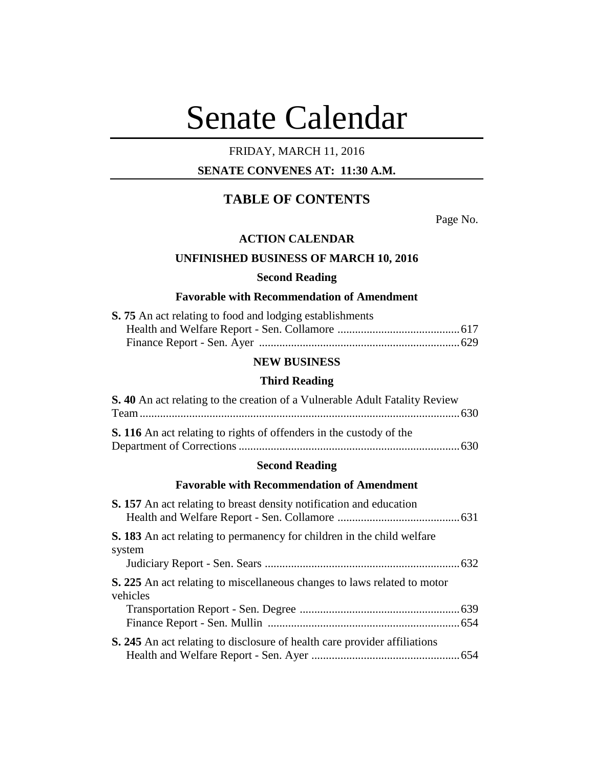# Senate Calendar

# FRIDAY, MARCH 11, 2016

# **SENATE CONVENES AT: 11:30 A.M.**

# **TABLE OF CONTENTS**

Page No.

## **ACTION CALENDAR**

# **UNFINISHED BUSINESS OF MARCH 10, 2016**

#### **Second Reading**

# **Favorable with Recommendation of Amendment**

| <b>S. 75</b> An act relating to food and lodging establishments |  |
|-----------------------------------------------------------------|--|
|                                                                 |  |
|                                                                 |  |

## **NEW BUSINESS**

# **Third Reading**

| S. 40 An act relating to the creation of a Vulnerable Adult Fatality Review |  |
|-----------------------------------------------------------------------------|--|
|                                                                             |  |
| <b>S. 116</b> An act relating to rights of offenders in the custody of the  |  |
|                                                                             |  |

# **Second Reading**

## **Favorable with Recommendation of Amendment**

| <b>S. 157</b> An act relating to breast density notification and education                  |  |
|---------------------------------------------------------------------------------------------|--|
| <b>S. 183</b> An act relating to permanency for children in the child welfare<br>system     |  |
| <b>S. 225</b> An act relating to miscellaneous changes to laws related to motor<br>vehicles |  |
| <b>S. 245</b> An act relating to disclosure of health care provider affiliations            |  |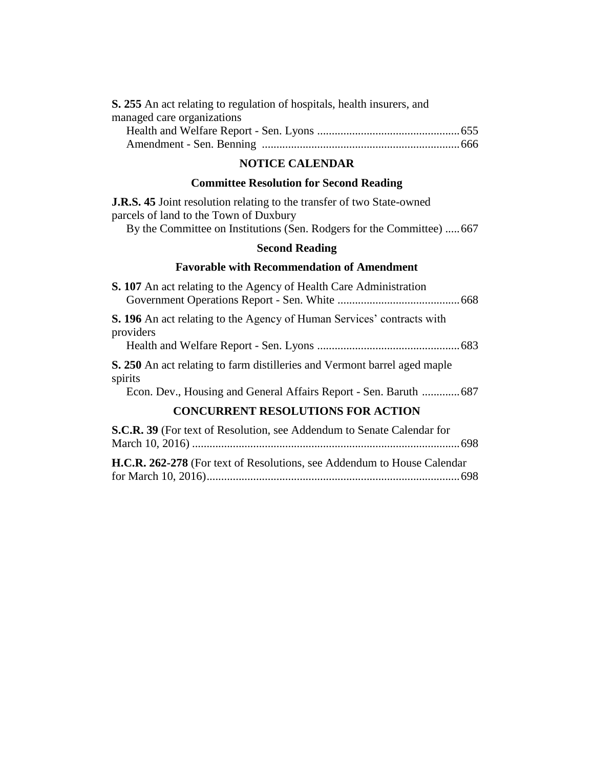| <b>S.</b> 255 An act relating to regulation of hospitals, health insurers, and |  |
|--------------------------------------------------------------------------------|--|
| managed care organizations                                                     |  |
|                                                                                |  |
|                                                                                |  |

# **NOTICE CALENDAR**

# **Committee Resolution for Second Reading**

| <b>J.R.S. 45</b> Joint resolution relating to the transfer of two State-owned |  |
|-------------------------------------------------------------------------------|--|
| parcels of land to the Town of Duxbury                                        |  |

By the Committee on Institutions (Sen. Rodgers for the Committee) .....667

# **Second Reading**

# **Favorable with Recommendation of Amendment**

| <b>S. 107</b> An act relating to the Agency of Health Care Administration                                                                                |      |
|----------------------------------------------------------------------------------------------------------------------------------------------------------|------|
| <b>S. 196</b> An act relating to the Agency of Human Services' contracts with<br>providers                                                               |      |
| S. 250 An act relating to farm distilleries and Vermont barrel aged maple<br>spirits<br>Econ. Dev., Housing and General Affairs Report - Sen. Baruth 687 |      |
| <b>CONCURRENT RESOLUTIONS FOR ACTION</b>                                                                                                                 |      |
| S.C.R. 39 (For text of Resolution, see Addendum to Senate Calendar for                                                                                   | .698 |

**H.C.R. 262-278** (For text of Resolutions, see Addendum to House Calendar for March 10, 2016).......................................................................................698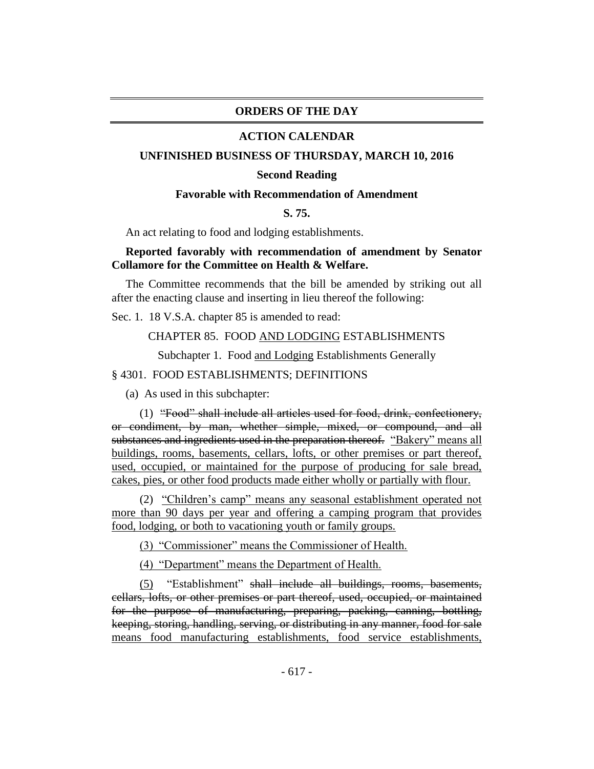# **ORDERS OF THE DAY**

## **ACTION CALENDAR**

## **UNFINISHED BUSINESS OF THURSDAY, MARCH 10, 2016**

#### **Second Reading**

# **Favorable with Recommendation of Amendment**

# **S. 75.**

An act relating to food and lodging establishments.

# **Reported favorably with recommendation of amendment by Senator Collamore for the Committee on Health & Welfare.**

The Committee recommends that the bill be amended by striking out all after the enacting clause and inserting in lieu thereof the following:

Sec. 1. 18 V.S.A. chapter 85 is amended to read:

# CHAPTER 85. FOOD AND LODGING ESTABLISHMENTS

Subchapter 1. Food and Lodging Establishments Generally

## § 4301. FOOD ESTABLISHMENTS; DEFINITIONS

(a) As used in this subchapter:

(1) "Food" shall include all articles used for food, drink, confectionery, or condiment, by man, whether simple, mixed, or compound, and all substances and ingredients used in the preparation thereof. "Bakery" means all buildings, rooms, basements, cellars, lofts, or other premises or part thereof, used, occupied, or maintained for the purpose of producing for sale bread, cakes, pies, or other food products made either wholly or partially with flour.

(2) "Children's camp" means any seasonal establishment operated not more than 90 days per year and offering a camping program that provides food, lodging, or both to vacationing youth or family groups.

(3) "Commissioner" means the Commissioner of Health.

(4) "Department" means the Department of Health.

(5) "Establishment" shall include all buildings, rooms, basements, cellars, lofts, or other premises or part thereof, used, occupied, or maintained for the purpose of manufacturing, preparing, packing, canning, bottling, keeping, storing, handling, serving, or distributing in any manner, food for sale means food manufacturing establishments, food service establishments,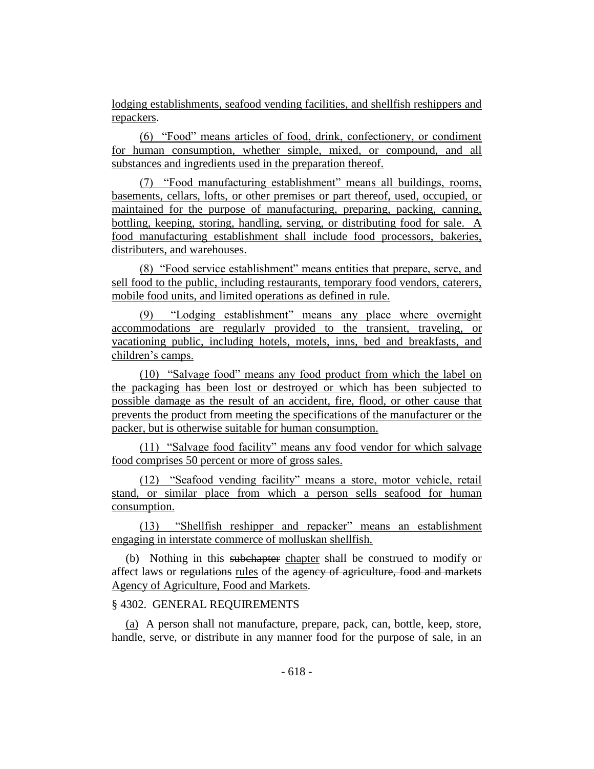lodging establishments, seafood vending facilities, and shellfish reshippers and repackers.

(6) "Food" means articles of food, drink, confectionery, or condiment for human consumption, whether simple, mixed, or compound, and all substances and ingredients used in the preparation thereof.

(7) "Food manufacturing establishment" means all buildings, rooms, basements, cellars, lofts, or other premises or part thereof, used, occupied, or maintained for the purpose of manufacturing, preparing, packing, canning, bottling, keeping, storing, handling, serving, or distributing food for sale. A food manufacturing establishment shall include food processors, bakeries, distributers, and warehouses.

(8) "Food service establishment" means entities that prepare, serve, and sell food to the public, including restaurants, temporary food vendors, caterers, mobile food units, and limited operations as defined in rule.

(9) "Lodging establishment" means any place where overnight accommodations are regularly provided to the transient, traveling, or vacationing public, including hotels, motels, inns, bed and breakfasts, and children's camps.

(10) "Salvage food" means any food product from which the label on the packaging has been lost or destroyed or which has been subjected to possible damage as the result of an accident, fire, flood, or other cause that prevents the product from meeting the specifications of the manufacturer or the packer, but is otherwise suitable for human consumption.

(11) "Salvage food facility" means any food vendor for which salvage food comprises 50 percent or more of gross sales.

(12) "Seafood vending facility" means a store, motor vehicle, retail stand, or similar place from which a person sells seafood for human consumption.

(13) "Shellfish reshipper and repacker" means an establishment engaging in interstate commerce of molluskan shellfish.

(b) Nothing in this subchapter chapter shall be construed to modify or affect laws or regulations rules of the agency of agriculture, food and markets Agency of Agriculture, Food and Markets.

# § 4302. GENERAL REQUIREMENTS

(a) A person shall not manufacture, prepare, pack, can, bottle, keep, store, handle, serve, or distribute in any manner food for the purpose of sale, in an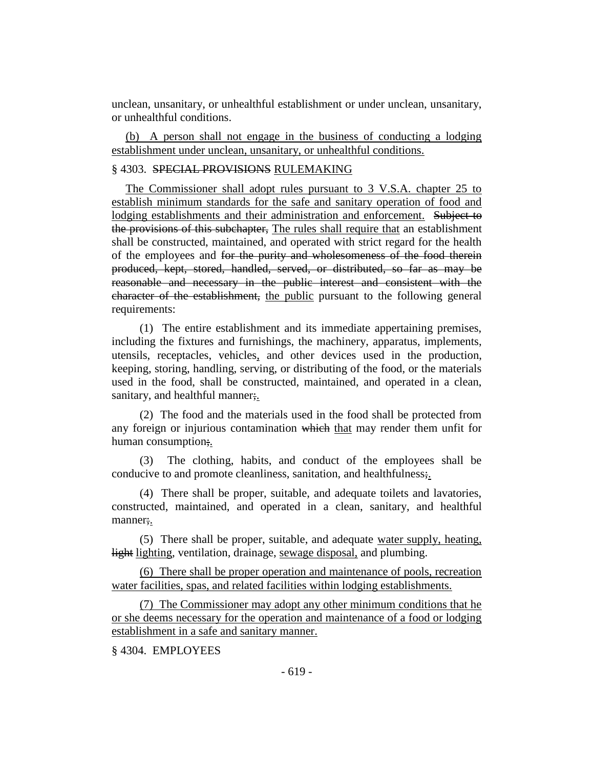unclean, unsanitary, or unhealthful establishment or under unclean, unsanitary, or unhealthful conditions.

(b) A person shall not engage in the business of conducting a lodging establishment under unclean, unsanitary, or unhealthful conditions.

# § 4303. SPECIAL PROVISIONS RULEMAKING

The Commissioner shall adopt rules pursuant to 3 V.S.A. chapter 25 to establish minimum standards for the safe and sanitary operation of food and lodging establishments and their administration and enforcement. Subject to the provisions of this subchapter, The rules shall require that an establishment shall be constructed, maintained, and operated with strict regard for the health of the employees and for the purity and wholesomeness of the food therein produced, kept, stored, handled, served, or distributed, so far as may be reasonable and necessary in the public interest and consistent with the character of the establishment, the public pursuant to the following general requirements:

(1) The entire establishment and its immediate appertaining premises, including the fixtures and furnishings, the machinery, apparatus, implements, utensils, receptacles, vehicles, and other devices used in the production, keeping, storing, handling, serving, or distributing of the food, or the materials used in the food, shall be constructed, maintained, and operated in a clean, sanitary, and healthful manner;

(2) The food and the materials used in the food shall be protected from any foreign or injurious contamination which that may render them unfit for human consumption.

(3) The clothing, habits, and conduct of the employees shall be conducive to and promote cleanliness, sanitation, and healthfulness;.

(4) There shall be proper, suitable, and adequate toilets and lavatories, constructed, maintained, and operated in a clean, sanitary, and healthful manner;.

(5) There shall be proper, suitable, and adequate water supply, heating, light lighting, ventilation, drainage, sewage disposal, and plumbing.

(6) There shall be proper operation and maintenance of pools, recreation water facilities, spas, and related facilities within lodging establishments.

(7) The Commissioner may adopt any other minimum conditions that he or she deems necessary for the operation and maintenance of a food or lodging establishment in a safe and sanitary manner.

§ 4304. EMPLOYEES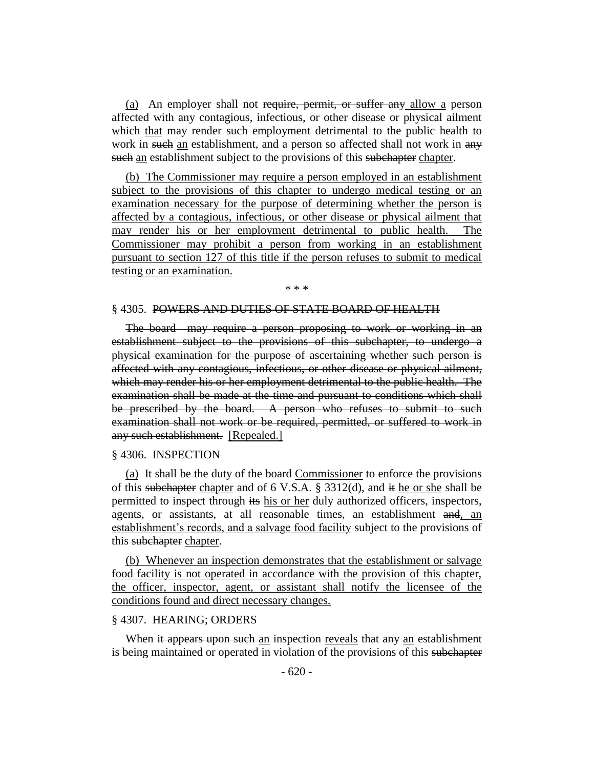(a) An employer shall not require, permit, or suffer any allow a person affected with any contagious, infectious, or other disease or physical ailment which that may render such employment detrimental to the public health to work in such an establishment, and a person so affected shall not work in any such an establishment subject to the provisions of this subchapter chapter.

(b) The Commissioner may require a person employed in an establishment subject to the provisions of this chapter to undergo medical testing or an examination necessary for the purpose of determining whether the person is affected by a contagious, infectious, or other disease or physical ailment that may render his or her employment detrimental to public health. The Commissioner may prohibit a person from working in an establishment pursuant to section 127 of this title if the person refuses to submit to medical testing or an examination.

#### \* \* \*

### § 4305. POWERS AND DUTIES OF STATE BOARD OF HEALTH

The board may require a person proposing to work or working in an establishment subject to the provisions of this subchapter, to undergo a physical examination for the purpose of ascertaining whether such person is affected with any contagious, infectious, or other disease or physical ailment, which may render his or her employment detrimental to the public health. The examination shall be made at the time and pursuant to conditions which shall be prescribed by the board. A person who refuses to submit to such examination shall not work or be required, permitted, or suffered to work in any such establishment. [Repealed.]

#### § 4306. INSPECTION

(a) It shall be the duty of the board Commissioner to enforce the provisions of this subchapter chapter and of 6 V.S.A.  $\S$  3312(d), and it he or she shall be permitted to inspect through its his or her duly authorized officers, inspectors, agents, or assistants, at all reasonable times, an establishment and, an establishment's records, and a salvage food facility subject to the provisions of this subchapter chapter.

(b) Whenever an inspection demonstrates that the establishment or salvage food facility is not operated in accordance with the provision of this chapter, the officer, inspector, agent, or assistant shall notify the licensee of the conditions found and direct necessary changes.

## § 4307. HEARING; ORDERS

When it appears upon such an inspection reveals that any an establishment is being maintained or operated in violation of the provisions of this subchapter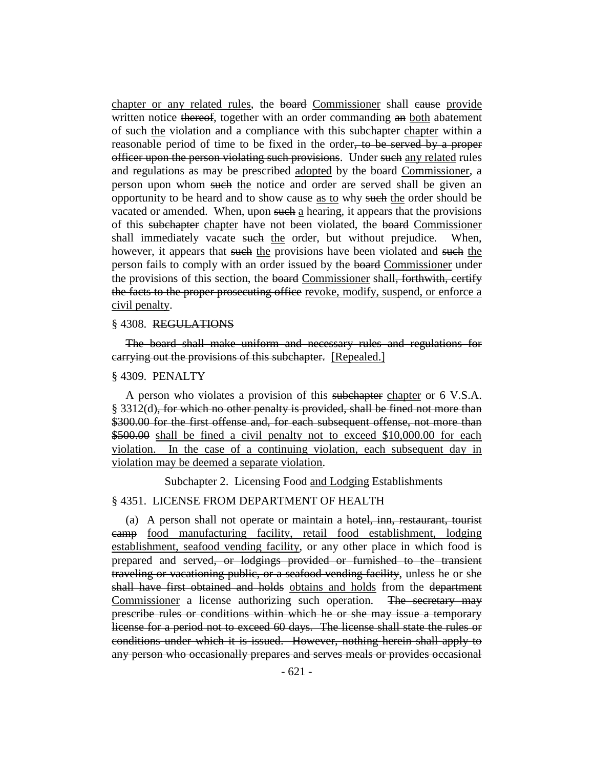chapter or any related rules, the board Commissioner shall cause provide written notice thereof, together with an order commanding an both abatement of such the violation and a compliance with this subchapter chapter within a reasonable period of time to be fixed in the order, to be served by a proper officer upon the person violating such provisions. Under such any related rules and regulations as may be prescribed adopted by the board Commissioner, a person upon whom such the notice and order are served shall be given an opportunity to be heard and to show cause as to why such the order should be vacated or amended. When, upon such a hearing, it appears that the provisions of this subchapter chapter have not been violated, the board Commissioner shall immediately vacate such the order, but without prejudice. When, however, it appears that such the provisions have been violated and such the person fails to comply with an order issued by the board Commissioner under the provisions of this section, the board Commissioner shall, forthwith, certify the facts to the proper prosecuting office revoke, modify, suspend, or enforce a civil penalty.

#### § 4308. REGULATIONS

The board shall make uniform and necessary rules and regulations for carrying out the provisions of this subchapter. [Repealed.]

#### § 4309. PENALTY

A person who violates a provision of this subchapter chapter or 6 V.S.A.  $§$  3312(d), for which no other penalty is provided, shall be fined not more than \$300.00 for the first offense and, for each subsequent offense, not more than \$500.00 shall be fined a civil penalty not to exceed \$10,000.00 for each violation. In the case of a continuing violation, each subsequent day in violation may be deemed a separate violation.

Subchapter 2. Licensing Food and Lodging Establishments

## § 4351. LICENSE FROM DEPARTMENT OF HEALTH

(a) A person shall not operate or maintain a hotel, inn, restaurant, tourist camp food manufacturing facility, retail food establishment, lodging establishment, seafood vending facility, or any other place in which food is prepared and served, or lodgings provided or furnished to the transient traveling or vacationing public, or a seafood vending facility, unless he or she shall have first obtained and holds obtains and holds from the department Commissioner a license authorizing such operation. The secretary may prescribe rules or conditions within which he or she may issue a temporary license for a period not to exceed 60 days. The license shall state the rules or conditions under which it is issued. However, nothing herein shall apply to any person who occasionally prepares and serves meals or provides occasional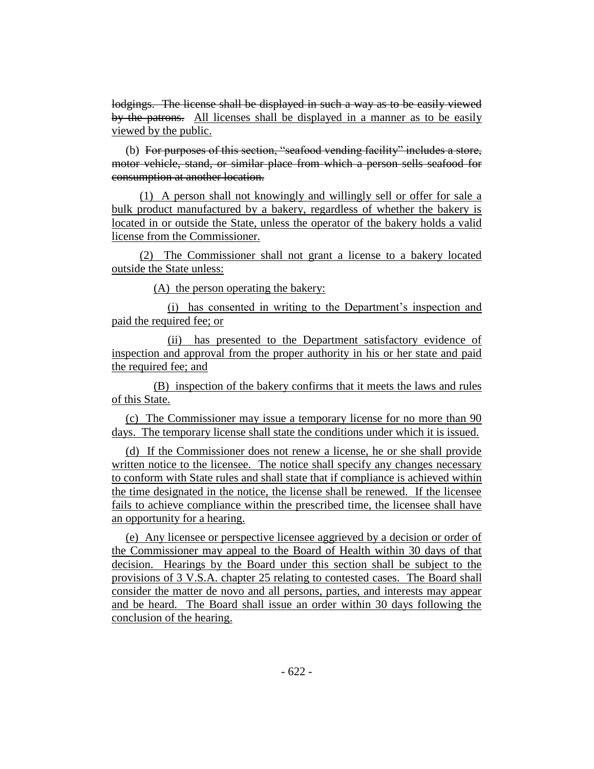lodgings. The license shall be displayed in such a way as to be easily viewed by the patrons. All licenses shall be displayed in a manner as to be easily viewed by the public.

(b) For purposes of this section, "seafood vending facility" includes a store, motor vehicle, stand, or similar place from which a person sells seafood for consumption at another location.

(1) A person shall not knowingly and willingly sell or offer for sale a bulk product manufactured by a bakery, regardless of whether the bakery is located in or outside the State, unless the operator of the bakery holds a valid license from the Commissioner.

(2) The Commissioner shall not grant a license to a bakery located outside the State unless:

(A) the person operating the bakery:

(i) has consented in writing to the Department's inspection and paid the required fee; or

(ii) has presented to the Department satisfactory evidence of inspection and approval from the proper authority in his or her state and paid the required fee; and

(B) inspection of the bakery confirms that it meets the laws and rules of this State.

(c) The Commissioner may issue a temporary license for no more than 90 days. The temporary license shall state the conditions under which it is issued.

(d) If the Commissioner does not renew a license, he or she shall provide written notice to the licensee. The notice shall specify any changes necessary to conform with State rules and shall state that if compliance is achieved within the time designated in the notice, the license shall be renewed. If the licensee fails to achieve compliance within the prescribed time, the licensee shall have an opportunity for a hearing.

(e) Any licensee or perspective licensee aggrieved by a decision or order of the Commissioner may appeal to the Board of Health within 30 days of that decision. Hearings by the Board under this section shall be subject to the provisions of 3 V.S.A. chapter 25 relating to contested cases. The Board shall consider the matter de novo and all persons, parties, and interests may appear and be heard. The Board shall issue an order within 30 days following the conclusion of the hearing.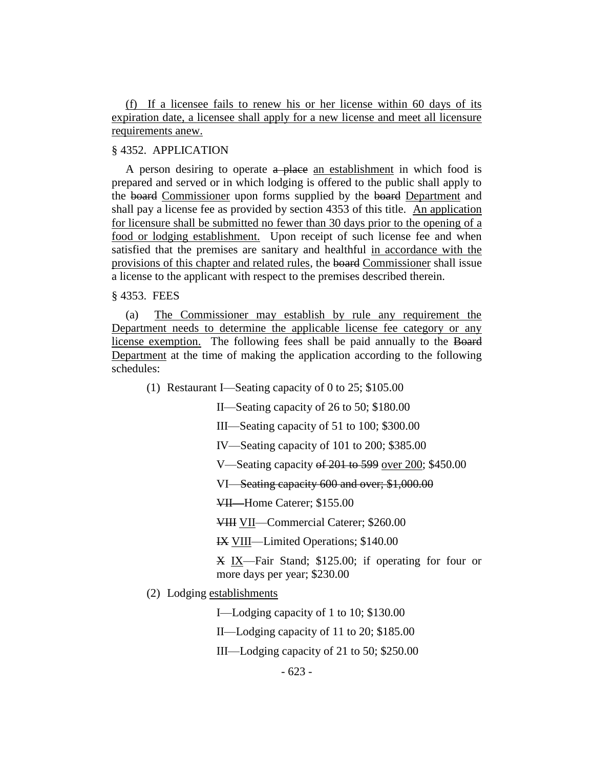(f) If a licensee fails to renew his or her license within 60 days of its expiration date, a licensee shall apply for a new license and meet all licensure requirements anew.

# § 4352. APPLICATION

A person desiring to operate a place an establishment in which food is prepared and served or in which lodging is offered to the public shall apply to the board Commissioner upon forms supplied by the board Department and shall pay a license fee as provided by section 4353 of this title. An application for licensure shall be submitted no fewer than 30 days prior to the opening of a food or lodging establishment. Upon receipt of such license fee and when satisfied that the premises are sanitary and healthful in accordance with the provisions of this chapter and related rules, the board Commissioner shall issue a license to the applicant with respect to the premises described therein.

§ 4353. FEES

(a) The Commissioner may establish by rule any requirement the Department needs to determine the applicable license fee category or any license exemption. The following fees shall be paid annually to the Board Department at the time of making the application according to the following schedules:

(1) Restaurant I—Seating capacity of 0 to 25; \$105.00

II—Seating capacity of 26 to 50; \$180.00

- III—Seating capacity of 51 to 100; \$300.00
- IV—Seating capacity of 101 to 200; \$385.00

V—Seating capacity of 201 to 599 over 200; \$450.00

VI—Seating capacity 600 and over; \$1,000.00

VII—Home Caterer; \$155.00

VIII VII—Commercial Caterer; \$260.00

IX VIII—Limited Operations; \$140.00

X IX—Fair Stand; \$125.00; if operating for four or more days per year; \$230.00

(2) Lodging establishments

I—Lodging capacity of 1 to 10; \$130.00

II—Lodging capacity of 11 to 20; \$185.00

III—Lodging capacity of 21 to 50; \$250.00

- 623 -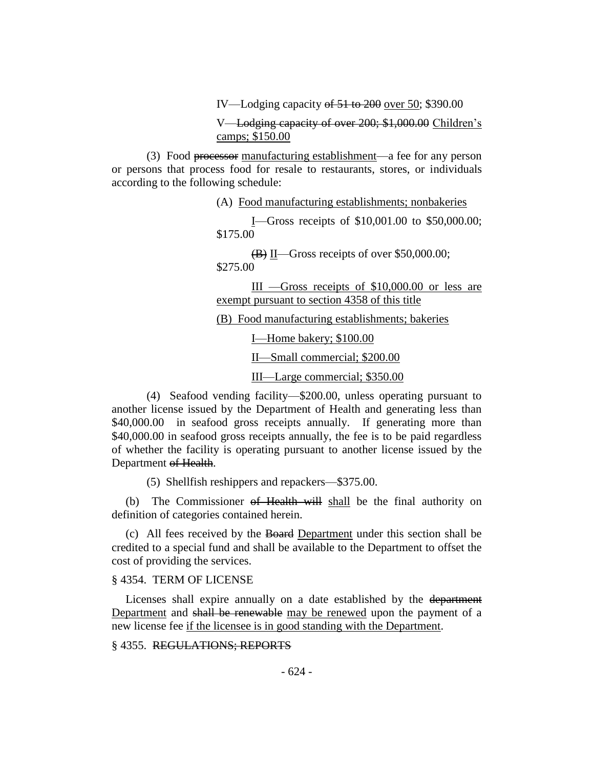IV—Lodging capacity of 51 to 200 over 50; \$390.00

V—Lodging capacity of over 200; \$1,000.00 Children's camps; \$150.00

(3) Food processor manufacturing establishment—a fee for any person or persons that process food for resale to restaurants, stores, or individuals according to the following schedule:

(A) Food manufacturing establishments; nonbakeries

I—Gross receipts of \$10,001.00 to \$50,000.00; \$175.00

 $\overline{(B)}$  II—Gross receipts of over \$50,000.00; \$275.00

III —Gross receipts of \$10,000.00 or less are exempt pursuant to section 4358 of this title

(B) Food manufacturing establishments; bakeries

I—Home bakery; \$100.00

II—Small commercial; \$200.00

III—Large commercial; \$350.00

(4) Seafood vending facility—\$200.00, unless operating pursuant to another license issued by the Department of Health and generating less than \$40,000.00 in seafood gross receipts annually. If generating more than \$40,000.00 in seafood gross receipts annually, the fee is to be paid regardless of whether the facility is operating pursuant to another license issued by the Department of Health.

(5) Shellfish reshippers and repackers—\$375.00.

(b) The Commissioner of Health will shall be the final authority on definition of categories contained herein.

(c) All fees received by the Board Department under this section shall be credited to a special fund and shall be available to the Department to offset the cost of providing the services.

## § 4354. TERM OF LICENSE

Licenses shall expire annually on a date established by the department Department and shall be renewable may be renewed upon the payment of a new license fee if the licensee is in good standing with the Department.

# § 4355. REGULATIONS; REPORTS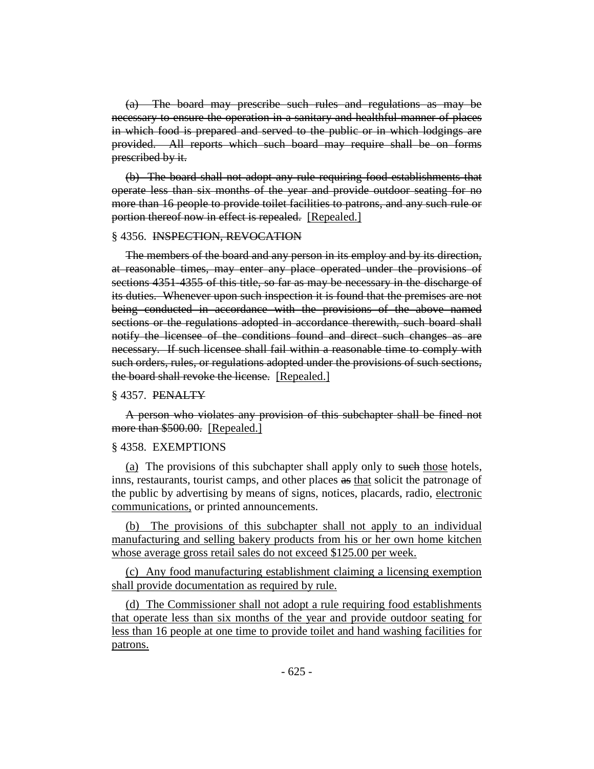(a) The board may prescribe such rules and regulations as may be necessary to ensure the operation in a sanitary and healthful manner of places in which food is prepared and served to the public or in which lodgings are provided. All reports which such board may require shall be on forms prescribed by it.

(b) The board shall not adopt any rule requiring food establishments that operate less than six months of the year and provide outdoor seating for no more than 16 people to provide toilet facilities to patrons, and any such rule or portion thereof now in effect is repealed. [Repealed.]

#### § 4356. INSPECTION, REVOCATION

The members of the board and any person in its employ and by its direction, at reasonable times, may enter any place operated under the provisions of sections 4351-4355 of this title, so far as may be necessary in the discharge of its duties. Whenever upon such inspection it is found that the premises are not being conducted in accordance with the provisions of the above named sections or the regulations adopted in accordance therewith, such board shall notify the licensee of the conditions found and direct such changes as are necessary. If such licensee shall fail within a reasonable time to comply with such orders, rules, or regulations adopted under the provisions of such sections, the board shall revoke the license. [Repealed.]

## § 4357. PENALTY

A person who violates any provision of this subchapter shall be fined not more than \$500.00. [Repealed.]

#### § 4358. EXEMPTIONS

(a) The provisions of this subchapter shall apply only to such those hotels, inns, restaurants, tourist camps, and other places as that solicit the patronage of the public by advertising by means of signs, notices, placards, radio, electronic communications, or printed announcements.

(b) The provisions of this subchapter shall not apply to an individual manufacturing and selling bakery products from his or her own home kitchen whose average gross retail sales do not exceed \$125.00 per week.

(c) Any food manufacturing establishment claiming a licensing exemption shall provide documentation as required by rule.

(d) The Commissioner shall not adopt a rule requiring food establishments that operate less than six months of the year and provide outdoor seating for less than 16 people at one time to provide toilet and hand washing facilities for patrons.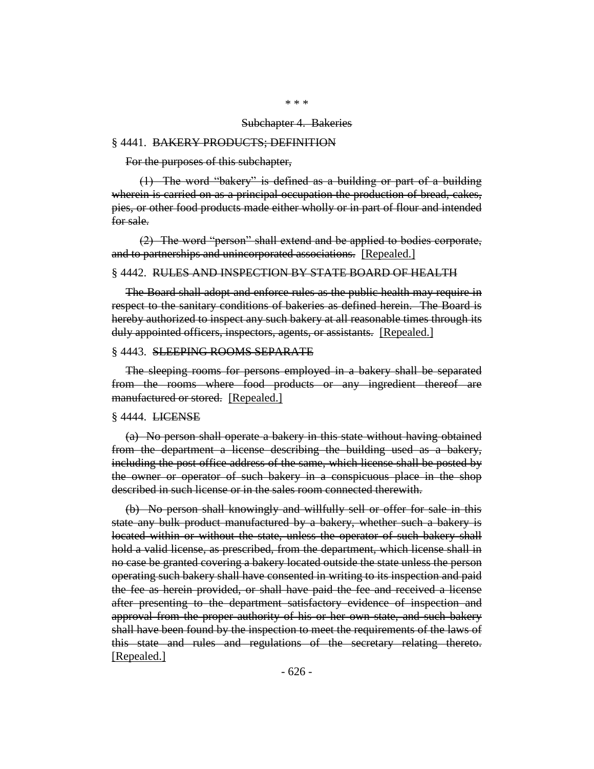#### Subchapter 4. Bakeries

#### § 4441. BAKERY PRODUCTS; DEFINITION

For the purposes of this subchapter,

(1) The word "bakery" is defined as a building or part of a building wherein is carried on as a principal occupation the production of bread, cakes, pies, or other food products made either wholly or in part of flour and intended for sale.

(2) The word "person" shall extend and be applied to bodies corporate, and to partnerships and unincorporated associations. [Repealed.]

#### § 4442. RULES AND INSPECTION BY STATE BOARD OF HEALTH

The Board shall adopt and enforce rules as the public health may require in respect to the sanitary conditions of bakeries as defined herein. The Board is hereby authorized to inspect any such bakery at all reasonable times through its duly appointed officers, inspectors, agents, or assistants. [Repealed.]

#### § 4443. SLEEPING ROOMS SEPARATE

The sleeping rooms for persons employed in a bakery shall be separated from the rooms where food products or any ingredient thereof are manufactured or stored. [Repealed.]

#### § 4444. **LICENSE**

(a) No person shall operate a bakery in this state without having obtained from the department a license describing the building used as a bakery, including the post office address of the same, which license shall be posted by the owner or operator of such bakery in a conspicuous place in the shop described in such license or in the sales room connected therewith.

(b) No person shall knowingly and willfully sell or offer for sale in this state any bulk product manufactured by a bakery, whether such a bakery is located within or without the state, unless the operator of such bakery shall hold a valid license, as prescribed, from the department, which license shall in no case be granted covering a bakery located outside the state unless the person operating such bakery shall have consented in writing to its inspection and paid the fee as herein provided, or shall have paid the fee and received a license after presenting to the department satisfactory evidence of inspection and approval from the proper authority of his or her own state, and such bakery shall have been found by the inspection to meet the requirements of the laws of this state and rules and regulations of the secretary relating thereto. [Repealed.]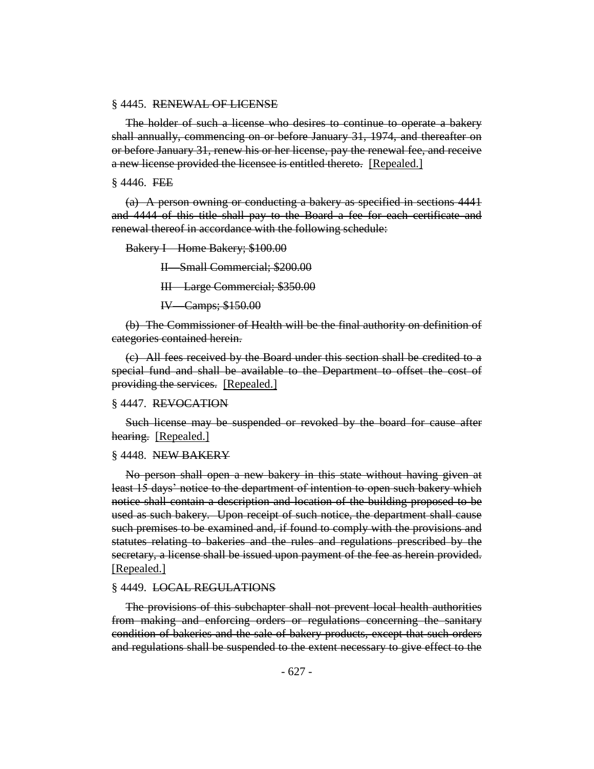#### § 4445. RENEWAL OF LICENSE

The holder of such a license who desires to continue to operate a bakery shall annually, commencing on or before January 31, 1974, and thereafter on or before January 31, renew his or her license, pay the renewal fee, and receive a new license provided the licensee is entitled thereto. [Repealed.]

 $§$  4446. FEE

(a) A person owning or conducting a bakery as specified in sections 4441 and 4444 of this title shall pay to the Board a fee for each certificate and renewal thereof in accordance with the following schedule:

Bakery I—Home Bakery; \$100.00

II—Small Commercial; \$200.00

III—Large Commercial; \$350.00

IV—Camps; \$150.00

(b) The Commissioner of Health will be the final authority on definition of categories contained herein.

(c) All fees received by the Board under this section shall be credited to a special fund and shall be available to the Department to offset the cost of providing the services. [Repealed.]

## § 4447. REVOCATION

Such license may be suspended or revoked by the board for cause after hearing. [Repealed.]

#### § 4448. NEW BAKERY

No person shall open a new bakery in this state without having given at least 15 days' notice to the department of intention to open such bakery which notice shall contain a description and location of the building proposed to be used as such bakery. Upon receipt of such notice, the department shall cause such premises to be examined and, if found to comply with the provisions and statutes relating to bakeries and the rules and regulations prescribed by the secretary, a license shall be issued upon payment of the fee as herein provided. [Repealed.]

#### § 4449. LOCAL REGULATIONS

The provisions of this subchapter shall not prevent local health authorities from making and enforcing orders or regulations concerning the sanitary condition of bakeries and the sale of bakery products, except that such orders and regulations shall be suspended to the extent necessary to give effect to the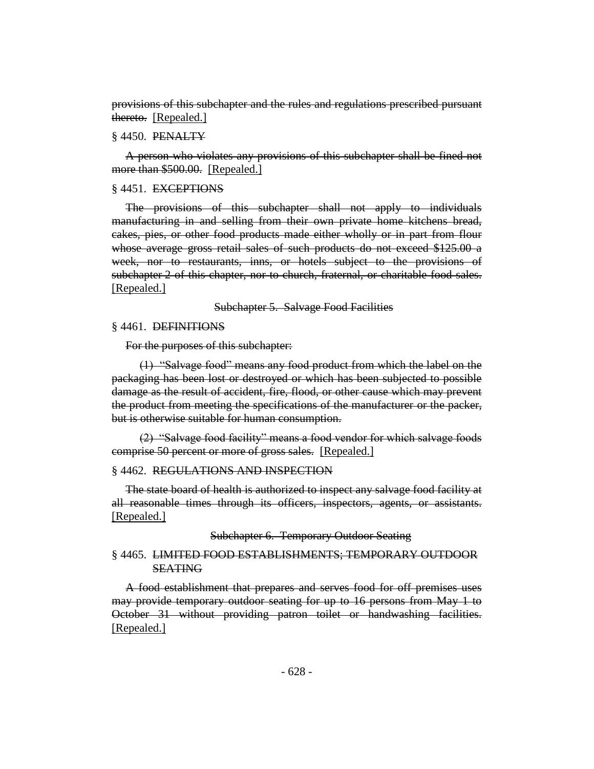provisions of this subchapter and the rules and regulations prescribed pursuant thereto. [Repealed.]

#### § 4450. PENALTY

A person who violates any provisions of this subchapter shall be fined not more than \$500.00. [Repealed.]

#### § 4451. EXCEPTIONS

The provisions of this subchapter shall not apply to individuals manufacturing in and selling from their own private home kitchens bread, cakes, pies, or other food products made either wholly or in part from flour whose average gross retail sales of such products do not exceed \$125.00 a week, nor to restaurants, inns, or hotels subject to the provisions of subchapter 2 of this chapter, nor to church, fraternal, or charitable food sales. [Repealed.]

Subchapter 5. Salvage Food Facilities

#### § 4461. DEFINITIONS

For the purposes of this subchapter:

(1) "Salvage food" means any food product from which the label on the packaging has been lost or destroyed or which has been subjected to possible damage as the result of accident, fire, flood, or other cause which may prevent the product from meeting the specifications of the manufacturer or the packer, but is otherwise suitable for human consumption.

(2) "Salvage food facility" means a food vendor for which salvage foods comprise 50 percent or more of gross sales. [Repealed.]

# § 4462. REGULATIONS AND INSPECTION

The state board of health is authorized to inspect any salvage food facility at all reasonable times through its officers, inspectors, agents, or assistants. [Repealed.]

Subchapter 6. Temporary Outdoor Seating

# § 4465. LIMITED FOOD ESTABLISHMENTS; TEMPORARY OUTDOOR SEATING

A food establishment that prepares and serves food for off premises uses may provide temporary outdoor seating for up to 16 persons from May 1 to October 31 without providing patron toilet or handwashing facilities. [Repealed.]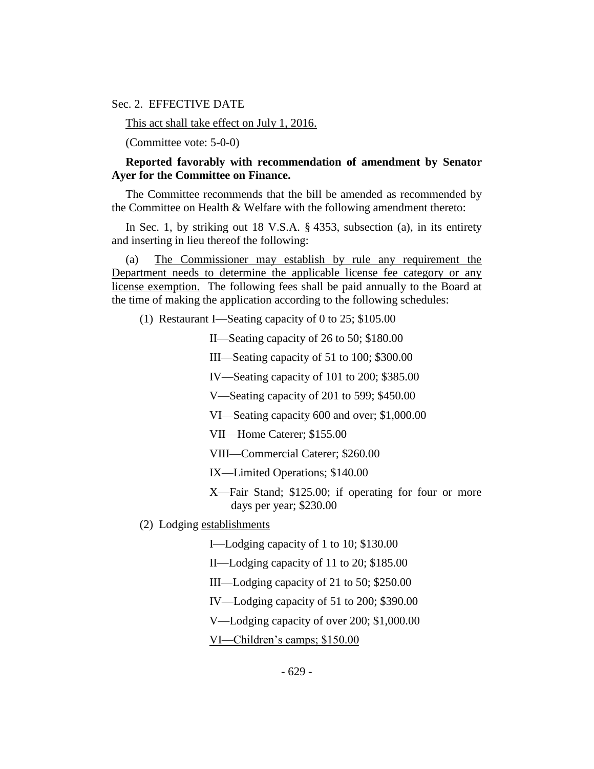Sec. 2. EFFECTIVE DATE

This act shall take effect on July 1, 2016.

(Committee vote: 5-0-0)

# **Reported favorably with recommendation of amendment by Senator Ayer for the Committee on Finance.**

The Committee recommends that the bill be amended as recommended by the Committee on Health & Welfare with the following amendment thereto:

In Sec. 1, by striking out 18 V.S.A. § 4353, subsection (a), in its entirety and inserting in lieu thereof the following:

(a) The Commissioner may establish by rule any requirement the Department needs to determine the applicable license fee category or any license exemption. The following fees shall be paid annually to the Board at the time of making the application according to the following schedules:

(1) Restaurant I—Seating capacity of 0 to 25; \$105.00

II—Seating capacity of 26 to 50; \$180.00

III—Seating capacity of 51 to 100; \$300.00

IV—Seating capacity of 101 to 200; \$385.00

V—Seating capacity of 201 to 599; \$450.00

VI—Seating capacity 600 and over; \$1,000.00

VII—Home Caterer; \$155.00

VIII—Commercial Caterer; \$260.00

IX—Limited Operations; \$140.00

X—Fair Stand; \$125.00; if operating for four or more days per year; \$230.00

(2) Lodging establishments

I—Lodging capacity of 1 to 10; \$130.00

II—Lodging capacity of 11 to 20; \$185.00

III—Lodging capacity of 21 to 50; \$250.00

IV—Lodging capacity of 51 to 200; \$390.00

V—Lodging capacity of over 200; \$1,000.00

VI—Children's camps; \$150.00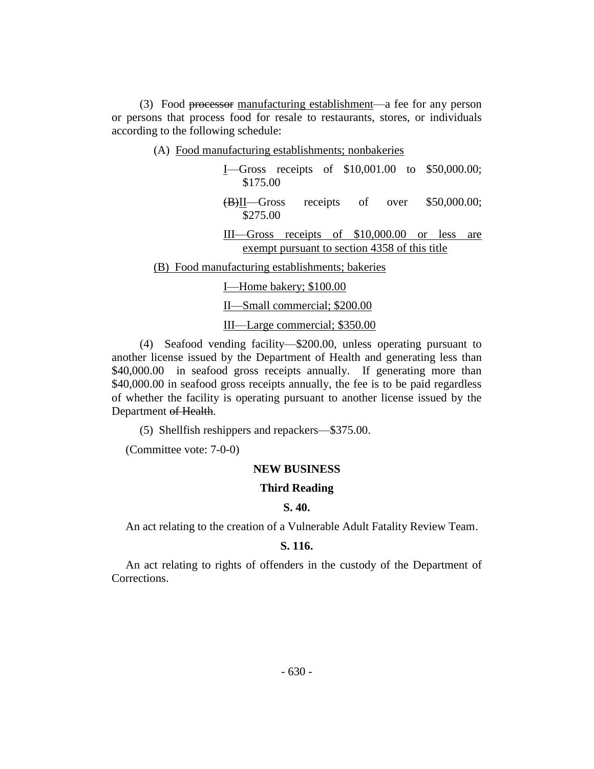(3) Food processor manufacturing establishment—a fee for any person or persons that process food for resale to restaurants, stores, or individuals according to the following schedule:

(A) Food manufacturing establishments; nonbakeries

| <b>I</b> —Gross receipts of $$10,001.00$ to $$50,000.00;$<br>\$175.00               |
|-------------------------------------------------------------------------------------|
| \$50,000.00;<br>receipts of over<br>$\left(\frac{B}{B}\right)$ II—Gross<br>\$275.00 |
| receipts of $$10,000.00$ or less<br>III—Gross<br>are                                |
| exempt pursuant to section 4358 of this title                                       |
| (B) Food manufacturing establishments; bakeries                                     |
| I—Home bakery; \$100.00                                                             |
| II—Small commercial; \$200.00                                                       |
| III—Large commercial; \$350.00                                                      |

(4) Seafood vending facility—\$200.00, unless operating pursuant to another license issued by the Department of Health and generating less than \$40,000.00 in seafood gross receipts annually. If generating more than \$40,000.00 in seafood gross receipts annually, the fee is to be paid regardless of whether the facility is operating pursuant to another license issued by the Department of Health.

(5) Shellfish reshippers and repackers—\$375.00.

(Committee vote: 7-0-0)

#### **NEW BUSINESS**

# **Third Reading**

# **S. 40.**

An act relating to the creation of a Vulnerable Adult Fatality Review Team.

## **S. 116.**

An act relating to rights of offenders in the custody of the Department of Corrections.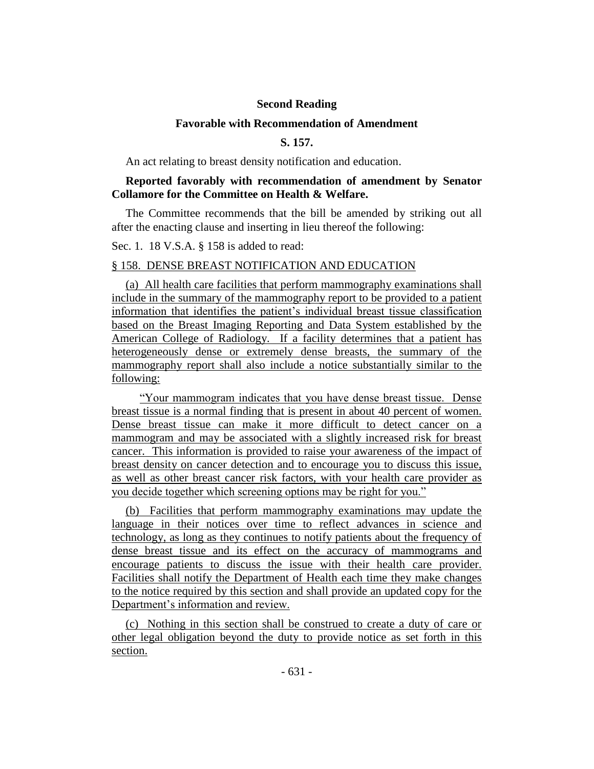# **Second Reading**

## **Favorable with Recommendation of Amendment**

# **S. 157.**

An act relating to breast density notification and education.

# **Reported favorably with recommendation of amendment by Senator Collamore for the Committee on Health & Welfare.**

The Committee recommends that the bill be amended by striking out all after the enacting clause and inserting in lieu thereof the following:

Sec. 1. 18 V.S.A. § 158 is added to read:

# § 158. DENSE BREAST NOTIFICATION AND EDUCATION

(a) All health care facilities that perform mammography examinations shall include in the summary of the mammography report to be provided to a patient information that identifies the patient's individual breast tissue classification based on the Breast Imaging Reporting and Data System established by the American College of Radiology. If a facility determines that a patient has heterogeneously dense or extremely dense breasts, the summary of the mammography report shall also include a notice substantially similar to the following:

"Your mammogram indicates that you have dense breast tissue. Dense breast tissue is a normal finding that is present in about 40 percent of women. Dense breast tissue can make it more difficult to detect cancer on a mammogram and may be associated with a slightly increased risk for breast cancer. This information is provided to raise your awareness of the impact of breast density on cancer detection and to encourage you to discuss this issue, as well as other breast cancer risk factors, with your health care provider as you decide together which screening options may be right for you."

(b) Facilities that perform mammography examinations may update the language in their notices over time to reflect advances in science and technology, as long as they continues to notify patients about the frequency of dense breast tissue and its effect on the accuracy of mammograms and encourage patients to discuss the issue with their health care provider. Facilities shall notify the Department of Health each time they make changes to the notice required by this section and shall provide an updated copy for the Department's information and review.

(c) Nothing in this section shall be construed to create a duty of care or other legal obligation beyond the duty to provide notice as set forth in this section.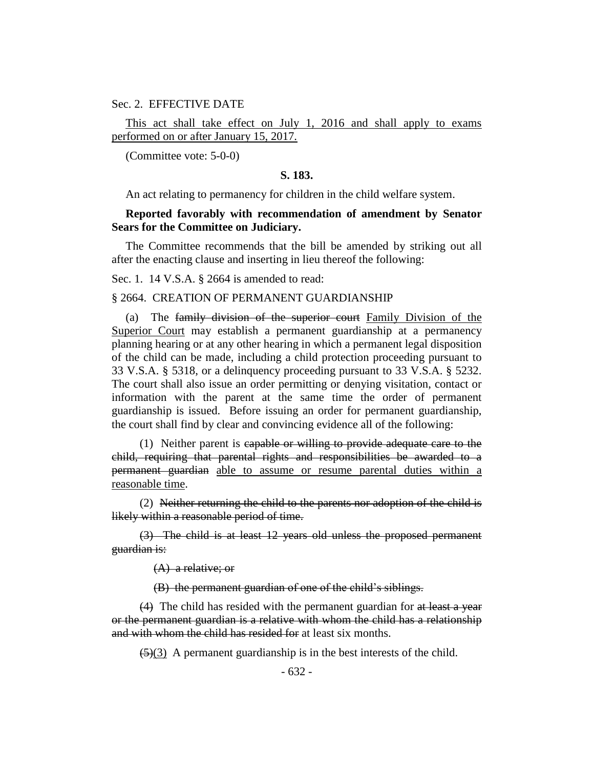Sec. 2. EFFECTIVE DATE

This act shall take effect on July 1, 2016 and shall apply to exams performed on or after January 15, 2017.

(Committee vote: 5-0-0)

## **S. 183.**

An act relating to permanency for children in the child welfare system.

# **Reported favorably with recommendation of amendment by Senator Sears for the Committee on Judiciary.**

The Committee recommends that the bill be amended by striking out all after the enacting clause and inserting in lieu thereof the following:

Sec. 1. 14 V.S.A. § 2664 is amended to read:

#### § 2664. CREATION OF PERMANENT GUARDIANSHIP

(a) The family division of the superior court Family Division of the Superior Court may establish a permanent guardianship at a permanency planning hearing or at any other hearing in which a permanent legal disposition of the child can be made, including a child protection proceeding pursuant to 33 V.S.A. § 5318, or a delinquency proceeding pursuant to 33 V.S.A. § 5232. The court shall also issue an order permitting or denying visitation, contact or information with the parent at the same time the order of permanent guardianship is issued. Before issuing an order for permanent guardianship, the court shall find by clear and convincing evidence all of the following:

(1) Neither parent is capable or willing to provide adequate care to the child, requiring that parental rights and responsibilities be awarded to a permanent guardian able to assume or resume parental duties within a reasonable time.

(2) Neither returning the child to the parents nor adoption of the child is likely within a reasonable period of time.

(3) The child is at least 12 years old unless the proposed permanent guardian is:

(A) a relative; or

(B) the permanent guardian of one of the child's siblings.

(4) The child has resided with the permanent guardian for at least a year or the permanent guardian is a relative with whom the child has a relationship and with whom the child has resided for at least six months.

 $\left(\frac{5}{3}\right)$  A permanent guardianship is in the best interests of the child.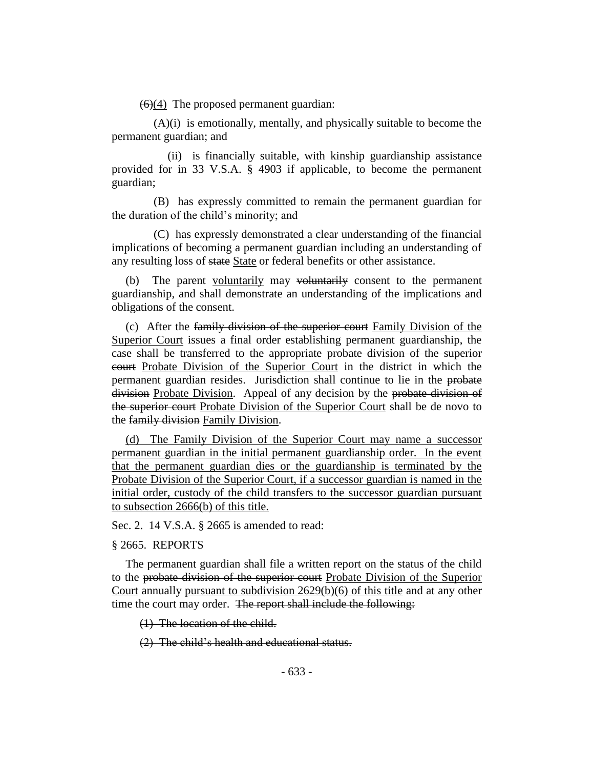$(6)(4)$  The proposed permanent guardian:

(A)(i) is emotionally, mentally, and physically suitable to become the permanent guardian; and

(ii) is financially suitable, with kinship guardianship assistance provided for in 33 V.S.A. § 4903 if applicable, to become the permanent guardian;

(B) has expressly committed to remain the permanent guardian for the duration of the child's minority; and

(C) has expressly demonstrated a clear understanding of the financial implications of becoming a permanent guardian including an understanding of any resulting loss of state State or federal benefits or other assistance.

(b) The parent voluntarily may voluntarily consent to the permanent guardianship, and shall demonstrate an understanding of the implications and obligations of the consent.

(c) After the family division of the superior court Family Division of the Superior Court issues a final order establishing permanent guardianship, the case shall be transferred to the appropriate probate division of the superior court Probate Division of the Superior Court in the district in which the permanent guardian resides. Jurisdiction shall continue to lie in the probate division Probate Division. Appeal of any decision by the probate division of the superior court Probate Division of the Superior Court shall be de novo to the family division Family Division.

(d) The Family Division of the Superior Court may name a successor permanent guardian in the initial permanent guardianship order. In the event that the permanent guardian dies or the guardianship is terminated by the Probate Division of the Superior Court, if a successor guardian is named in the initial order, custody of the child transfers to the successor guardian pursuant to subsection 2666(b) of this title.

Sec. 2. 14 V.S.A. § 2665 is amended to read:

# § 2665. REPORTS

The permanent guardian shall file a written report on the status of the child to the probate division of the superior court Probate Division of the Superior Court annually pursuant to subdivision 2629(b)(6) of this title and at any other time the court may order. The report shall include the following:

(1) The location of the child.

(2) The child's health and educational status.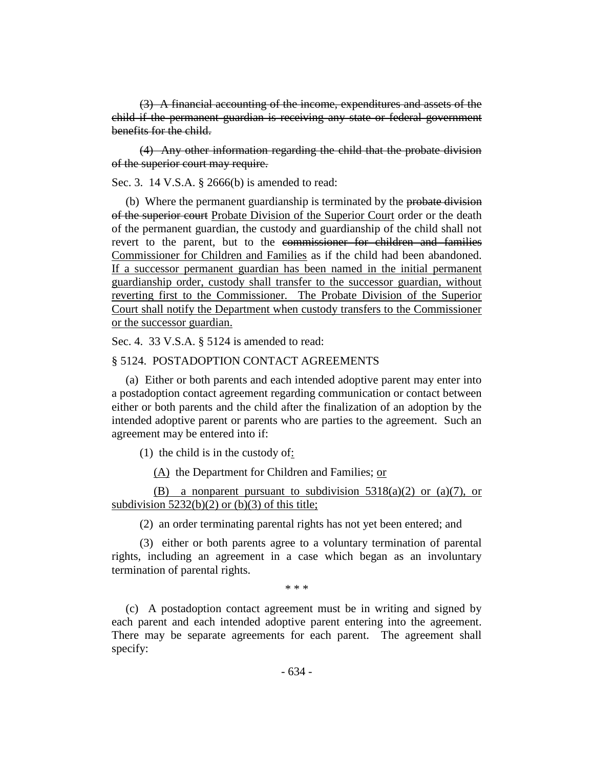(3) A financial accounting of the income, expenditures and assets of the child if the permanent guardian is receiving any state or federal government benefits for the child.

(4) Any other information regarding the child that the probate division of the superior court may require.

Sec. 3. 14 V.S.A. § 2666(b) is amended to read:

(b) Where the permanent guardianship is terminated by the probate division of the superior court Probate Division of the Superior Court order or the death of the permanent guardian, the custody and guardianship of the child shall not revert to the parent, but to the commissioner for children and families Commissioner for Children and Families as if the child had been abandoned. If a successor permanent guardian has been named in the initial permanent guardianship order, custody shall transfer to the successor guardian, without reverting first to the Commissioner. The Probate Division of the Superior Court shall notify the Department when custody transfers to the Commissioner or the successor guardian.

Sec. 4. 33 V.S.A. § 5124 is amended to read:

## § 5124. POSTADOPTION CONTACT AGREEMENTS

(a) Either or both parents and each intended adoptive parent may enter into a postadoption contact agreement regarding communication or contact between either or both parents and the child after the finalization of an adoption by the intended adoptive parent or parents who are parties to the agreement. Such an agreement may be entered into if:

(1) the child is in the custody of:

(A) the Department for Children and Families; or

(B) a nonparent pursuant to subdivision  $5318(a)(2)$  or  $(a)(7)$ , or subdivision  $5232(b)(2)$  or (b)(3) of this title;

(2) an order terminating parental rights has not yet been entered; and

(3) either or both parents agree to a voluntary termination of parental rights, including an agreement in a case which began as an involuntary termination of parental rights.

\* \* \*

(c) A postadoption contact agreement must be in writing and signed by each parent and each intended adoptive parent entering into the agreement. There may be separate agreements for each parent. The agreement shall specify: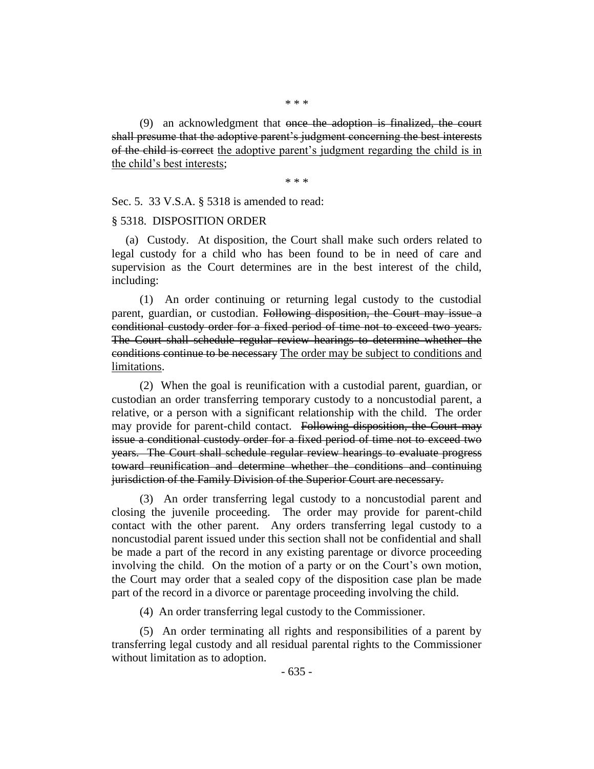(9) an acknowledgment that once the adoption is finalized, the court shall presume that the adoptive parent's judgment concerning the best interests of the child is correct the adoptive parent's judgment regarding the child is in the child's best interests;

\* \* \*

Sec. 5. 33 V.S.A. § 5318 is amended to read:

## § 5318. DISPOSITION ORDER

(a) Custody. At disposition, the Court shall make such orders related to legal custody for a child who has been found to be in need of care and supervision as the Court determines are in the best interest of the child, including:

(1) An order continuing or returning legal custody to the custodial parent, guardian, or custodian. Following disposition, the Court may issue a conditional custody order for a fixed period of time not to exceed two years. The Court shall schedule regular review hearings to determine whether the conditions continue to be necessary The order may be subject to conditions and limitations.

(2) When the goal is reunification with a custodial parent, guardian, or custodian an order transferring temporary custody to a noncustodial parent, a relative, or a person with a significant relationship with the child. The order may provide for parent-child contact. Following disposition, the Court may issue a conditional custody order for a fixed period of time not to exceed two years. The Court shall schedule regular review hearings to evaluate progress toward reunification and determine whether the conditions and continuing jurisdiction of the Family Division of the Superior Court are necessary.

(3) An order transferring legal custody to a noncustodial parent and closing the juvenile proceeding. The order may provide for parent-child contact with the other parent. Any orders transferring legal custody to a noncustodial parent issued under this section shall not be confidential and shall be made a part of the record in any existing parentage or divorce proceeding involving the child. On the motion of a party or on the Court's own motion, the Court may order that a sealed copy of the disposition case plan be made part of the record in a divorce or parentage proceeding involving the child.

(4) An order transferring legal custody to the Commissioner.

(5) An order terminating all rights and responsibilities of a parent by transferring legal custody and all residual parental rights to the Commissioner without limitation as to adoption.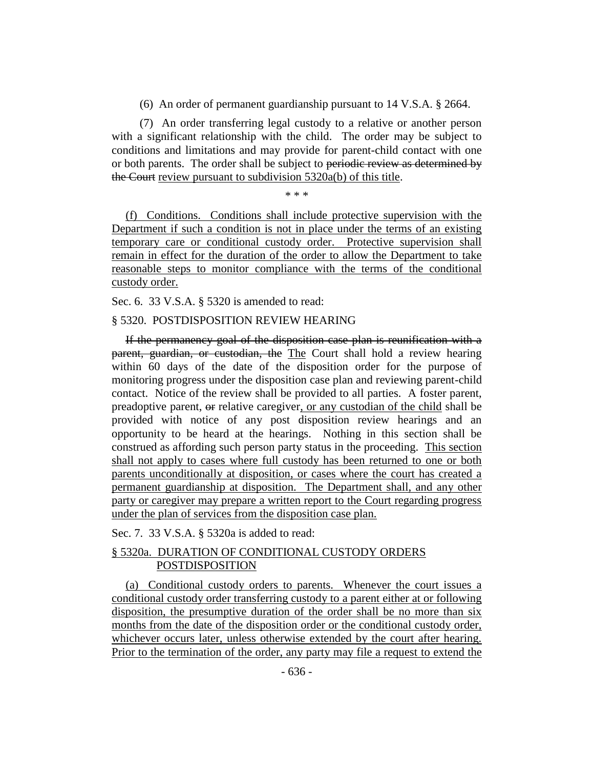(6) An order of permanent guardianship pursuant to 14 V.S.A. § 2664.

(7) An order transferring legal custody to a relative or another person with a significant relationship with the child. The order may be subject to conditions and limitations and may provide for parent-child contact with one or both parents. The order shall be subject to periodic review as determined by the Court review pursuant to subdivision 5320a(b) of this title.

\* \* \*

(f) Conditions. Conditions shall include protective supervision with the Department if such a condition is not in place under the terms of an existing temporary care or conditional custody order. Protective supervision shall remain in effect for the duration of the order to allow the Department to take reasonable steps to monitor compliance with the terms of the conditional custody order.

Sec. 6. 33 V.S.A. § 5320 is amended to read:

# § 5320. POSTDISPOSITION REVIEW HEARING

If the permanency goal of the disposition case plan is reunification with a parent, guardian, or custodian, the The Court shall hold a review hearing within 60 days of the date of the disposition order for the purpose of monitoring progress under the disposition case plan and reviewing parent-child contact. Notice of the review shall be provided to all parties. A foster parent, preadoptive parent, or relative caregiver, or any custodian of the child shall be provided with notice of any post disposition review hearings and an opportunity to be heard at the hearings. Nothing in this section shall be construed as affording such person party status in the proceeding. This section shall not apply to cases where full custody has been returned to one or both parents unconditionally at disposition, or cases where the court has created a permanent guardianship at disposition. The Department shall, and any other party or caregiver may prepare a written report to the Court regarding progress under the plan of services from the disposition case plan.

Sec. 7. 33 V.S.A. § 5320a is added to read:

# § 5320a. DURATION OF CONDITIONAL CUSTODY ORDERS POSTDISPOSITION

(a) Conditional custody orders to parents. Whenever the court issues a conditional custody order transferring custody to a parent either at or following disposition, the presumptive duration of the order shall be no more than six months from the date of the disposition order or the conditional custody order, whichever occurs later, unless otherwise extended by the court after hearing. Prior to the termination of the order, any party may file a request to extend the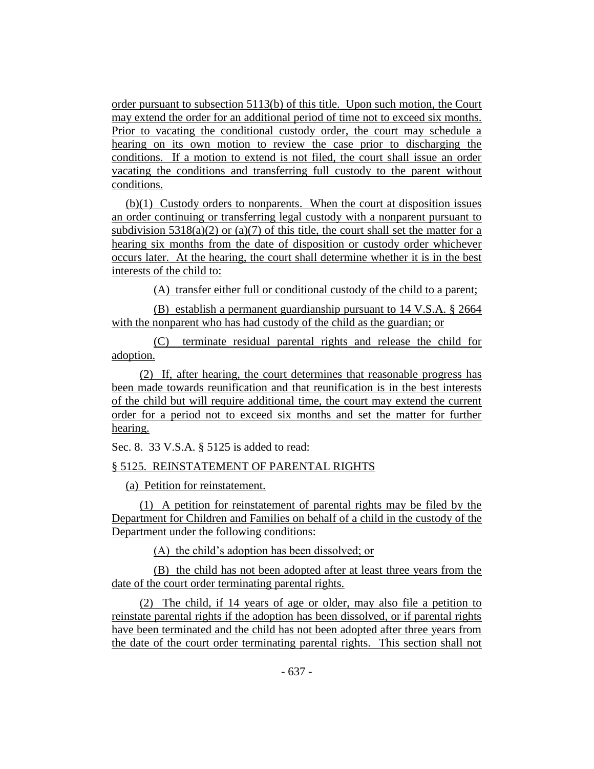order pursuant to subsection 5113(b) of this title. Upon such motion, the Court may extend the order for an additional period of time not to exceed six months. Prior to vacating the conditional custody order, the court may schedule a hearing on its own motion to review the case prior to discharging the conditions. If a motion to extend is not filed, the court shall issue an order vacating the conditions and transferring full custody to the parent without conditions.

(b)(1) Custody orders to nonparents. When the court at disposition issues an order continuing or transferring legal custody with a nonparent pursuant to subdivision  $5318(a)(2)$  or  $(a)(7)$  of this title, the court shall set the matter for a hearing six months from the date of disposition or custody order whichever occurs later. At the hearing, the court shall determine whether it is in the best interests of the child to:

(A) transfer either full or conditional custody of the child to a parent;

(B) establish a permanent guardianship pursuant to 14 V.S.A. § 2664 with the nonparent who has had custody of the child as the guardian; or

(C) terminate residual parental rights and release the child for adoption.

(2) If, after hearing, the court determines that reasonable progress has been made towards reunification and that reunification is in the best interests of the child but will require additional time, the court may extend the current order for a period not to exceed six months and set the matter for further hearing.

Sec. 8. 33 V.S.A. § 5125 is added to read:

# § 5125. REINSTATEMENT OF PARENTAL RIGHTS

(a) Petition for reinstatement.

(1) A petition for reinstatement of parental rights may be filed by the Department for Children and Families on behalf of a child in the custody of the Department under the following conditions:

(A) the child's adoption has been dissolved; or

(B) the child has not been adopted after at least three years from the date of the court order terminating parental rights.

(2) The child, if 14 years of age or older, may also file a petition to reinstate parental rights if the adoption has been dissolved, or if parental rights have been terminated and the child has not been adopted after three years from the date of the court order terminating parental rights. This section shall not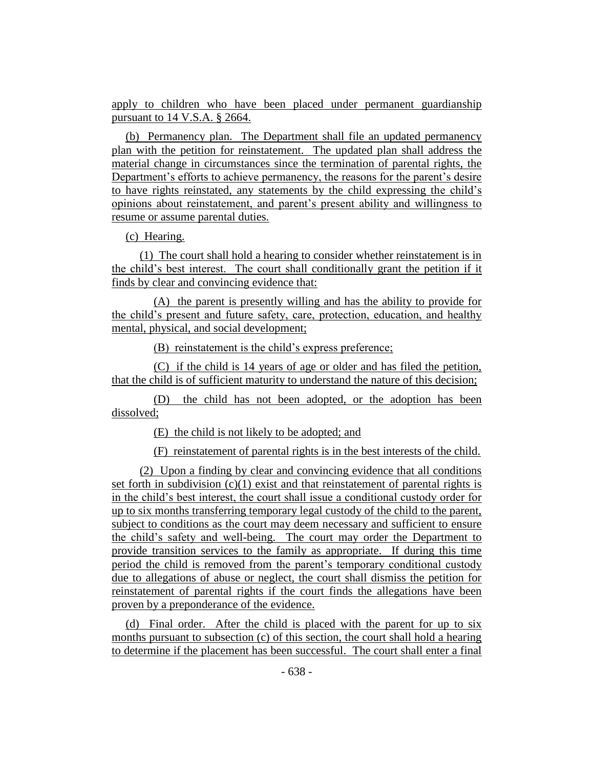apply to children who have been placed under permanent guardianship pursuant to 14 V.S.A. § 2664.

(b) Permanency plan. The Department shall file an updated permanency plan with the petition for reinstatement. The updated plan shall address the material change in circumstances since the termination of parental rights, the Department's efforts to achieve permanency, the reasons for the parent's desire to have rights reinstated, any statements by the child expressing the child's opinions about reinstatement, and parent's present ability and willingness to resume or assume parental duties.

(c) Hearing.

(1) The court shall hold a hearing to consider whether reinstatement is in the child's best interest. The court shall conditionally grant the petition if it finds by clear and convincing evidence that:

(A) the parent is presently willing and has the ability to provide for the child's present and future safety, care, protection, education, and healthy mental, physical, and social development;

(B) reinstatement is the child's express preference;

(C) if the child is 14 years of age or older and has filed the petition, that the child is of sufficient maturity to understand the nature of this decision;

(D) the child has not been adopted, or the adoption has been dissolved;

(E) the child is not likely to be adopted; and

(F) reinstatement of parental rights is in the best interests of the child.

(2) Upon a finding by clear and convincing evidence that all conditions set forth in subdivision  $(c)(1)$  exist and that reinstatement of parental rights is in the child's best interest, the court shall issue a conditional custody order for up to six months transferring temporary legal custody of the child to the parent, subject to conditions as the court may deem necessary and sufficient to ensure the child's safety and well-being. The court may order the Department to provide transition services to the family as appropriate. If during this time period the child is removed from the parent's temporary conditional custody due to allegations of abuse or neglect, the court shall dismiss the petition for reinstatement of parental rights if the court finds the allegations have been proven by a preponderance of the evidence.

(d) Final order. After the child is placed with the parent for up to six months pursuant to subsection (c) of this section, the court shall hold a hearing to determine if the placement has been successful. The court shall enter a final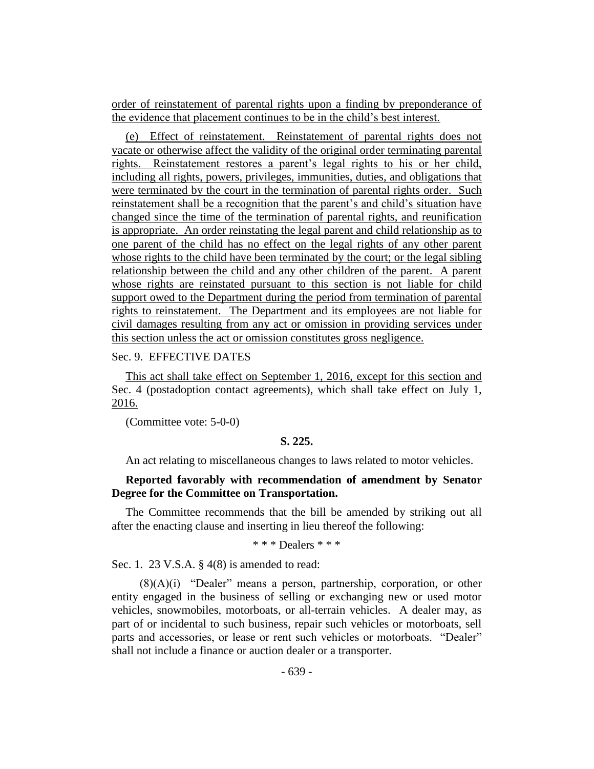order of reinstatement of parental rights upon a finding by preponderance of the evidence that placement continues to be in the child's best interest.

(e) Effect of reinstatement. Reinstatement of parental rights does not vacate or otherwise affect the validity of the original order terminating parental rights. Reinstatement restores a parent's legal rights to his or her child, including all rights, powers, privileges, immunities, duties, and obligations that were terminated by the court in the termination of parental rights order. Such reinstatement shall be a recognition that the parent's and child's situation have changed since the time of the termination of parental rights, and reunification is appropriate. An order reinstating the legal parent and child relationship as to one parent of the child has no effect on the legal rights of any other parent whose rights to the child have been terminated by the court; or the legal sibling relationship between the child and any other children of the parent. A parent whose rights are reinstated pursuant to this section is not liable for child support owed to the Department during the period from termination of parental rights to reinstatement. The Department and its employees are not liable for civil damages resulting from any act or omission in providing services under this section unless the act or omission constitutes gross negligence.

# Sec. 9. EFFECTIVE DATES

This act shall take effect on September 1, 2016, except for this section and Sec. 4 (postadoption contact agreements), which shall take effect on July 1, 2016.

(Committee vote: 5-0-0)

## **S. 225.**

An act relating to miscellaneous changes to laws related to motor vehicles.

# **Reported favorably with recommendation of amendment by Senator Degree for the Committee on Transportation.**

The Committee recommends that the bill be amended by striking out all after the enacting clause and inserting in lieu thereof the following:

\* \* \* Dealers \* \* \*

Sec. 1. 23 V.S.A. § 4(8) is amended to read:

(8)(A)(i) "Dealer" means a person, partnership, corporation, or other entity engaged in the business of selling or exchanging new or used motor vehicles, snowmobiles, motorboats, or all-terrain vehicles. A dealer may, as part of or incidental to such business, repair such vehicles or motorboats, sell parts and accessories, or lease or rent such vehicles or motorboats. "Dealer" shall not include a finance or auction dealer or a transporter.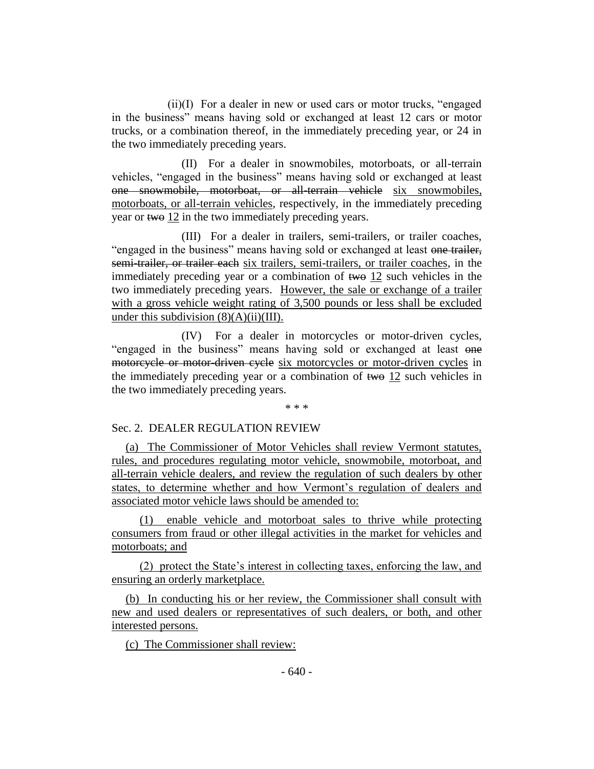(ii)(I) For a dealer in new or used cars or motor trucks, "engaged in the business" means having sold or exchanged at least 12 cars or motor trucks, or a combination thereof, in the immediately preceding year, or 24 in the two immediately preceding years.

(II) For a dealer in snowmobiles, motorboats, or all-terrain vehicles, "engaged in the business" means having sold or exchanged at least one snowmobile, motorboat, or all-terrain vehicle six snowmobiles, motorboats, or all-terrain vehicles, respectively, in the immediately preceding year or two 12 in the two immediately preceding years.

(III) For a dealer in trailers, semi-trailers, or trailer coaches, "engaged in the business" means having sold or exchanged at least one trailer, semi-trailer, or trailer each six trailers, semi-trailers, or trailer coaches, in the immediately preceding year or a combination of two 12 such vehicles in the two immediately preceding years. However, the sale or exchange of a trailer with a gross vehicle weight rating of 3,500 pounds or less shall be excluded under this subdivision  $(8)(A)(ii)(III)$ .

(IV) For a dealer in motorcycles or motor-driven cycles, "engaged in the business" means having sold or exchanged at least one motorcycle or motor-driven cycle six motorcycles or motor-driven cycles in the immediately preceding year or a combination of two 12 such vehicles in the two immediately preceding years.

\* \* \*

# Sec. 2. DEALER REGULATION REVIEW

(a) The Commissioner of Motor Vehicles shall review Vermont statutes, rules, and procedures regulating motor vehicle, snowmobile, motorboat, and all-terrain vehicle dealers, and review the regulation of such dealers by other states, to determine whether and how Vermont's regulation of dealers and associated motor vehicle laws should be amended to:

(1) enable vehicle and motorboat sales to thrive while protecting consumers from fraud or other illegal activities in the market for vehicles and motorboats; and

(2) protect the State's interest in collecting taxes, enforcing the law, and ensuring an orderly marketplace.

(b) In conducting his or her review, the Commissioner shall consult with new and used dealers or representatives of such dealers, or both, and other interested persons.

(c) The Commissioner shall review: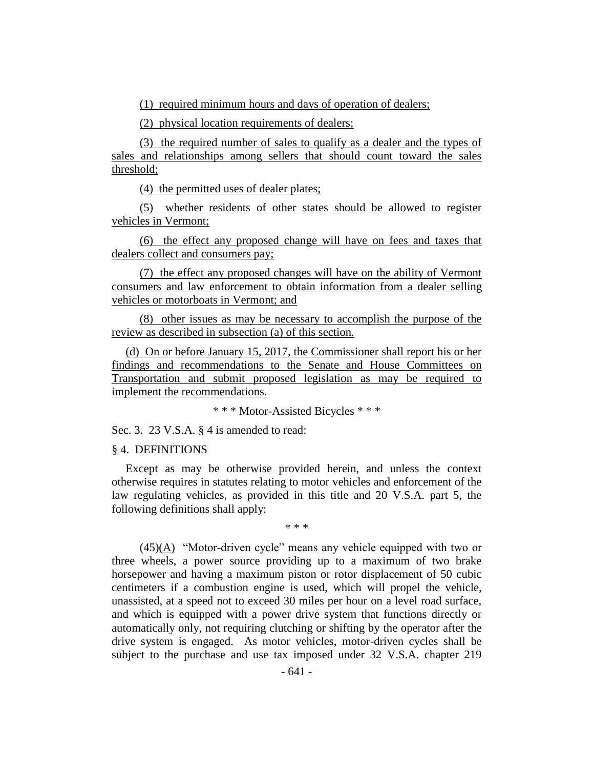(1) required minimum hours and days of operation of dealers;

(2) physical location requirements of dealers;

(3) the required number of sales to qualify as a dealer and the types of sales and relationships among sellers that should count toward the sales threshold;

(4) the permitted uses of dealer plates;

(5) whether residents of other states should be allowed to register vehicles in Vermont;

(6) the effect any proposed change will have on fees and taxes that dealers collect and consumers pay;

(7) the effect any proposed changes will have on the ability of Vermont consumers and law enforcement to obtain information from a dealer selling vehicles or motorboats in Vermont; and

(8) other issues as may be necessary to accomplish the purpose of the review as described in subsection (a) of this section.

(d) On or before January 15, 2017, the Commissioner shall report his or her findings and recommendations to the Senate and House Committees on Transportation and submit proposed legislation as may be required to implement the recommendations.

\* \* \* Motor-Assisted Bicycles \* \* \*

Sec. 3. 23 V.S.A. § 4 is amended to read:

§ 4. DEFINITIONS

Except as may be otherwise provided herein, and unless the context otherwise requires in statutes relating to motor vehicles and enforcement of the law regulating vehicles, as provided in this title and 20 V.S.A. part 5, the following definitions shall apply:

\* \* \*

 $(45)(A)$  "Motor-driven cycle" means any vehicle equipped with two or three wheels, a power source providing up to a maximum of two brake horsepower and having a maximum piston or rotor displacement of 50 cubic centimeters if a combustion engine is used, which will propel the vehicle, unassisted, at a speed not to exceed 30 miles per hour on a level road surface, and which is equipped with a power drive system that functions directly or automatically only, not requiring clutching or shifting by the operator after the drive system is engaged. As motor vehicles, motor-driven cycles shall be subject to the purchase and use tax imposed under 32 V.S.A. chapter 219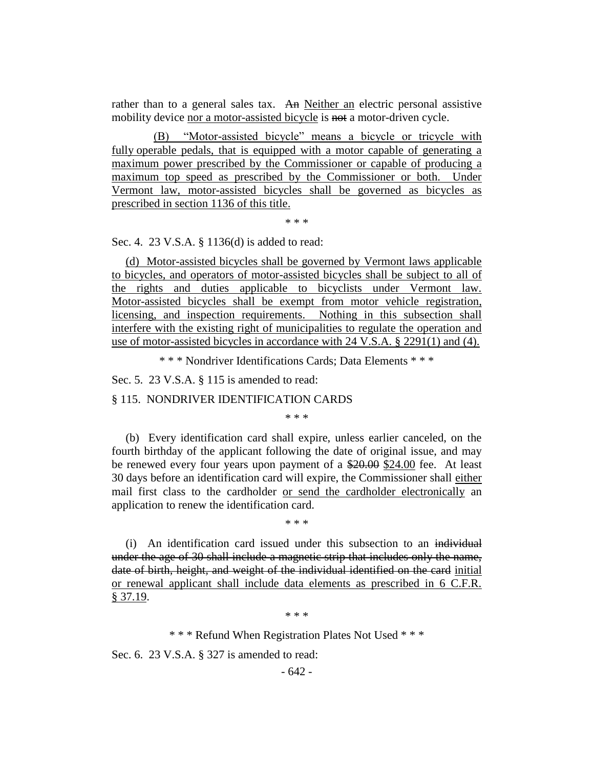rather than to a general sales tax. An Neither an electric personal assistive mobility device nor a motor-assisted bicycle is not a motor-driven cycle.

(B) "Motor-assisted bicycle" means a bicycle or tricycle with fully operable pedals, that is equipped with a motor capable of generating a maximum power prescribed by the Commissioner or capable of producing a maximum top speed as prescribed by the Commissioner or both. Under Vermont law, motor-assisted bicycles shall be governed as bicycles as prescribed in section 1136 of this title.

\* \* \*

Sec. 4. 23 V.S.A. § 1136(d) is added to read:

(d) Motor-assisted bicycles shall be governed by Vermont laws applicable to bicycles, and operators of motor-assisted bicycles shall be subject to all of the rights and duties applicable to bicyclists under Vermont law. Motor-assisted bicycles shall be exempt from motor vehicle registration, licensing, and inspection requirements. Nothing in this subsection shall interfere with the existing right of municipalities to regulate the operation and use of motor-assisted bicycles in accordance with 24 V.S.A. § 2291(1) and (4).

\* \* \* Nondriver Identifications Cards; Data Elements \* \* \*

Sec. 5. 23 V.S.A. § 115 is amended to read:

§ 115. NONDRIVER IDENTIFICATION CARDS

\* \* \*

(b) Every identification card shall expire, unless earlier canceled, on the fourth birthday of the applicant following the date of original issue, and may be renewed every four years upon payment of a \$20.00 \$24.00 fee. At least 30 days before an identification card will expire, the Commissioner shall either mail first class to the cardholder or send the cardholder electronically an application to renew the identification card.

\* \* \*

(i) An identification card issued under this subsection to an individual under the age of 30 shall include a magnetic strip that includes only the name, date of birth, height, and weight of the individual identified on the card initial or renewal applicant shall include data elements as prescribed in 6 C.F.R. § 37.19.

\* \* \*

\* \* \* Refund When Registration Plates Not Used \* \* \*

Sec. 6. 23 V.S.A. § 327 is amended to read: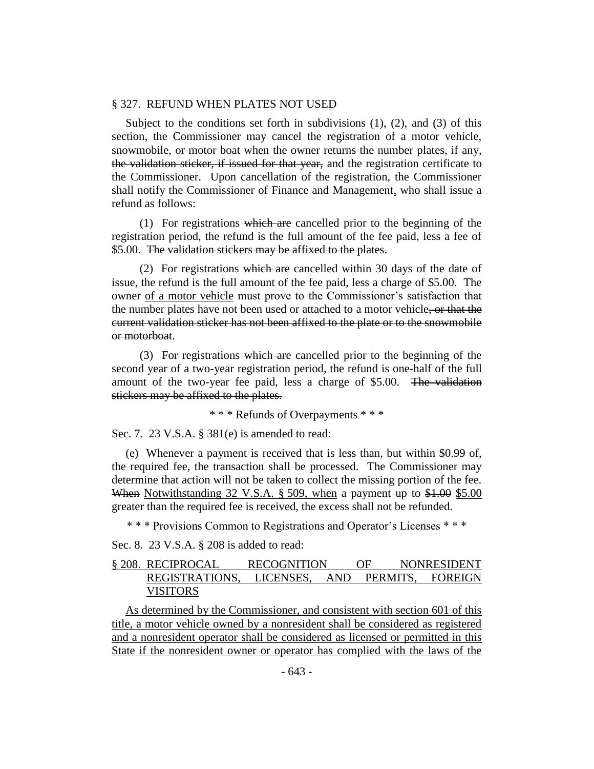#### § 327. REFUND WHEN PLATES NOT USED

Subject to the conditions set forth in subdivisions  $(1)$ ,  $(2)$ , and  $(3)$  of this section, the Commissioner may cancel the registration of a motor vehicle, snowmobile, or motor boat when the owner returns the number plates, if any, the validation sticker, if issued for that year, and the registration certificate to the Commissioner. Upon cancellation of the registration, the Commissioner shall notify the Commissioner of Finance and Management, who shall issue a refund as follows:

(1) For registrations which are cancelled prior to the beginning of the registration period, the refund is the full amount of the fee paid, less a fee of \$5.00. The validation stickers may be affixed to the plates.

(2) For registrations which are cancelled within 30 days of the date of issue, the refund is the full amount of the fee paid, less a charge of \$5.00. The owner of a motor vehicle must prove to the Commissioner's satisfaction that the number plates have not been used or attached to a motor vehicle, or that the current validation sticker has not been affixed to the plate or to the snowmobile or motorboat.

(3) For registrations which are cancelled prior to the beginning of the second year of a two-year registration period, the refund is one-half of the full amount of the two-year fee paid, less a charge of \$5.00. The validation stickers may be affixed to the plates.

\* \* \* Refunds of Overpayments \* \* \*

Sec. 7. 23 V.S.A. § 381(e) is amended to read:

(e) Whenever a payment is received that is less than, but within \$0.99 of, the required fee, the transaction shall be processed. The Commissioner may determine that action will not be taken to collect the missing portion of the fee. When Notwithstanding 32 V.S.A. § 509, when a payment up to \$1.00 \$5.00 greater than the required fee is received, the excess shall not be refunded.

\* \* \* Provisions Common to Registrations and Operator's Licenses \* \* \*

Sec. 8. 23 V.S.A. § 208 is added to read:

# § 208. RECIPROCAL RECOGNITION OF NONRESIDENT REGISTRATIONS, LICENSES, AND PERMITS, FOREIGN VISITORS

As determined by the Commissioner, and consistent with section 601 of this title, a motor vehicle owned by a nonresident shall be considered as registered and a nonresident operator shall be considered as licensed or permitted in this State if the nonresident owner or operator has complied with the laws of the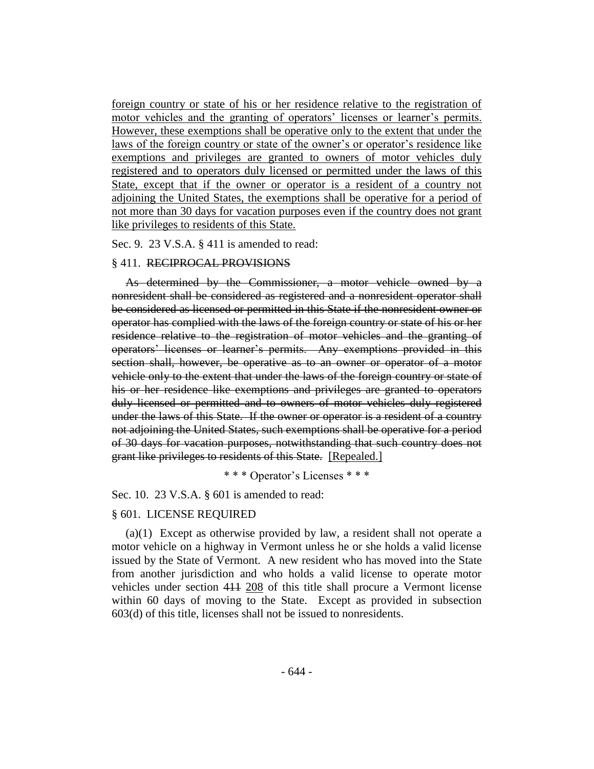foreign country or state of his or her residence relative to the registration of motor vehicles and the granting of operators' licenses or learner's permits. However, these exemptions shall be operative only to the extent that under the laws of the foreign country or state of the owner's or operator's residence like exemptions and privileges are granted to owners of motor vehicles duly registered and to operators duly licensed or permitted under the laws of this State, except that if the owner or operator is a resident of a country not adjoining the United States, the exemptions shall be operative for a period of not more than 30 days for vacation purposes even if the country does not grant like privileges to residents of this State.

Sec. 9. 23 V.S.A. § 411 is amended to read:

#### § 411. RECIPROCAL PROVISIONS

As determined by the Commissioner, a motor vehicle owned by a nonresident shall be considered as registered and a nonresident operator shall be considered as licensed or permitted in this State if the nonresident owner or operator has complied with the laws of the foreign country or state of his or her residence relative to the registration of motor vehicles and the granting of operators' licenses or learner's permits. Any exemptions provided in this section shall, however, be operative as to an owner or operator of a motor vehicle only to the extent that under the laws of the foreign country or state of his or her residence like exemptions and privileges are granted to operators duly licensed or permitted and to owners of motor vehicles duly registered under the laws of this State. If the owner or operator is a resident of a country not adjoining the United States, such exemptions shall be operative for a period of 30 days for vacation purposes, notwithstanding that such country does not grant like privileges to residents of this State. [Repealed.]

\* \* \* Operator's Licenses \* \* \*

#### Sec. 10. 23 V.S.A. § 601 is amended to read:

#### § 601. LICENSE REQUIRED

(a)(1) Except as otherwise provided by law, a resident shall not operate a motor vehicle on a highway in Vermont unless he or she holds a valid license issued by the State of Vermont. A new resident who has moved into the State from another jurisdiction and who holds a valid license to operate motor vehicles under section 411 208 of this title shall procure a Vermont license within 60 days of moving to the State. Except as provided in subsection 603(d) of this title, licenses shall not be issued to nonresidents.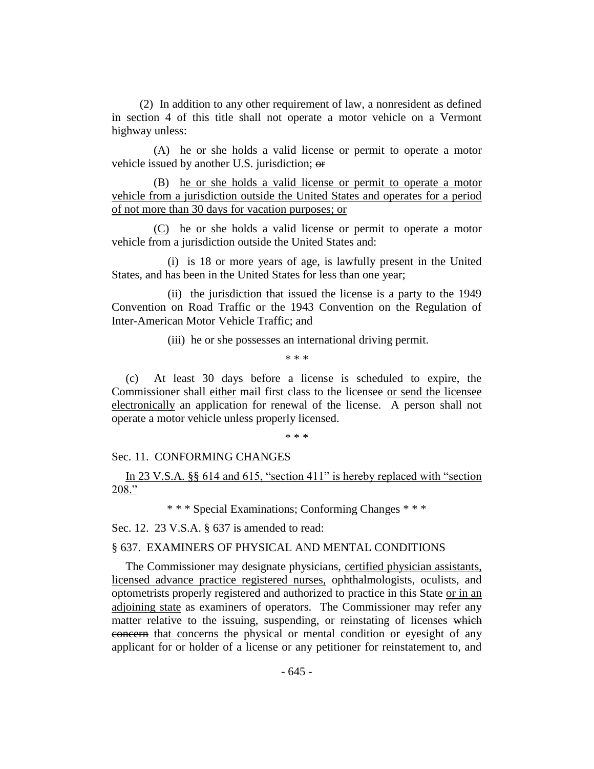(2) In addition to any other requirement of law, a nonresident as defined in section 4 of this title shall not operate a motor vehicle on a Vermont highway unless:

(A) he or she holds a valid license or permit to operate a motor vehicle issued by another U.S. jurisdiction; or

(B) he or she holds a valid license or permit to operate a motor vehicle from a jurisdiction outside the United States and operates for a period of not more than 30 days for vacation purposes; or

(C) he or she holds a valid license or permit to operate a motor vehicle from a jurisdiction outside the United States and:

(i) is 18 or more years of age, is lawfully present in the United States, and has been in the United States for less than one year;

(ii) the jurisdiction that issued the license is a party to the 1949 Convention on Road Traffic or the 1943 Convention on the Regulation of Inter-American Motor Vehicle Traffic; and

(iii) he or she possesses an international driving permit.

\* \* \*

(c) At least 30 days before a license is scheduled to expire, the Commissioner shall either mail first class to the licensee or send the licensee electronically an application for renewal of the license. A person shall not operate a motor vehicle unless properly licensed.

\* \* \*

# Sec. 11. CONFORMING CHANGES

In 23 V.S.A. §§ 614 and 615, "section 411" is hereby replaced with "section 208."

\* \* \* Special Examinations; Conforming Changes \* \* \*

Sec. 12. 23 V.S.A. § 637 is amended to read:

# § 637. EXAMINERS OF PHYSICAL AND MENTAL CONDITIONS

The Commissioner may designate physicians, certified physician assistants, licensed advance practice registered nurses, ophthalmologists, oculists, and optometrists properly registered and authorized to practice in this State or in an adjoining state as examiners of operators. The Commissioner may refer any matter relative to the issuing, suspending, or reinstating of licenses which concern that concerns the physical or mental condition or eyesight of any applicant for or holder of a license or any petitioner for reinstatement to, and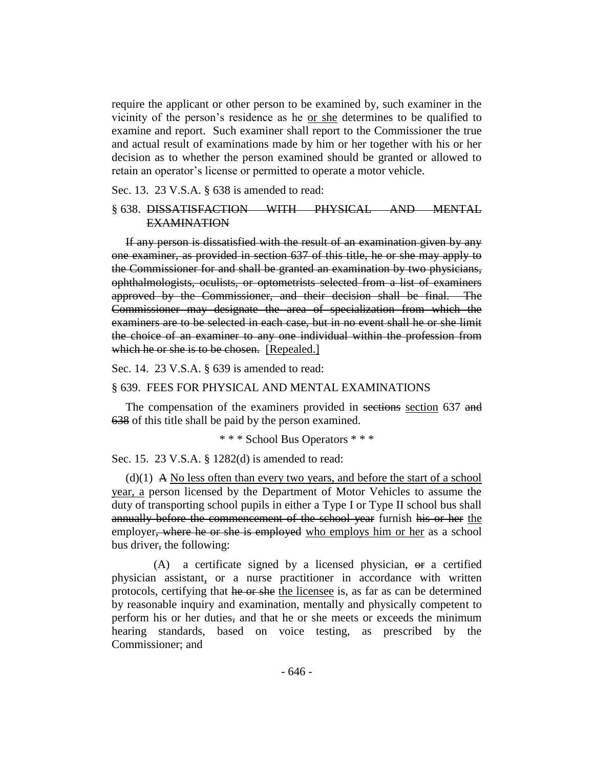require the applicant or other person to be examined by, such examiner in the vicinity of the person's residence as he or she determines to be qualified to examine and report. Such examiner shall report to the Commissioner the true and actual result of examinations made by him or her together with his or her decision as to whether the person examined should be granted or allowed to retain an operator's license or permitted to operate a motor vehicle.

Sec. 13. 23 V.S.A. § 638 is amended to read:

# § 638. DISSATISFACTION WITH PHYSICAL AND MENTAL EXAMINATION

If any person is dissatisfied with the result of an examination given by any one examiner, as provided in section 637 of this title, he or she may apply to the Commissioner for and shall be granted an examination by two physicians, ophthalmologists, oculists, or optometrists selected from a list of examiners approved by the Commissioner, and their decision shall be final. The Commissioner may designate the area of specialization from which the examiners are to be selected in each case, but in no event shall he or she limit the choice of an examiner to any one individual within the profession from which he or she is to be chosen. [Repealed.]

Sec. 14. 23 V.S.A. § 639 is amended to read:

#### § 639. FEES FOR PHYSICAL AND MENTAL EXAMINATIONS

The compensation of the examiners provided in sections section 637 and 638 of this title shall be paid by the person examined.

\* \* \* School Bus Operators \* \* \*

Sec. 15. 23 V.S.A. § 1282(d) is amended to read:

 $(d)(1)$  A No less often than every two years, and before the start of a school year, a person licensed by the Department of Motor Vehicles to assume the duty of transporting school pupils in either a Type I or Type II school bus shall annually before the commencement of the school year furnish his or her the employer, where he or she is employed who employs him or her as a school bus driver, the following:

(A) a certificate signed by a licensed physician, or a certified physician assistant, or a nurse practitioner in accordance with written protocols, certifying that he or she the licensee is, as far as can be determined by reasonable inquiry and examination, mentally and physically competent to perform his or her duties, and that he or she meets or exceeds the minimum hearing standards, based on voice testing, as prescribed by the Commissioner; and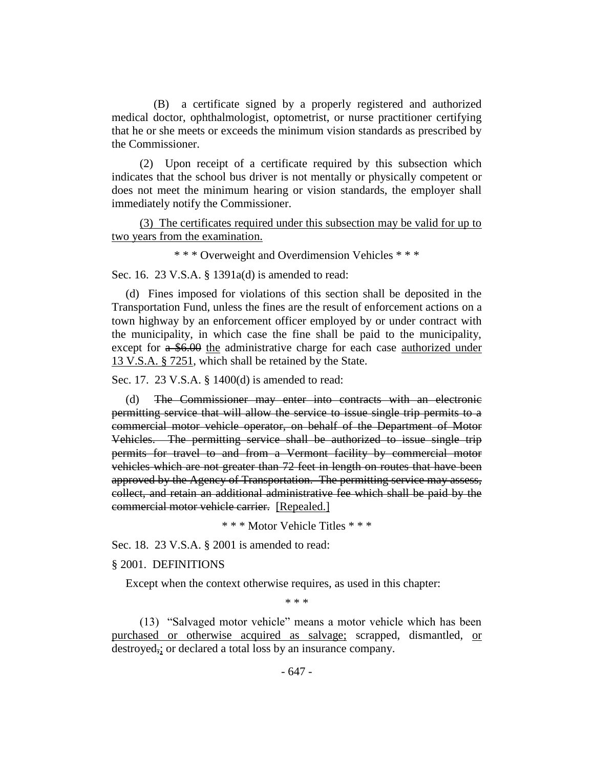(B) a certificate signed by a properly registered and authorized medical doctor, ophthalmologist, optometrist, or nurse practitioner certifying that he or she meets or exceeds the minimum vision standards as prescribed by the Commissioner.

(2) Upon receipt of a certificate required by this subsection which indicates that the school bus driver is not mentally or physically competent or does not meet the minimum hearing or vision standards, the employer shall immediately notify the Commissioner.

(3) The certificates required under this subsection may be valid for up to two years from the examination.

\* \* \* Overweight and Overdimension Vehicles \* \* \*

Sec. 16. 23 V.S.A. § 1391a(d) is amended to read:

(d) Fines imposed for violations of this section shall be deposited in the Transportation Fund, unless the fines are the result of enforcement actions on a town highway by an enforcement officer employed by or under contract with the municipality, in which case the fine shall be paid to the municipality, except for a \$6.00 the administrative charge for each case authorized under 13 V.S.A. § 7251, which shall be retained by the State.

Sec. 17. 23 V.S.A. § 1400(d) is amended to read:

(d) The Commissioner may enter into contracts with an electronic permitting service that will allow the service to issue single trip permits to a commercial motor vehicle operator, on behalf of the Department of Motor Vehicles. The permitting service shall be authorized to issue single trip permits for travel to and from a Vermont facility by commercial motor vehicles which are not greater than 72 feet in length on routes that have been approved by the Agency of Transportation. The permitting service may assess, collect, and retain an additional administrative fee which shall be paid by the commercial motor vehicle carrier. [Repealed.]

\* \* \* Motor Vehicle Titles \* \* \*

Sec. 18. 23 V.S.A. § 2001 is amended to read:

# § 2001. DEFINITIONS

Except when the context otherwise requires, as used in this chapter:

\* \* \*

(13) "Salvaged motor vehicle" means a motor vehicle which has been purchased or otherwise acquired as salvage; scrapped, dismantled, or destroyed,; or declared a total loss by an insurance company.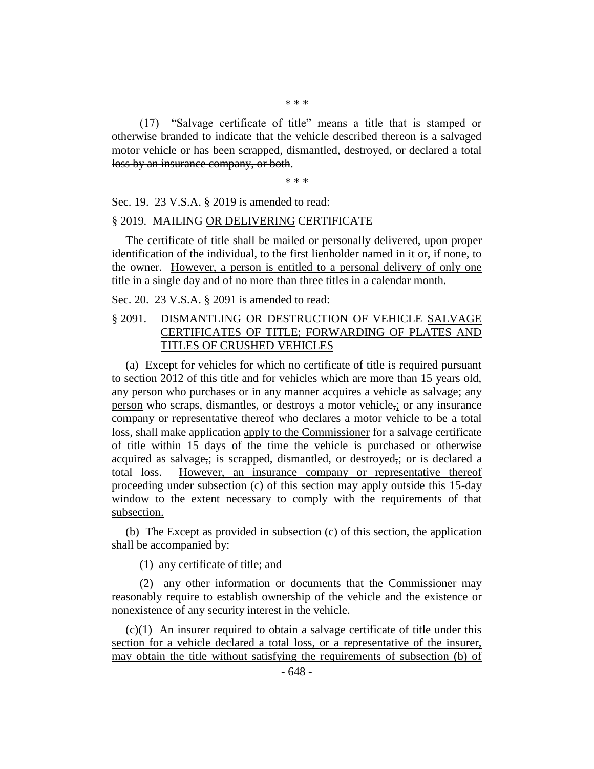(17) "Salvage certificate of title" means a title that is stamped or otherwise branded to indicate that the vehicle described thereon is a salvaged motor vehicle or has been scrapped, dismantled, destroyed, or declared a total loss by an insurance company, or both.

\* \* \*

Sec. 19. 23 V.S.A. § 2019 is amended to read:

#### § 2019. MAILING OR DELIVERING CERTIFICATE

The certificate of title shall be mailed or personally delivered, upon proper identification of the individual, to the first lienholder named in it or, if none, to the owner. However, a person is entitled to a personal delivery of only one title in a single day and of no more than three titles in a calendar month.

Sec. 20. 23 V.S.A. § 2091 is amended to read:

# § 2091. DISMANTLING OR DESTRUCTION OF VEHICLE SALVAGE CERTIFICATES OF TITLE; FORWARDING OF PLATES AND TITLES OF CRUSHED VEHICLES

(a) Except for vehicles for which no certificate of title is required pursuant to section 2012 of this title and for vehicles which are more than 15 years old, any person who purchases or in any manner acquires a vehicle as salvage; any person who scraps, dismantles, or destroys a motor vehicle,; or any insurance company or representative thereof who declares a motor vehicle to be a total loss, shall make application apply to the Commissioner for a salvage certificate of title within 15 days of the time the vehicle is purchased or otherwise acquired as salvage, is scrapped, dismantled, or destroyed, or is declared a total loss. However, an insurance company or representative thereof proceeding under subsection (c) of this section may apply outside this 15-day window to the extent necessary to comply with the requirements of that subsection.

(b) The Except as provided in subsection (c) of this section, the application shall be accompanied by:

(1) any certificate of title; and

(2) any other information or documents that the Commissioner may reasonably require to establish ownership of the vehicle and the existence or nonexistence of any security interest in the vehicle.

(c)(1) An insurer required to obtain a salvage certificate of title under this section for a vehicle declared a total loss, or a representative of the insurer, may obtain the title without satisfying the requirements of subsection (b) of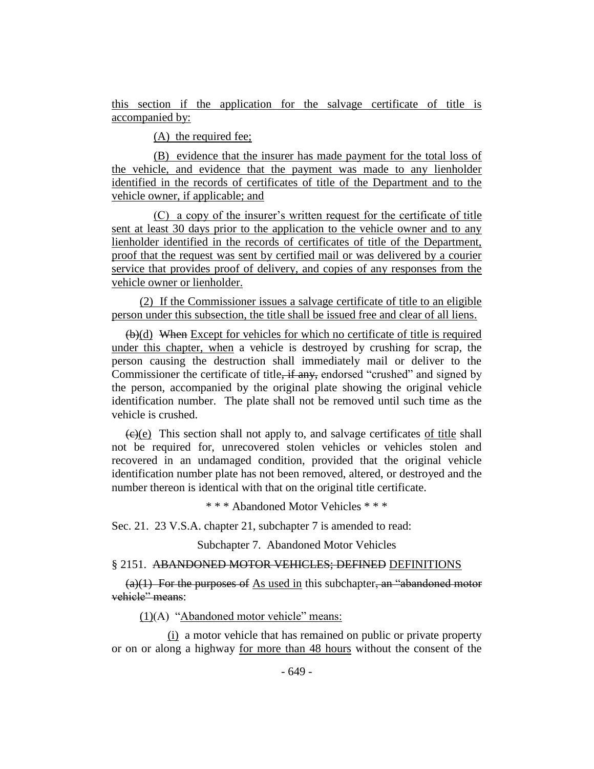this section if the application for the salvage certificate of title is accompanied by:

(A) the required fee;

(B) evidence that the insurer has made payment for the total loss of the vehicle, and evidence that the payment was made to any lienholder identified in the records of certificates of title of the Department and to the vehicle owner, if applicable; and

(C) a copy of the insurer's written request for the certificate of title sent at least 30 days prior to the application to the vehicle owner and to any lienholder identified in the records of certificates of title of the Department, proof that the request was sent by certified mail or was delivered by a courier service that provides proof of delivery, and copies of any responses from the vehicle owner or lienholder.

(2) If the Commissioner issues a salvage certificate of title to an eligible person under this subsection, the title shall be issued free and clear of all liens.

 $(b)(d)$  When Except for vehicles for which no certificate of title is required under this chapter, when a vehicle is destroyed by crushing for scrap, the person causing the destruction shall immediately mail or deliver to the Commissioner the certificate of title<del>, if any,</del> endorsed "crushed" and signed by the person, accompanied by the original plate showing the original vehicle identification number. The plate shall not be removed until such time as the vehicle is crushed.

 $(e)(e)$  This section shall not apply to, and salvage certificates of title shall not be required for, unrecovered stolen vehicles or vehicles stolen and recovered in an undamaged condition, provided that the original vehicle identification number plate has not been removed, altered, or destroyed and the number thereon is identical with that on the original title certificate.

\* \* \* Abandoned Motor Vehicles \* \* \*

Sec. 21. 23 V.S.A. chapter 21, subchapter 7 is amended to read:

Subchapter 7. Abandoned Motor Vehicles

#### § 2151. ABANDONED MOTOR VEHICLES; DEFINED DEFINITIONS

 $(a)(1)$  For the purposes of As used in this subchapter, an "abandoned motor vehicle" means:

(1)(A) "Abandoned motor vehicle" means:

(i) a motor vehicle that has remained on public or private property or on or along a highway for more than 48 hours without the consent of the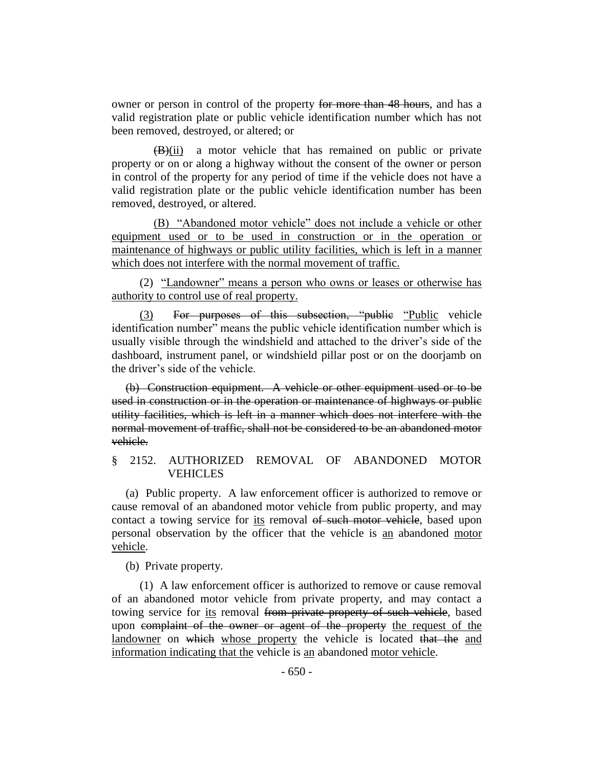owner or person in control of the property for more than 48 hours, and has a valid registration plate or public vehicle identification number which has not been removed, destroyed, or altered; or

 $(B)(ii)$  a motor vehicle that has remained on public or private property or on or along a highway without the consent of the owner or person in control of the property for any period of time if the vehicle does not have a valid registration plate or the public vehicle identification number has been removed, destroyed, or altered.

(B) "Abandoned motor vehicle" does not include a vehicle or other equipment used or to be used in construction or in the operation or maintenance of highways or public utility facilities, which is left in a manner which does not interfere with the normal movement of traffic.

(2) "Landowner" means a person who owns or leases or otherwise has authority to control use of real property.

(3) For purposes of this subsection, "public "Public vehicle identification number" means the public vehicle identification number which is usually visible through the windshield and attached to the driver's side of the dashboard, instrument panel, or windshield pillar post or on the doorjamb on the driver's side of the vehicle.

(b) Construction equipment. A vehicle or other equipment used or to be used in construction or in the operation or maintenance of highways or public utility facilities, which is left in a manner which does not interfere with the normal movement of traffic, shall not be considered to be an abandoned motor vehicle.

# § 2152. AUTHORIZED REMOVAL OF ABANDONED MOTOR VEHICLES

(a) Public property. A law enforcement officer is authorized to remove or cause removal of an abandoned motor vehicle from public property, and may contact a towing service for its removal of such motor vehicle, based upon personal observation by the officer that the vehicle is an abandoned motor vehicle.

(b) Private property.

(1) A law enforcement officer is authorized to remove or cause removal of an abandoned motor vehicle from private property, and may contact a towing service for its removal from private property of such vehicle, based upon complaint of the owner or agent of the property the request of the landowner on which whose property the vehicle is located that the and information indicating that the vehicle is an abandoned motor vehicle.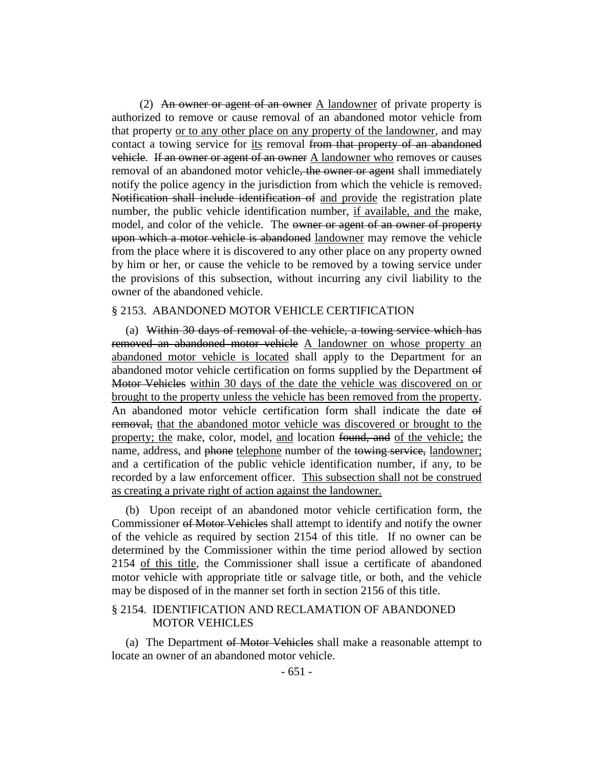(2) An owner or agent of an owner A landowner of private property is authorized to remove or cause removal of an abandoned motor vehicle from that property or to any other place on any property of the landowner, and may contact a towing service for its removal from that property of an abandoned vehicle. If an owner or agent of an owner A landowner who removes or causes removal of an abandoned motor vehicle, the owner or agent shall immediately notify the police agency in the jurisdiction from which the vehicle is removed. Notification shall include identification of and provide the registration plate number, the public vehicle identification number, if available, and the make, model, and color of the vehicle. The owner or agent of an owner of property upon which a motor vehicle is abandoned landowner may remove the vehicle from the place where it is discovered to any other place on any property owned by him or her, or cause the vehicle to be removed by a towing service under the provisions of this subsection, without incurring any civil liability to the owner of the abandoned vehicle.

#### § 2153. ABANDONED MOTOR VEHICLE CERTIFICATION

(a) Within 30 days of removal of the vehicle, a towing service which has removed an abandoned motor vehicle A landowner on whose property an abandoned motor vehicle is located shall apply to the Department for an abandoned motor vehicle certification on forms supplied by the Department of Motor Vehicles within 30 days of the date the vehicle was discovered on or brought to the property unless the vehicle has been removed from the property. An abandoned motor vehicle certification form shall indicate the date of removal, that the abandoned motor vehicle was discovered or brought to the property; the make, color, model, and location found, and of the vehicle; the name, address, and phone telephone number of the towing service, landowner; and a certification of the public vehicle identification number, if any, to be recorded by a law enforcement officer. This subsection shall not be construed as creating a private right of action against the landowner.

(b) Upon receipt of an abandoned motor vehicle certification form, the Commissioner of Motor Vehicles shall attempt to identify and notify the owner of the vehicle as required by section 2154 of this title. If no owner can be determined by the Commissioner within the time period allowed by section 2154 of this title, the Commissioner shall issue a certificate of abandoned motor vehicle with appropriate title or salvage title, or both, and the vehicle may be disposed of in the manner set forth in section 2156 of this title.

## § 2154. IDENTIFICATION AND RECLAMATION OF ABANDONED MOTOR VEHICLES

(a) The Department of Motor Vehicles shall make a reasonable attempt to locate an owner of an abandoned motor vehicle.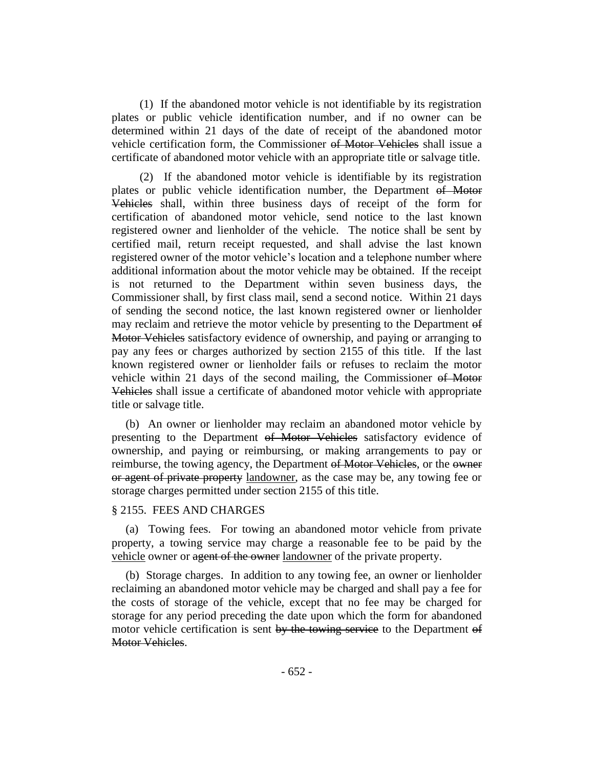(1) If the abandoned motor vehicle is not identifiable by its registration plates or public vehicle identification number, and if no owner can be determined within 21 days of the date of receipt of the abandoned motor vehicle certification form, the Commissioner of Motor Vehicles shall issue a certificate of abandoned motor vehicle with an appropriate title or salvage title.

(2) If the abandoned motor vehicle is identifiable by its registration plates or public vehicle identification number, the Department of Motor Vehicles shall, within three business days of receipt of the form for certification of abandoned motor vehicle, send notice to the last known registered owner and lienholder of the vehicle. The notice shall be sent by certified mail, return receipt requested, and shall advise the last known registered owner of the motor vehicle's location and a telephone number where additional information about the motor vehicle may be obtained. If the receipt is not returned to the Department within seven business days, the Commissioner shall, by first class mail, send a second notice. Within 21 days of sending the second notice, the last known registered owner or lienholder may reclaim and retrieve the motor vehicle by presenting to the Department of Motor Vehicles satisfactory evidence of ownership, and paying or arranging to pay any fees or charges authorized by section 2155 of this title. If the last known registered owner or lienholder fails or refuses to reclaim the motor vehicle within 21 days of the second mailing, the Commissioner of Motor Vehicles shall issue a certificate of abandoned motor vehicle with appropriate title or salvage title.

(b) An owner or lienholder may reclaim an abandoned motor vehicle by presenting to the Department of Motor Vehicles satisfactory evidence of ownership, and paying or reimbursing, or making arrangements to pay or reimburse, the towing agency, the Department of Motor Vehicles, or the owner or agent of private property landowner, as the case may be, any towing fee or storage charges permitted under section 2155 of this title.

#### § 2155. FEES AND CHARGES

(a) Towing fees. For towing an abandoned motor vehicle from private property, a towing service may charge a reasonable fee to be paid by the vehicle owner or agent of the owner landowner of the private property.

(b) Storage charges. In addition to any towing fee, an owner or lienholder reclaiming an abandoned motor vehicle may be charged and shall pay a fee for the costs of storage of the vehicle, except that no fee may be charged for storage for any period preceding the date upon which the form for abandoned motor vehicle certification is sent by the towing service to the Department of Motor Vehicles.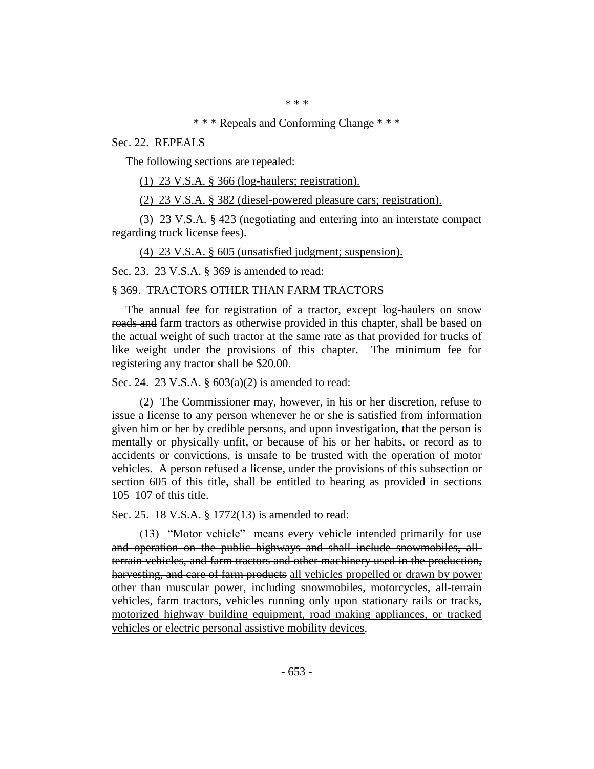\* \* \*

#### \* \* \* Repeals and Conforming Change \* \* \*

Sec. 22. REPEALS

The following sections are repealed:

(1) 23 V.S.A. § 366 (log-haulers; registration).

(2) 23 V.S.A. § 382 (diesel-powered pleasure cars; registration).

(3) 23 V.S.A. § 423 (negotiating and entering into an interstate compact regarding truck license fees).

(4) 23 V.S.A. § 605 (unsatisfied judgment; suspension).

Sec. 23. 23 V.S.A. § 369 is amended to read:

#### § 369. TRACTORS OTHER THAN FARM TRACTORS

The annual fee for registration of a tractor, except log-haulers on snow roads and farm tractors as otherwise provided in this chapter, shall be based on the actual weight of such tractor at the same rate as that provided for trucks of like weight under the provisions of this chapter. The minimum fee for registering any tractor shall be \$20.00.

Sec. 24. 23 V.S.A. § 603(a)(2) is amended to read:

(2) The Commissioner may, however, in his or her discretion, refuse to issue a license to any person whenever he or she is satisfied from information given him or her by credible persons, and upon investigation, that the person is mentally or physically unfit, or because of his or her habits, or record as to accidents or convictions, is unsafe to be trusted with the operation of motor vehicles. A person refused a license, under the provisions of this subsection or section 605 of this title, shall be entitled to hearing as provided in sections 105–107 of this title.

Sec. 25. 18 V.S.A. § 1772(13) is amended to read:

(13) "Motor vehicle" means every vehicle intended primarily for use and operation on the public highways and shall include snowmobiles, allterrain vehicles, and farm tractors and other machinery used in the production, harvesting, and care of farm products all vehicles propelled or drawn by power other than muscular power, including snowmobiles, motorcycles, all-terrain vehicles, farm tractors, vehicles running only upon stationary rails or tracks, motorized highway building equipment, road making appliances, or tracked vehicles or electric personal assistive mobility devices.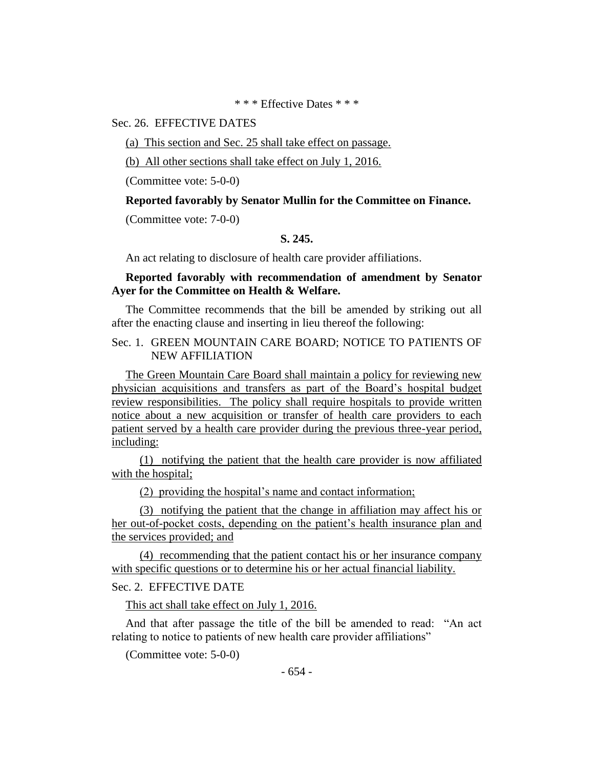\* \* \* Effective Dates \* \* \*

# Sec. 26. EFFECTIVE DATES

(a) This section and Sec. 25 shall take effect on passage.

(b) All other sections shall take effect on July 1, 2016.

(Committee vote: 5-0-0)

#### **Reported favorably by Senator Mullin for the Committee on Finance.**

(Committee vote: 7-0-0)

#### **S. 245.**

An act relating to disclosure of health care provider affiliations.

### **Reported favorably with recommendation of amendment by Senator Ayer for the Committee on Health & Welfare.**

The Committee recommends that the bill be amended by striking out all after the enacting clause and inserting in lieu thereof the following:

# Sec. 1. GREEN MOUNTAIN CARE BOARD; NOTICE TO PATIENTS OF NEW AFFILIATION

The Green Mountain Care Board shall maintain a policy for reviewing new physician acquisitions and transfers as part of the Board's hospital budget review responsibilities. The policy shall require hospitals to provide written notice about a new acquisition or transfer of health care providers to each patient served by a health care provider during the previous three-year period, including:

(1) notifying the patient that the health care provider is now affiliated with the hospital;

(2) providing the hospital's name and contact information;

(3) notifying the patient that the change in affiliation may affect his or her out-of-pocket costs, depending on the patient's health insurance plan and the services provided; and

(4) recommending that the patient contact his or her insurance company with specific questions or to determine his or her actual financial liability.

#### Sec. 2. EFFECTIVE DATE

This act shall take effect on July 1, 2016.

And that after passage the title of the bill be amended to read: "An act relating to notice to patients of new health care provider affiliations"

(Committee vote: 5-0-0)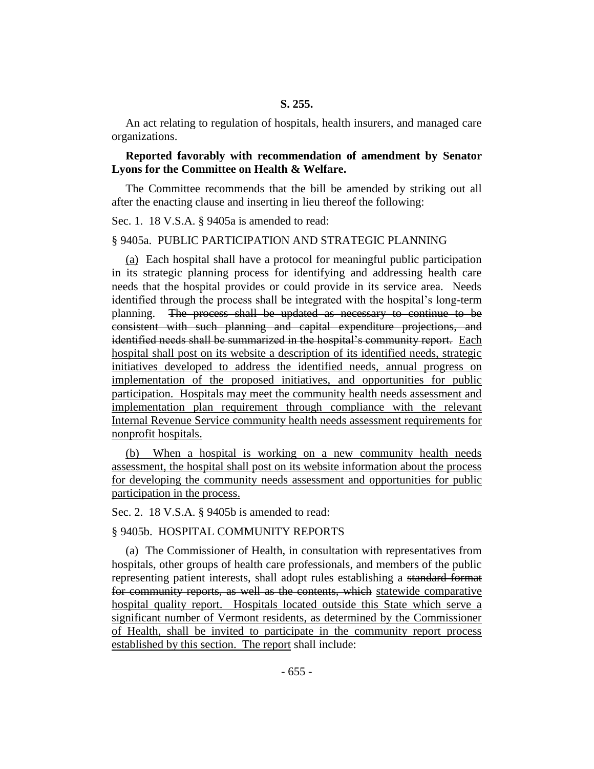An act relating to regulation of hospitals, health insurers, and managed care organizations.

# **Reported favorably with recommendation of amendment by Senator Lyons for the Committee on Health & Welfare.**

The Committee recommends that the bill be amended by striking out all after the enacting clause and inserting in lieu thereof the following:

Sec. 1. 18 V.S.A. § 9405a is amended to read:

#### § 9405a. PUBLIC PARTICIPATION AND STRATEGIC PLANNING

(a) Each hospital shall have a protocol for meaningful public participation in its strategic planning process for identifying and addressing health care needs that the hospital provides or could provide in its service area. Needs identified through the process shall be integrated with the hospital's long-term planning. The process shall be updated as necessary to continue to be consistent with such planning and capital expenditure projections, and identified needs shall be summarized in the hospital's community report. Each hospital shall post on its website a description of its identified needs, strategic initiatives developed to address the identified needs, annual progress on implementation of the proposed initiatives, and opportunities for public participation. Hospitals may meet the community health needs assessment and implementation plan requirement through compliance with the relevant Internal Revenue Service community health needs assessment requirements for nonprofit hospitals.

(b) When a hospital is working on a new community health needs assessment, the hospital shall post on its website information about the process for developing the community needs assessment and opportunities for public participation in the process.

Sec. 2. 18 V.S.A. § 9405b is amended to read:

#### § 9405b. HOSPITAL COMMUNITY REPORTS

(a) The Commissioner of Health, in consultation with representatives from hospitals, other groups of health care professionals, and members of the public representing patient interests, shall adopt rules establishing a standard format for community reports, as well as the contents, which statewide comparative hospital quality report. Hospitals located outside this State which serve a significant number of Vermont residents, as determined by the Commissioner of Health, shall be invited to participate in the community report process established by this section. The report shall include: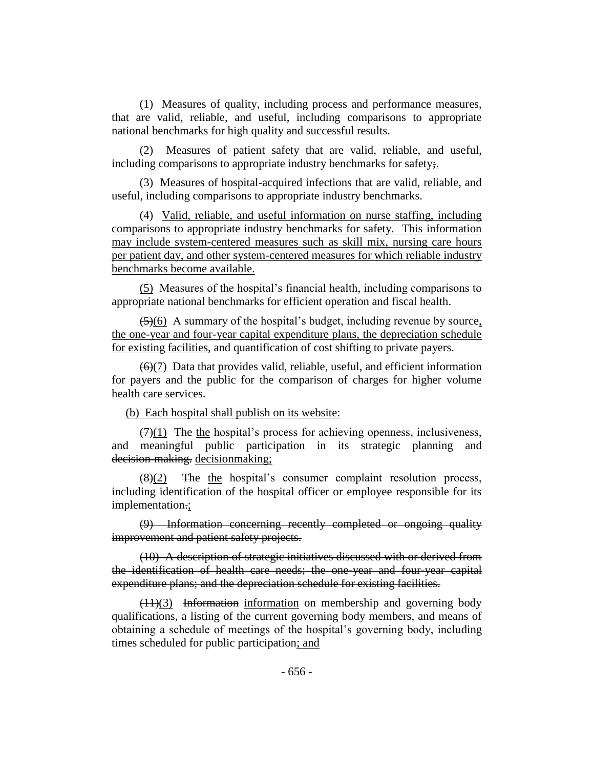(1) Measures of quality, including process and performance measures, that are valid, reliable, and useful, including comparisons to appropriate national benchmarks for high quality and successful results.

(2) Measures of patient safety that are valid, reliable, and useful, including comparisons to appropriate industry benchmarks for safety;

(3) Measures of hospital-acquired infections that are valid, reliable, and useful, including comparisons to appropriate industry benchmarks.

(4) Valid, reliable, and useful information on nurse staffing, including comparisons to appropriate industry benchmarks for safety. This information may include system-centered measures such as skill mix, nursing care hours per patient day, and other system-centered measures for which reliable industry benchmarks become available.

(5) Measures of the hospital's financial health, including comparisons to appropriate national benchmarks for efficient operation and fiscal health.

(5)(6) A summary of the hospital's budget, including revenue by source, the one-year and four-year capital expenditure plans, the depreciation schedule for existing facilities, and quantification of cost shifting to private payers.

 $\left(\frac{6}{7}\right)$  Data that provides valid, reliable, useful, and efficient information for payers and the public for the comparison of charges for higher volume health care services.

(b) Each hospital shall publish on its website:

 $(7)(1)$  The the hospital's process for achieving openness, inclusiveness, and meaningful public participation in its strategic planning and decision-making. decisionmaking;

 $(8)(2)$  The the hospital's consumer complaint resolution process, including identification of the hospital officer or employee responsible for its implementation.;

(9) Information concerning recently completed or ongoing quality improvement and patient safety projects.

(10) A description of strategic initiatives discussed with or derived from the identification of health care needs; the one-year and four-year capital expenditure plans; and the depreciation schedule for existing facilities.

 $(11)(3)$  Information information on membership and governing body qualifications, a listing of the current governing body members, and means of obtaining a schedule of meetings of the hospital's governing body, including times scheduled for public participation; and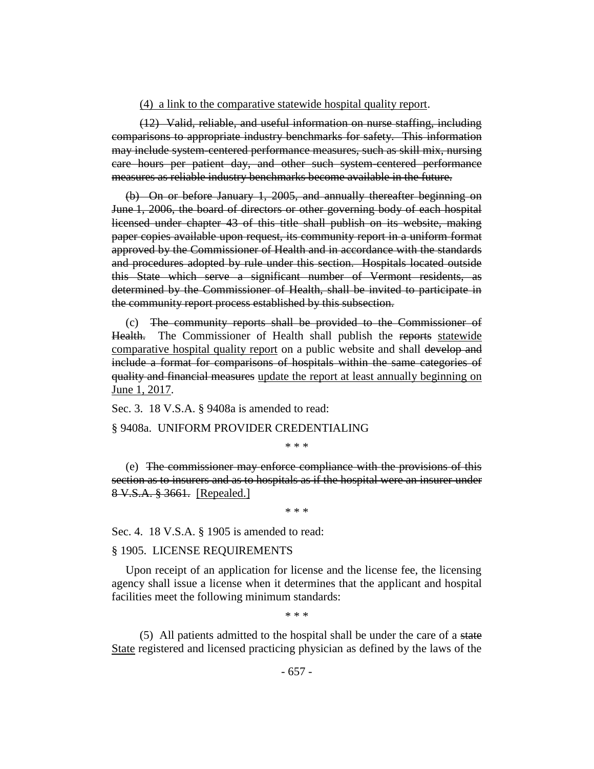#### (4) a link to the comparative statewide hospital quality report.

(12) Valid, reliable, and useful information on nurse staffing, including comparisons to appropriate industry benchmarks for safety. This information may include system-centered performance measures, such as skill mix, nursing care hours per patient day, and other such system-centered performance measures as reliable industry benchmarks become available in the future.

(b) On or before January 1, 2005, and annually thereafter beginning on June 1, 2006, the board of directors or other governing body of each hospital licensed under chapter 43 of this title shall publish on its website, making paper copies available upon request, its community report in a uniform format approved by the Commissioner of Health and in accordance with the standards and procedures adopted by rule under this section. Hospitals located outside this State which serve a significant number of Vermont residents, as determined by the Commissioner of Health, shall be invited to participate in the community report process established by this subsection.

(c) The community reports shall be provided to the Commissioner of Health. The Commissioner of Health shall publish the reports statewide comparative hospital quality report on a public website and shall develop and include a format for comparisons of hospitals within the same categories of quality and financial measures update the report at least annually beginning on June 1, 2017.

Sec. 3. 18 V.S.A. § 9408a is amended to read:

#### § 9408a. UNIFORM PROVIDER CREDENTIALING

\* \* \*

(e) The commissioner may enforce compliance with the provisions of this section as to insurers and as to hospitals as if the hospital were an insurer under 8 V.S.A. § 3661. [Repealed.]

\* \* \*

Sec. 4. 18 V.S.A. § 1905 is amended to read:

#### § 1905. LICENSE REQUIREMENTS

Upon receipt of an application for license and the license fee, the licensing agency shall issue a license when it determines that the applicant and hospital facilities meet the following minimum standards:

\* \* \*

(5) All patients admitted to the hospital shall be under the care of a state State registered and licensed practicing physician as defined by the laws of the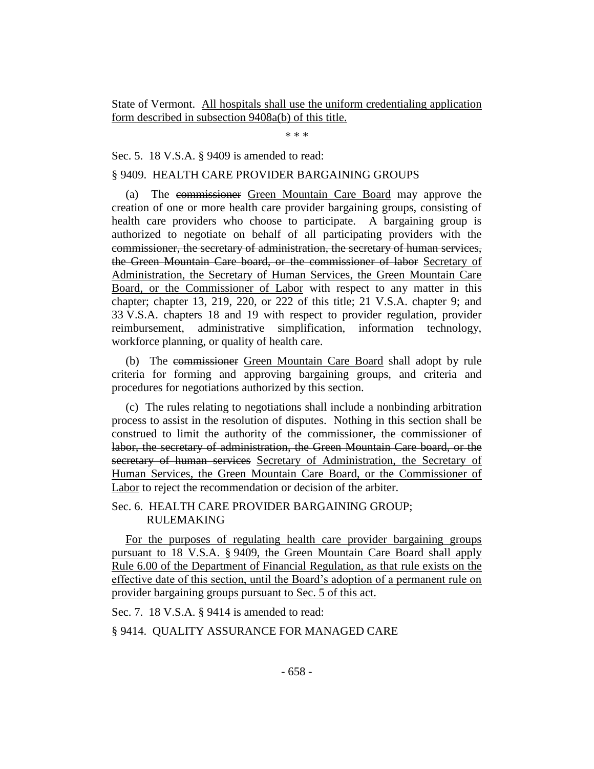State of Vermont. All hospitals shall use the uniform credentialing application form described in subsection 9408a(b) of this title.

\* \* \*

# Sec. 5. 18 V.S.A. § 9409 is amended to read:

#### § 9409. HEALTH CARE PROVIDER BARGAINING GROUPS

(a) The commissioner Green Mountain Care Board may approve the creation of one or more health care provider bargaining groups, consisting of health care providers who choose to participate. A bargaining group is authorized to negotiate on behalf of all participating providers with the commissioner, the secretary of administration, the secretary of human services, the Green Mountain Care board, or the commissioner of labor Secretary of Administration, the Secretary of Human Services, the Green Mountain Care Board, or the Commissioner of Labor with respect to any matter in this chapter; chapter 13, 219, 220, or 222 of this title; 21 V.S.A. chapter 9; and 33 V.S.A. chapters 18 and 19 with respect to provider regulation, provider reimbursement, administrative simplification, information technology, workforce planning, or quality of health care.

(b) The commissioner Green Mountain Care Board shall adopt by rule criteria for forming and approving bargaining groups, and criteria and procedures for negotiations authorized by this section.

(c) The rules relating to negotiations shall include a nonbinding arbitration process to assist in the resolution of disputes. Nothing in this section shall be construed to limit the authority of the commissioner, the commissioner of labor, the secretary of administration, the Green Mountain Care board, or the secretary of human services Secretary of Administration, the Secretary of Human Services, the Green Mountain Care Board, or the Commissioner of Labor to reject the recommendation or decision of the arbiter.

# Sec. 6. HEALTH CARE PROVIDER BARGAINING GROUP; RULEMAKING

For the purposes of regulating health care provider bargaining groups pursuant to 18 V.S.A. § 9409, the Green Mountain Care Board shall apply Rule 6.00 of the Department of Financial Regulation, as that rule exists on the effective date of this section, until the Board's adoption of a permanent rule on provider bargaining groups pursuant to Sec. 5 of this act.

Sec. 7. 18 V.S.A. § 9414 is amended to read:

#### § 9414. QUALITY ASSURANCE FOR MANAGED CARE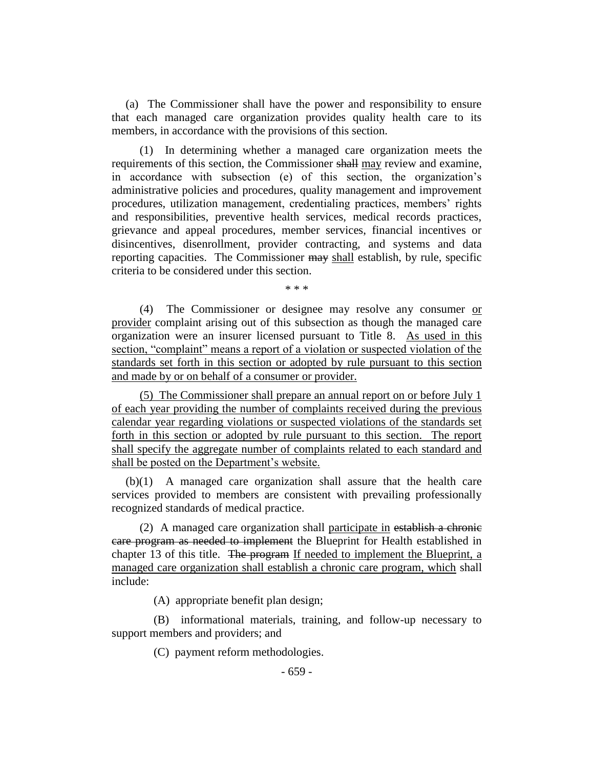(a) The Commissioner shall have the power and responsibility to ensure that each managed care organization provides quality health care to its members, in accordance with the provisions of this section.

(1) In determining whether a managed care organization meets the requirements of this section, the Commissioner shall may review and examine, in accordance with subsection (e) of this section, the organization's administrative policies and procedures, quality management and improvement procedures, utilization management, credentialing practices, members' rights and responsibilities, preventive health services, medical records practices, grievance and appeal procedures, member services, financial incentives or disincentives, disenrollment, provider contracting, and systems and data reporting capacities. The Commissioner may shall establish, by rule, specific criteria to be considered under this section.

\* \* \*

(4) The Commissioner or designee may resolve any consumer or provider complaint arising out of this subsection as though the managed care organization were an insurer licensed pursuant to Title 8. As used in this section, "complaint" means a report of a violation or suspected violation of the standards set forth in this section or adopted by rule pursuant to this section and made by or on behalf of a consumer or provider.

(5) The Commissioner shall prepare an annual report on or before July 1 of each year providing the number of complaints received during the previous calendar year regarding violations or suspected violations of the standards set forth in this section or adopted by rule pursuant to this section. The report shall specify the aggregate number of complaints related to each standard and shall be posted on the Department's website.

(b)(1) A managed care organization shall assure that the health care services provided to members are consistent with prevailing professionally recognized standards of medical practice.

(2) A managed care organization shall participate in establish a chronic care program as needed to implement the Blueprint for Health established in chapter 13 of this title. The program If needed to implement the Blueprint, a managed care organization shall establish a chronic care program, which shall include:

(A) appropriate benefit plan design;

(B) informational materials, training, and follow-up necessary to support members and providers; and

(C) payment reform methodologies.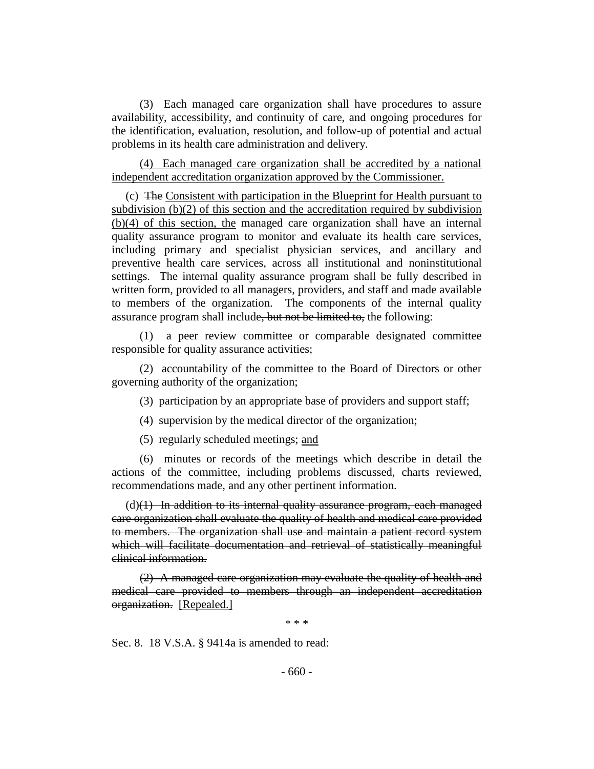(3) Each managed care organization shall have procedures to assure availability, accessibility, and continuity of care, and ongoing procedures for the identification, evaluation, resolution, and follow-up of potential and actual problems in its health care administration and delivery.

(4) Each managed care organization shall be accredited by a national independent accreditation organization approved by the Commissioner.

(c) The Consistent with participation in the Blueprint for Health pursuant to subdivision (b)(2) of this section and the accreditation required by subdivision (b)(4) of this section, the managed care organization shall have an internal quality assurance program to monitor and evaluate its health care services, including primary and specialist physician services, and ancillary and preventive health care services, across all institutional and noninstitutional settings. The internal quality assurance program shall be fully described in written form, provided to all managers, providers, and staff and made available to members of the organization. The components of the internal quality assurance program shall include, but not be limited to, the following:

(1) a peer review committee or comparable designated committee responsible for quality assurance activities;

(2) accountability of the committee to the Board of Directors or other governing authority of the organization;

(3) participation by an appropriate base of providers and support staff;

(4) supervision by the medical director of the organization;

(5) regularly scheduled meetings; and

(6) minutes or records of the meetings which describe in detail the actions of the committee, including problems discussed, charts reviewed, recommendations made, and any other pertinent information.

 $(d)(1)$  In addition to its internal quality assurance program, each managed care organization shall evaluate the quality of health and medical care provided to members. The organization shall use and maintain a patient record system which will facilitate documentation and retrieval of statistically meaningful clinical information.

(2) A managed care organization may evaluate the quality of health and medical care provided to members through an independent accreditation organization. [Repealed.]

\* \* \*

Sec. 8. 18 V.S.A. § 9414a is amended to read: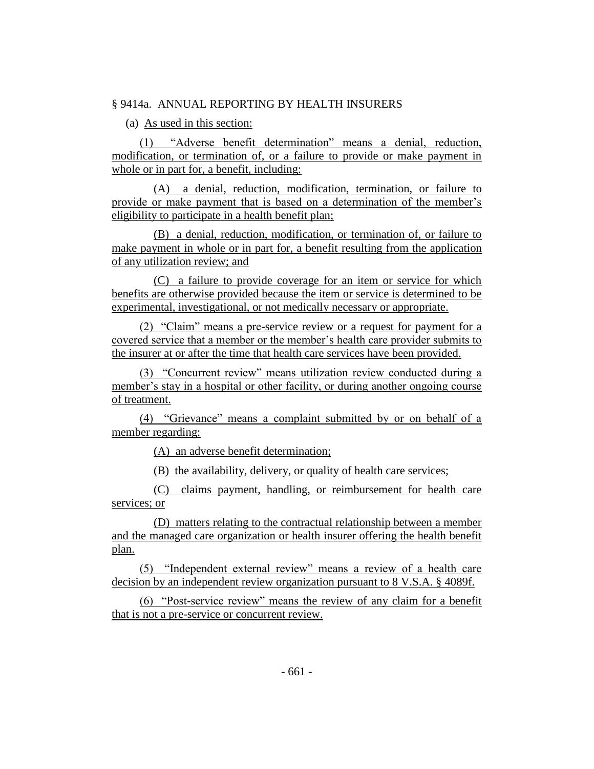# § 9414a. ANNUAL REPORTING BY HEALTH INSURERS

(a) As used in this section:

(1) "Adverse benefit determination" means a denial, reduction, modification, or termination of, or a failure to provide or make payment in whole or in part for, a benefit, including:

(A) a denial, reduction, modification, termination, or failure to provide or make payment that is based on a determination of the member's eligibility to participate in a health benefit plan;

(B) a denial, reduction, modification, or termination of, or failure to make payment in whole or in part for, a benefit resulting from the application of any utilization review; and

(C) a failure to provide coverage for an item or service for which benefits are otherwise provided because the item or service is determined to be experimental, investigational, or not medically necessary or appropriate.

(2) "Claim" means a pre-service review or a request for payment for a covered service that a member or the member's health care provider submits to the insurer at or after the time that health care services have been provided.

(3) "Concurrent review" means utilization review conducted during a member's stay in a hospital or other facility, or during another ongoing course of treatment.

(4) "Grievance" means a complaint submitted by or on behalf of a member regarding:

(A) an adverse benefit determination;

(B) the availability, delivery, or quality of health care services;

(C) claims payment, handling, or reimbursement for health care services; or

(D) matters relating to the contractual relationship between a member and the managed care organization or health insurer offering the health benefit plan.

(5) "Independent external review" means a review of a health care decision by an independent review organization pursuant to 8 V.S.A. § 4089f.

(6) "Post-service review" means the review of any claim for a benefit that is not a pre-service or concurrent review.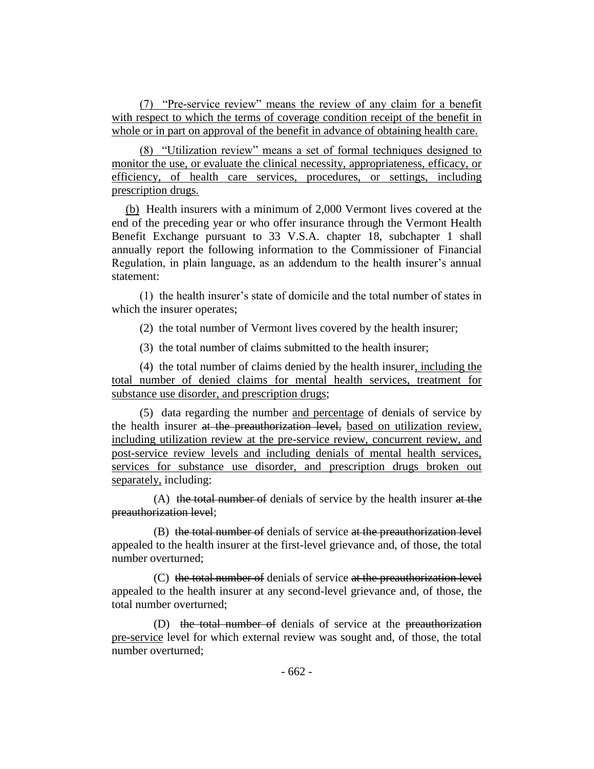(7) "Pre-service review" means the review of any claim for a benefit with respect to which the terms of coverage condition receipt of the benefit in whole or in part on approval of the benefit in advance of obtaining health care.

(8) "Utilization review" means a set of formal techniques designed to monitor the use, or evaluate the clinical necessity, appropriateness, efficacy, or efficiency, of health care services, procedures, or settings, including prescription drugs.

(b) Health insurers with a minimum of 2,000 Vermont lives covered at the end of the preceding year or who offer insurance through the Vermont Health Benefit Exchange pursuant to 33 V.S.A. chapter 18, subchapter 1 shall annually report the following information to the Commissioner of Financial Regulation, in plain language, as an addendum to the health insurer's annual statement:

(1) the health insurer's state of domicile and the total number of states in which the insurer operates;

(2) the total number of Vermont lives covered by the health insurer;

(3) the total number of claims submitted to the health insurer;

(4) the total number of claims denied by the health insurer, including the total number of denied claims for mental health services, treatment for substance use disorder, and prescription drugs;

(5) data regarding the number and percentage of denials of service by the health insurer at the preauthorization level, based on utilization review, including utilization review at the pre-service review, concurrent review, and post-service review levels and including denials of mental health services, services for substance use disorder, and prescription drugs broken out separately, including:

(A) the total number of denials of service by the health insurer at the preauthorization level;

(B) the total number of denials of service at the preauthorization level appealed to the health insurer at the first-level grievance and, of those, the total number overturned;

(C) the total number of denials of service at the preauthorization level appealed to the health insurer at any second-level grievance and, of those, the total number overturned;

(D) the total number of denials of service at the preauthorization pre-service level for which external review was sought and, of those, the total number overturned;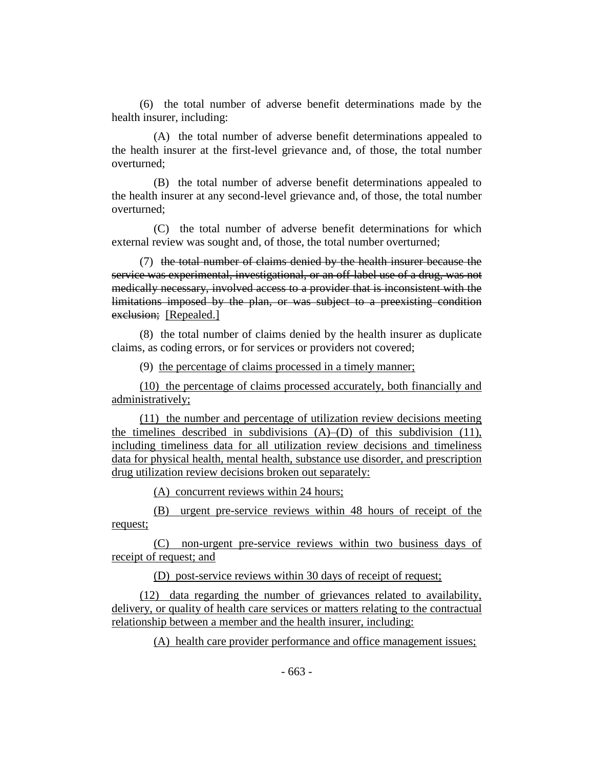(6) the total number of adverse benefit determinations made by the health insurer, including:

(A) the total number of adverse benefit determinations appealed to the health insurer at the first-level grievance and, of those, the total number overturned;

(B) the total number of adverse benefit determinations appealed to the health insurer at any second-level grievance and, of those, the total number overturned;

(C) the total number of adverse benefit determinations for which external review was sought and, of those, the total number overturned;

(7) the total number of claims denied by the health insurer because the service was experimental, investigational, or an off-label use of a drug, was not medically necessary, involved access to a provider that is inconsistent with the limitations imposed by the plan, or was subject to a preexisting condition exclusion; [Repealed.]

(8) the total number of claims denied by the health insurer as duplicate claims, as coding errors, or for services or providers not covered;

(9) the percentage of claims processed in a timely manner;

(10) the percentage of claims processed accurately, both financially and administratively;

(11) the number and percentage of utilization review decisions meeting the timelines described in subdivisions (A)–(D) of this subdivision (11), including timeliness data for all utilization review decisions and timeliness data for physical health, mental health, substance use disorder, and prescription drug utilization review decisions broken out separately:

(A) concurrent reviews within 24 hours;

(B) urgent pre-service reviews within 48 hours of receipt of the request;

(C) non-urgent pre-service reviews within two business days of receipt of request; and

(D) post-service reviews within 30 days of receipt of request;

(12) data regarding the number of grievances related to availability, delivery, or quality of health care services or matters relating to the contractual relationship between a member and the health insurer, including:

(A) health care provider performance and office management issues;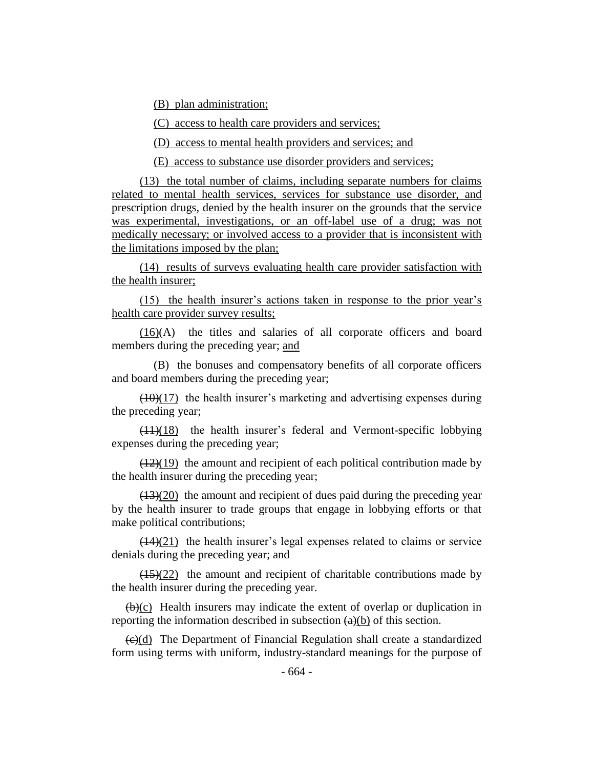(B) plan administration;

(C) access to health care providers and services;

(D) access to mental health providers and services; and

(E) access to substance use disorder providers and services;

(13) the total number of claims, including separate numbers for claims related to mental health services, services for substance use disorder, and prescription drugs, denied by the health insurer on the grounds that the service was experimental, investigations, or an off-label use of a drug; was not medically necessary; or involved access to a provider that is inconsistent with the limitations imposed by the plan;

(14) results of surveys evaluating health care provider satisfaction with the health insurer;

(15) the health insurer's actions taken in response to the prior year's health care provider survey results;

(16)(A) the titles and salaries of all corporate officers and board members during the preceding year; and

(B) the bonuses and compensatory benefits of all corporate officers and board members during the preceding year;

 $(10)(17)$  the health insurer's marketing and advertising expenses during the preceding year;

 $(11)(18)$  the health insurer's federal and Vermont-specific lobbying expenses during the preceding year;

 $\left(\frac{12}{19}\right)$  the amount and recipient of each political contribution made by the health insurer during the preceding year;

 $(13)(20)$  the amount and recipient of dues paid during the preceding year by the health insurer to trade groups that engage in lobbying efforts or that make political contributions;

 $(14)(21)$  the health insurer's legal expenses related to claims or service denials during the preceding year; and

 $(15)(22)$  the amount and recipient of charitable contributions made by the health insurer during the preceding year.

 $(b)(c)$  Health insurers may indicate the extent of overlap or duplication in reporting the information described in subsection  $(a)(b)$  of this section.

 $\left(\frac{e}{c}\right)$  The Department of Financial Regulation shall create a standardized form using terms with uniform, industry-standard meanings for the purpose of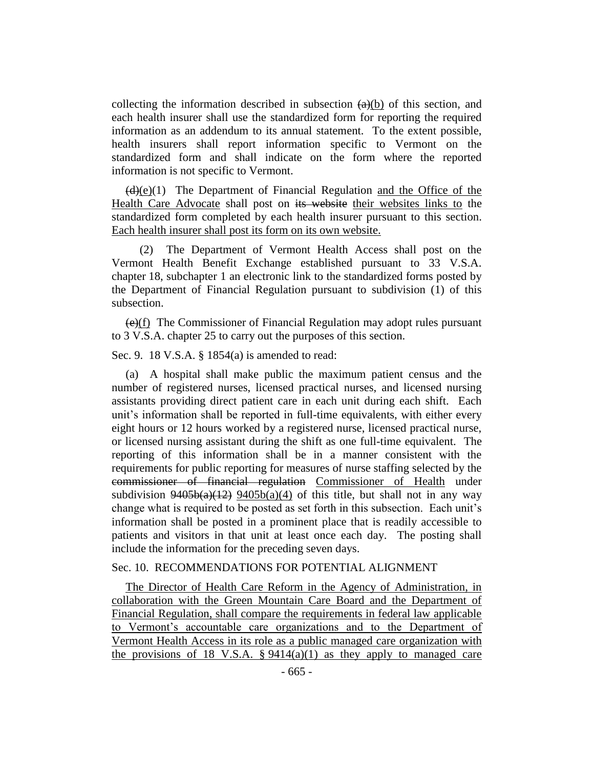collecting the information described in subsection  $(a)(b)$  of this section, and each health insurer shall use the standardized form for reporting the required information as an addendum to its annual statement. To the extent possible, health insurers shall report information specific to Vermont on the standardized form and shall indicate on the form where the reported information is not specific to Vermont.

 $(d)(e)(1)$  The Department of Financial Regulation and the Office of the Health Care Advocate shall post on its website their websites links to the standardized form completed by each health insurer pursuant to this section. Each health insurer shall post its form on its own website.

(2) The Department of Vermont Health Access shall post on the Vermont Health Benefit Exchange established pursuant to 33 V.S.A. chapter 18, subchapter 1 an electronic link to the standardized forms posted by the Department of Financial Regulation pursuant to subdivision (1) of this subsection.

 $(e)(f)$  The Commissioner of Financial Regulation may adopt rules pursuant to 3 V.S.A. chapter 25 to carry out the purposes of this section.

Sec. 9. 18 V.S.A. § 1854(a) is amended to read:

(a) A hospital shall make public the maximum patient census and the number of registered nurses, licensed practical nurses, and licensed nursing assistants providing direct patient care in each unit during each shift. Each unit's information shall be reported in full-time equivalents, with either every eight hours or 12 hours worked by a registered nurse, licensed practical nurse, or licensed nursing assistant during the shift as one full-time equivalent. The reporting of this information shall be in a manner consistent with the requirements for public reporting for measures of nurse staffing selected by the commissioner of financial regulation Commissioner of Health under subdivision  $9405b(a)(12)$   $9405b(a)(4)$  of this title, but shall not in any way change what is required to be posted as set forth in this subsection. Each unit's information shall be posted in a prominent place that is readily accessible to patients and visitors in that unit at least once each day. The posting shall include the information for the preceding seven days.

# Sec. 10. RECOMMENDATIONS FOR POTENTIAL ALIGNMENT

The Director of Health Care Reform in the Agency of Administration, in collaboration with the Green Mountain Care Board and the Department of Financial Regulation, shall compare the requirements in federal law applicable to Vermont's accountable care organizations and to the Department of Vermont Health Access in its role as a public managed care organization with the provisions of 18 V.S.A.  $\S 9414(a)(1)$  as they apply to managed care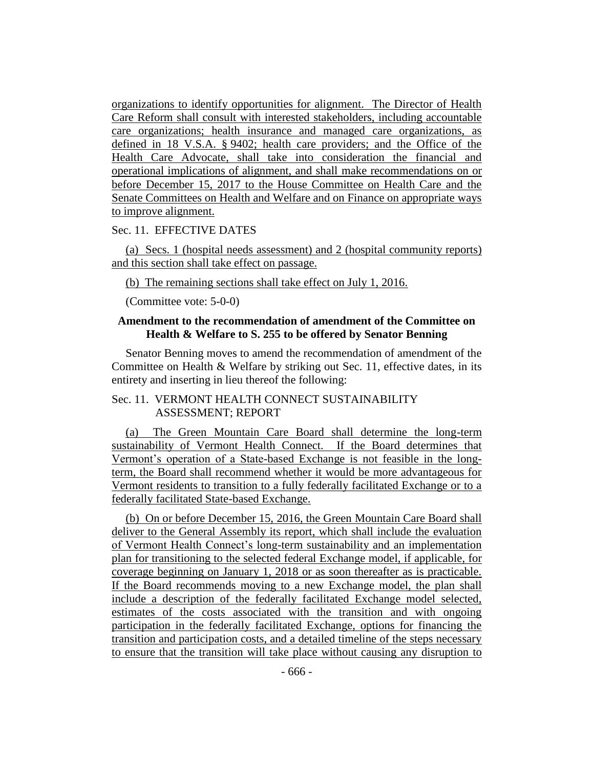organizations to identify opportunities for alignment. The Director of Health Care Reform shall consult with interested stakeholders, including accountable care organizations; health insurance and managed care organizations, as defined in 18 V.S.A. § 9402; health care providers; and the Office of the Health Care Advocate, shall take into consideration the financial and operational implications of alignment, and shall make recommendations on or before December 15, 2017 to the House Committee on Health Care and the Senate Committees on Health and Welfare and on Finance on appropriate ways to improve alignment.

#### Sec. 11. EFFECTIVE DATES

(a) Secs. 1 (hospital needs assessment) and 2 (hospital community reports) and this section shall take effect on passage.

(b) The remaining sections shall take effect on July 1, 2016.

(Committee vote: 5-0-0)

### **Amendment to the recommendation of amendment of the Committee on Health & Welfare to S. 255 to be offered by Senator Benning**

Senator Benning moves to amend the recommendation of amendment of the Committee on Health & Welfare by striking out Sec. 11, effective dates, in its entirety and inserting in lieu thereof the following:

#### Sec. 11. VERMONT HEALTH CONNECT SUSTAINABILITY ASSESSMENT; REPORT

(a) The Green Mountain Care Board shall determine the long-term sustainability of Vermont Health Connect. If the Board determines that Vermont's operation of a State-based Exchange is not feasible in the longterm, the Board shall recommend whether it would be more advantageous for Vermont residents to transition to a fully federally facilitated Exchange or to a federally facilitated State-based Exchange.

(b) On or before December 15, 2016, the Green Mountain Care Board shall deliver to the General Assembly its report, which shall include the evaluation of Vermont Health Connect's long-term sustainability and an implementation plan for transitioning to the selected federal Exchange model, if applicable, for coverage beginning on January 1, 2018 or as soon thereafter as is practicable. If the Board recommends moving to a new Exchange model, the plan shall include a description of the federally facilitated Exchange model selected, estimates of the costs associated with the transition and with ongoing participation in the federally facilitated Exchange, options for financing the transition and participation costs, and a detailed timeline of the steps necessary to ensure that the transition will take place without causing any disruption to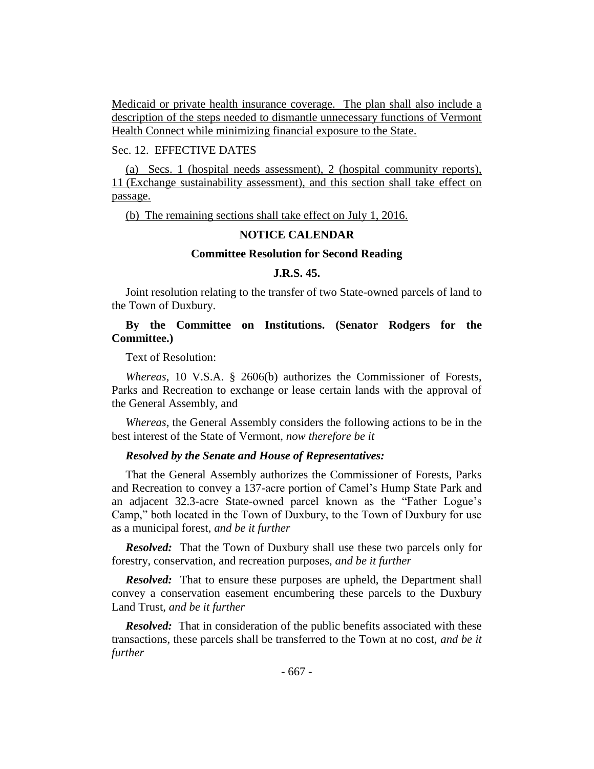Medicaid or private health insurance coverage. The plan shall also include a description of the steps needed to dismantle unnecessary functions of Vermont Health Connect while minimizing financial exposure to the State.

# Sec. 12. EFFECTIVE DATES

(a) Secs. 1 (hospital needs assessment), 2 (hospital community reports), 11 (Exchange sustainability assessment), and this section shall take effect on passage.

(b) The remaining sections shall take effect on July 1, 2016.

# **NOTICE CALENDAR**

#### **Committee Resolution for Second Reading**

## **J.R.S. 45.**

Joint resolution relating to the transfer of two State-owned parcels of land to the Town of Duxbury.

# **By the Committee on Institutions. (Senator Rodgers for the Committee.)**

Text of Resolution:

*Whereas*, 10 V.S.A. § 2606(b) authorizes the Commissioner of Forests, Parks and Recreation to exchange or lease certain lands with the approval of the General Assembly, and

*Whereas*, the General Assembly considers the following actions to be in the best interest of the State of Vermont, *now therefore be it*

#### *Resolved by the Senate and House of Representatives:*

That the General Assembly authorizes the Commissioner of Forests, Parks and Recreation to convey a 137-acre portion of Camel's Hump State Park and an adjacent 32.3-acre State-owned parcel known as the "Father Logue's Camp," both located in the Town of Duxbury, to the Town of Duxbury for use as a municipal forest, *and be it further*

*Resolved:* That the Town of Duxbury shall use these two parcels only for forestry, conservation, and recreation purposes, *and be it further*

*Resolved:* That to ensure these purposes are upheld, the Department shall convey a conservation easement encumbering these parcels to the Duxbury Land Trust, *and be it further*

*Resolved:* That in consideration of the public benefits associated with these transactions, these parcels shall be transferred to the Town at no cost, *and be it further*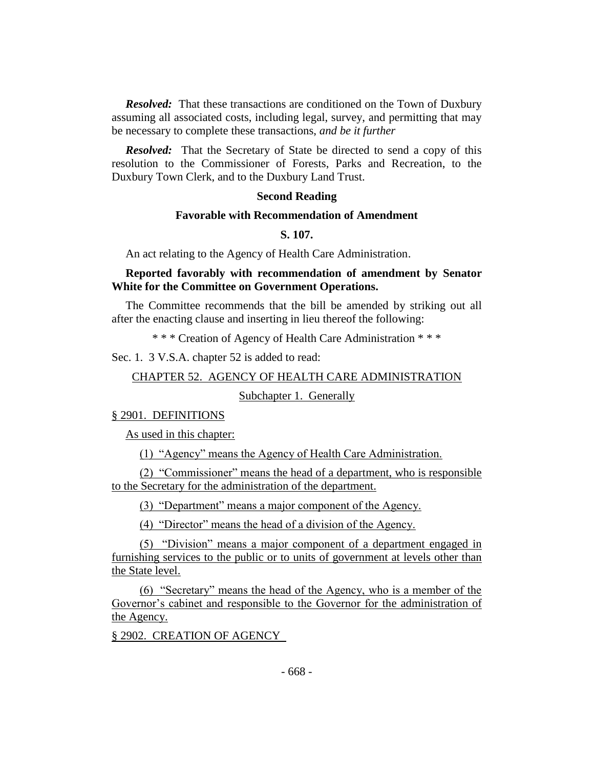*Resolved:* That these transactions are conditioned on the Town of Duxbury assuming all associated costs, including legal, survey, and permitting that may be necessary to complete these transactions, *and be it further*

*Resolved:* That the Secretary of State be directed to send a copy of this resolution to the Commissioner of Forests, Parks and Recreation, to the Duxbury Town Clerk, and to the Duxbury Land Trust.

#### **Second Reading**

#### **Favorable with Recommendation of Amendment**

**S. 107.**

An act relating to the Agency of Health Care Administration.

# **Reported favorably with recommendation of amendment by Senator White for the Committee on Government Operations.**

The Committee recommends that the bill be amended by striking out all after the enacting clause and inserting in lieu thereof the following:

\* \* \* Creation of Agency of Health Care Administration \* \* \*

Sec. 1. 3 V.S.A. chapter 52 is added to read:

#### CHAPTER 52. AGENCY OF HEALTH CARE ADMINISTRATION

Subchapter 1. Generally

#### § 2901. DEFINITIONS

As used in this chapter:

(1) "Agency" means the Agency of Health Care Administration.

(2) "Commissioner" means the head of a department, who is responsible to the Secretary for the administration of the department.

(3) "Department" means a major component of the Agency.

(4) "Director" means the head of a division of the Agency.

(5) "Division" means a major component of a department engaged in furnishing services to the public or to units of government at levels other than the State level.

(6) "Secretary" means the head of the Agency, who is a member of the Governor's cabinet and responsible to the Governor for the administration of the Agency.

§ 2902. CREATION OF AGENCY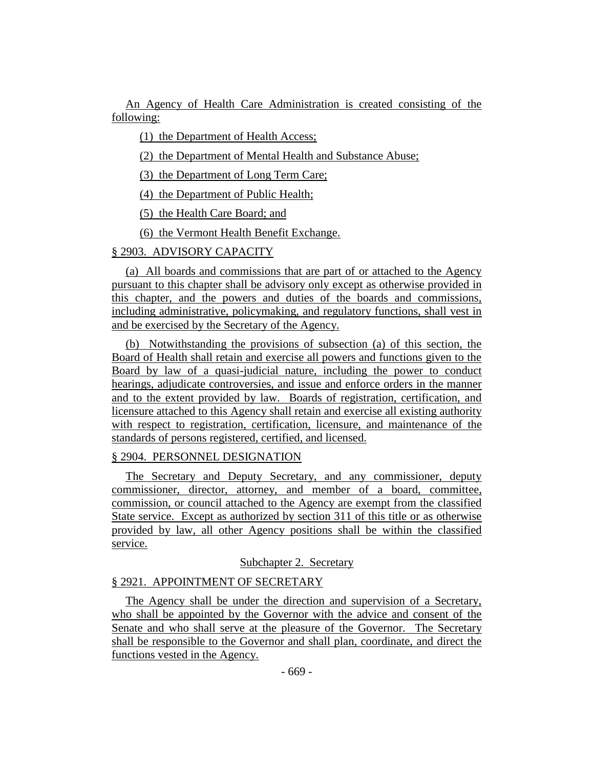An Agency of Health Care Administration is created consisting of the following:

(1) the Department of Health Access;

(2) the Department of Mental Health and Substance Abuse;

(3) the Department of Long Term Care;

(4) the Department of Public Health;

(5) the Health Care Board; and

(6) the Vermont Health Benefit Exchange.

# § 2903. ADVISORY CAPACITY

(a) All boards and commissions that are part of or attached to the Agency pursuant to this chapter shall be advisory only except as otherwise provided in this chapter, and the powers and duties of the boards and commissions, including administrative, policymaking, and regulatory functions, shall vest in and be exercised by the Secretary of the Agency.

(b) Notwithstanding the provisions of subsection (a) of this section, the Board of Health shall retain and exercise all powers and functions given to the Board by law of a quasi-judicial nature, including the power to conduct hearings, adjudicate controversies, and issue and enforce orders in the manner and to the extent provided by law. Boards of registration, certification, and licensure attached to this Agency shall retain and exercise all existing authority with respect to registration, certification, licensure, and maintenance of the standards of persons registered, certified, and licensed.

#### § 2904. PERSONNEL DESIGNATION

The Secretary and Deputy Secretary, and any commissioner, deputy commissioner, director, attorney, and member of a board, committee, commission, or council attached to the Agency are exempt from the classified State service. Except as authorized by section 311 of this title or as otherwise provided by law, all other Agency positions shall be within the classified service.

# Subchapter 2. Secretary

### § 2921. APPOINTMENT OF SECRETARY

The Agency shall be under the direction and supervision of a Secretary, who shall be appointed by the Governor with the advice and consent of the Senate and who shall serve at the pleasure of the Governor. The Secretary shall be responsible to the Governor and shall plan, coordinate, and direct the functions vested in the Agency.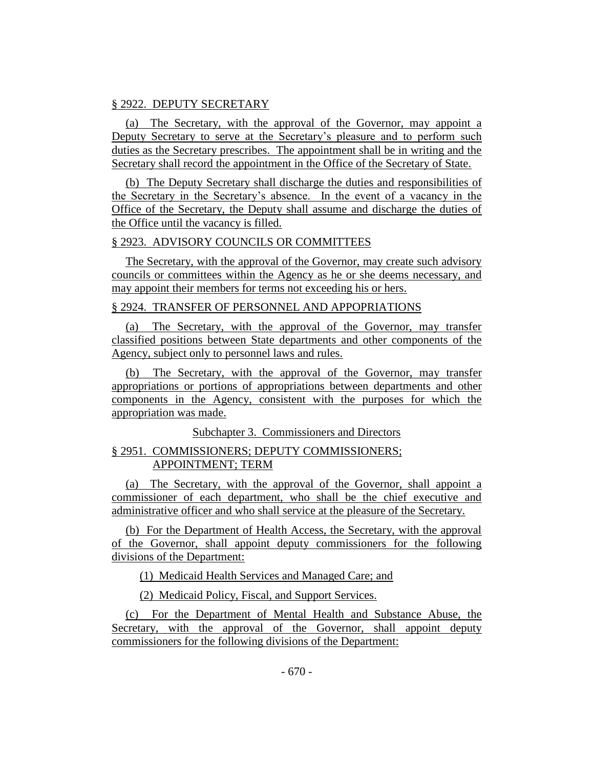# § 2922. DEPUTY SECRETARY

(a) The Secretary, with the approval of the Governor, may appoint a Deputy Secretary to serve at the Secretary's pleasure and to perform such duties as the Secretary prescribes. The appointment shall be in writing and the Secretary shall record the appointment in the Office of the Secretary of State.

(b) The Deputy Secretary shall discharge the duties and responsibilities of the Secretary in the Secretary's absence. In the event of a vacancy in the Office of the Secretary, the Deputy shall assume and discharge the duties of the Office until the vacancy is filled.

# § 2923. ADVISORY COUNCILS OR COMMITTEES

The Secretary, with the approval of the Governor, may create such advisory councils or committees within the Agency as he or she deems necessary, and may appoint their members for terms not exceeding his or hers.

# § 2924. TRANSFER OF PERSONNEL AND APPOPRIATIONS

(a) The Secretary, with the approval of the Governor, may transfer classified positions between State departments and other components of the Agency, subject only to personnel laws and rules.

(b) The Secretary, with the approval of the Governor, may transfer appropriations or portions of appropriations between departments and other components in the Agency, consistent with the purposes for which the appropriation was made.

Subchapter 3. Commissioners and Directors

# § 2951. COMMISSIONERS; DEPUTY COMMISSIONERS; APPOINTMENT; TERM

(a) The Secretary, with the approval of the Governor, shall appoint a commissioner of each department, who shall be the chief executive and administrative officer and who shall service at the pleasure of the Secretary.

(b) For the Department of Health Access, the Secretary, with the approval of the Governor, shall appoint deputy commissioners for the following divisions of the Department:

(1) Medicaid Health Services and Managed Care; and

(2) Medicaid Policy, Fiscal, and Support Services.

(c) For the Department of Mental Health and Substance Abuse, the Secretary, with the approval of the Governor, shall appoint deputy commissioners for the following divisions of the Department: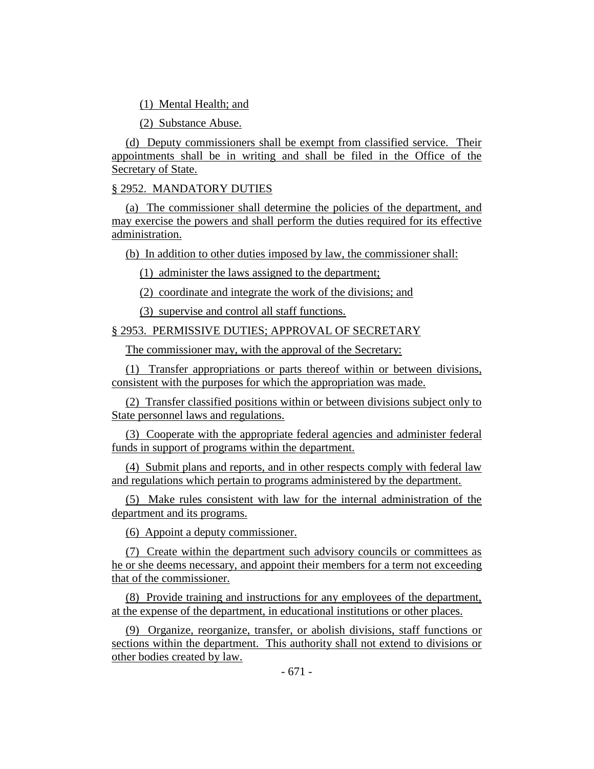(1) Mental Health; and

(2) Substance Abuse.

(d) Deputy commissioners shall be exempt from classified service. Their appointments shall be in writing and shall be filed in the Office of the Secretary of State.

# § 2952. MANDATORY DUTIES

(a) The commissioner shall determine the policies of the department, and may exercise the powers and shall perform the duties required for its effective administration.

(b) In addition to other duties imposed by law, the commissioner shall:

(1) administer the laws assigned to the department;

(2) coordinate and integrate the work of the divisions; and

(3) supervise and control all staff functions.

# § 2953. PERMISSIVE DUTIES; APPROVAL OF SECRETARY

The commissioner may, with the approval of the Secretary:

(1) Transfer appropriations or parts thereof within or between divisions, consistent with the purposes for which the appropriation was made.

(2) Transfer classified positions within or between divisions subject only to State personnel laws and regulations.

(3) Cooperate with the appropriate federal agencies and administer federal funds in support of programs within the department.

(4) Submit plans and reports, and in other respects comply with federal law and regulations which pertain to programs administered by the department.

(5) Make rules consistent with law for the internal administration of the department and its programs.

(6) Appoint a deputy commissioner.

(7) Create within the department such advisory councils or committees as he or she deems necessary, and appoint their members for a term not exceeding that of the commissioner.

(8) Provide training and instructions for any employees of the department, at the expense of the department, in educational institutions or other places.

(9) Organize, reorganize, transfer, or abolish divisions, staff functions or sections within the department. This authority shall not extend to divisions or other bodies created by law.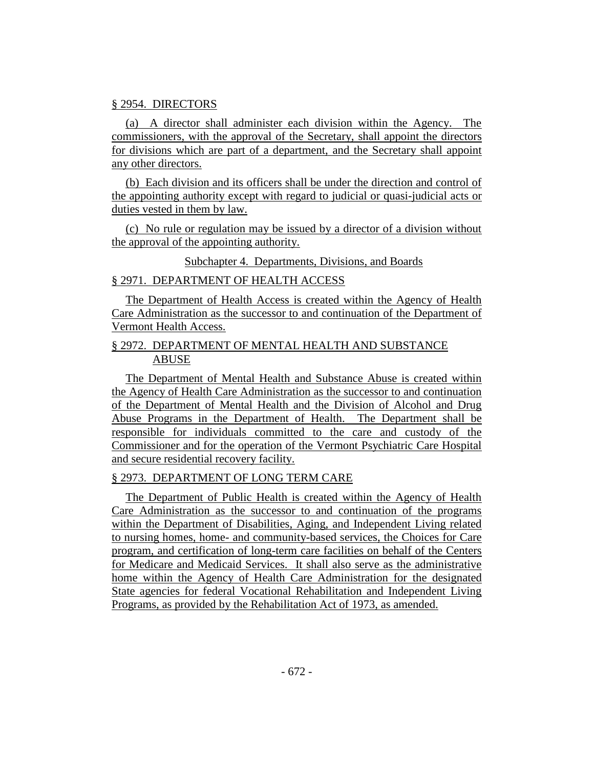# § 2954. DIRECTORS

(a) A director shall administer each division within the Agency. The commissioners, with the approval of the Secretary, shall appoint the directors for divisions which are part of a department, and the Secretary shall appoint any other directors.

(b) Each division and its officers shall be under the direction and control of the appointing authority except with regard to judicial or quasi-judicial acts or duties vested in them by law.

(c) No rule or regulation may be issued by a director of a division without the approval of the appointing authority.

### Subchapter 4. Departments, Divisions, and Boards

### § 2971. DEPARTMENT OF HEALTH ACCESS

The Department of Health Access is created within the Agency of Health Care Administration as the successor to and continuation of the Department of Vermont Health Access.

# § 2972. DEPARTMENT OF MENTAL HEALTH AND SUBSTANCE ABUSE

The Department of Mental Health and Substance Abuse is created within the Agency of Health Care Administration as the successor to and continuation of the Department of Mental Health and the Division of Alcohol and Drug Abuse Programs in the Department of Health. The Department shall be responsible for individuals committed to the care and custody of the Commissioner and for the operation of the Vermont Psychiatric Care Hospital and secure residential recovery facility.

#### § 2973. DEPARTMENT OF LONG TERM CARE

The Department of Public Health is created within the Agency of Health Care Administration as the successor to and continuation of the programs within the Department of Disabilities, Aging, and Independent Living related to nursing homes, home- and community-based services, the Choices for Care program, and certification of long-term care facilities on behalf of the Centers for Medicare and Medicaid Services. It shall also serve as the administrative home within the Agency of Health Care Administration for the designated State agencies for federal Vocational Rehabilitation and Independent Living Programs, as provided by the Rehabilitation Act of 1973, as amended.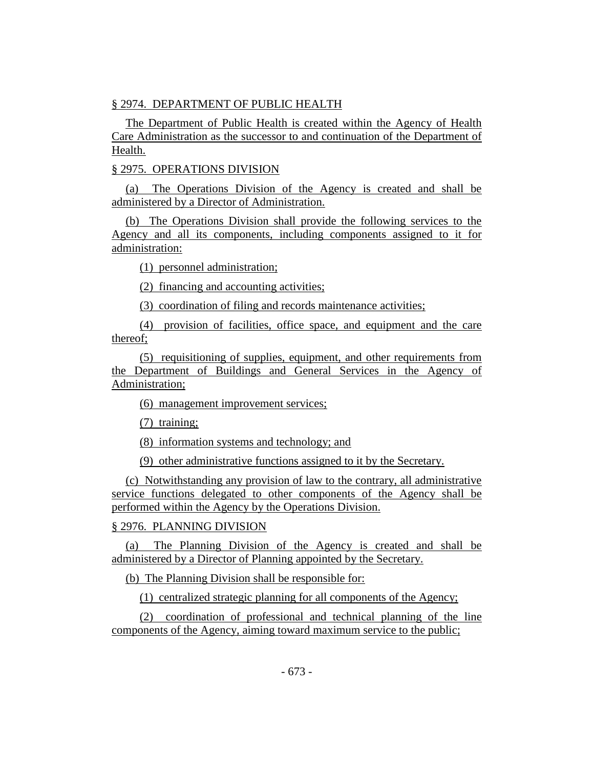# § 2974. DEPARTMENT OF PUBLIC HEALTH

The Department of Public Health is created within the Agency of Health Care Administration as the successor to and continuation of the Department of Health.

# § 2975. OPERATIONS DIVISION

(a) The Operations Division of the Agency is created and shall be administered by a Director of Administration.

(b) The Operations Division shall provide the following services to the Agency and all its components, including components assigned to it for administration:

(1) personnel administration;

(2) financing and accounting activities;

(3) coordination of filing and records maintenance activities;

(4) provision of facilities, office space, and equipment and the care thereof;

(5) requisitioning of supplies, equipment, and other requirements from the Department of Buildings and General Services in the Agency of Administration;

(6) management improvement services;

(7) training;

(8) information systems and technology; and

(9) other administrative functions assigned to it by the Secretary.

(c) Notwithstanding any provision of law to the contrary, all administrative service functions delegated to other components of the Agency shall be performed within the Agency by the Operations Division.

# § 2976. PLANNING DIVISION

(a) The Planning Division of the Agency is created and shall be administered by a Director of Planning appointed by the Secretary.

(b) The Planning Division shall be responsible for:

(1) centralized strategic planning for all components of the Agency;

(2) coordination of professional and technical planning of the line components of the Agency, aiming toward maximum service to the public;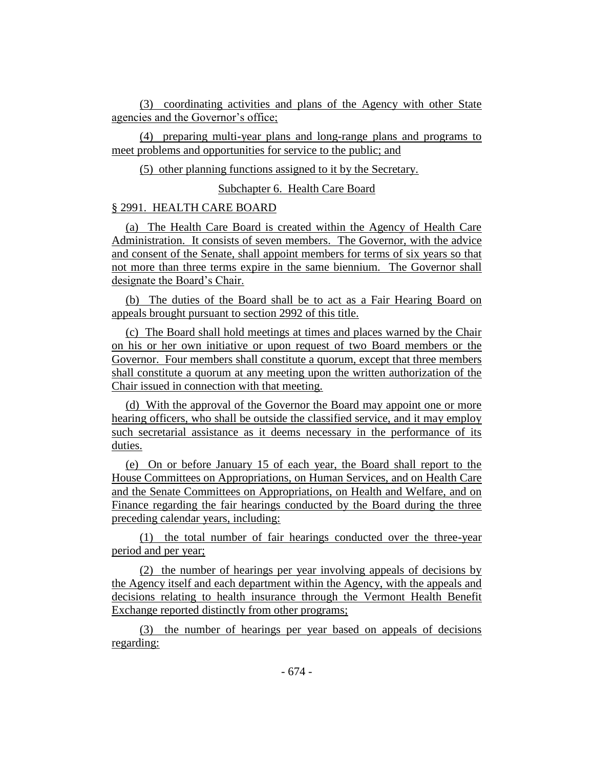(3) coordinating activities and plans of the Agency with other State agencies and the Governor's office;

(4) preparing multi-year plans and long-range plans and programs to meet problems and opportunities for service to the public; and

(5) other planning functions assigned to it by the Secretary.

Subchapter 6. Health Care Board

### § 2991. HEALTH CARE BOARD

(a) The Health Care Board is created within the Agency of Health Care Administration. It consists of seven members. The Governor, with the advice and consent of the Senate, shall appoint members for terms of six years so that not more than three terms expire in the same biennium. The Governor shall designate the Board's Chair.

(b) The duties of the Board shall be to act as a Fair Hearing Board on appeals brought pursuant to section 2992 of this title.

(c) The Board shall hold meetings at times and places warned by the Chair on his or her own initiative or upon request of two Board members or the Governor. Four members shall constitute a quorum, except that three members shall constitute a quorum at any meeting upon the written authorization of the Chair issued in connection with that meeting.

(d) With the approval of the Governor the Board may appoint one or more hearing officers, who shall be outside the classified service, and it may employ such secretarial assistance as it deems necessary in the performance of its duties.

(e) On or before January 15 of each year, the Board shall report to the House Committees on Appropriations, on Human Services, and on Health Care and the Senate Committees on Appropriations, on Health and Welfare, and on Finance regarding the fair hearings conducted by the Board during the three preceding calendar years, including:

(1) the total number of fair hearings conducted over the three-year period and per year;

(2) the number of hearings per year involving appeals of decisions by the Agency itself and each department within the Agency, with the appeals and decisions relating to health insurance through the Vermont Health Benefit Exchange reported distinctly from other programs;

(3) the number of hearings per year based on appeals of decisions regarding: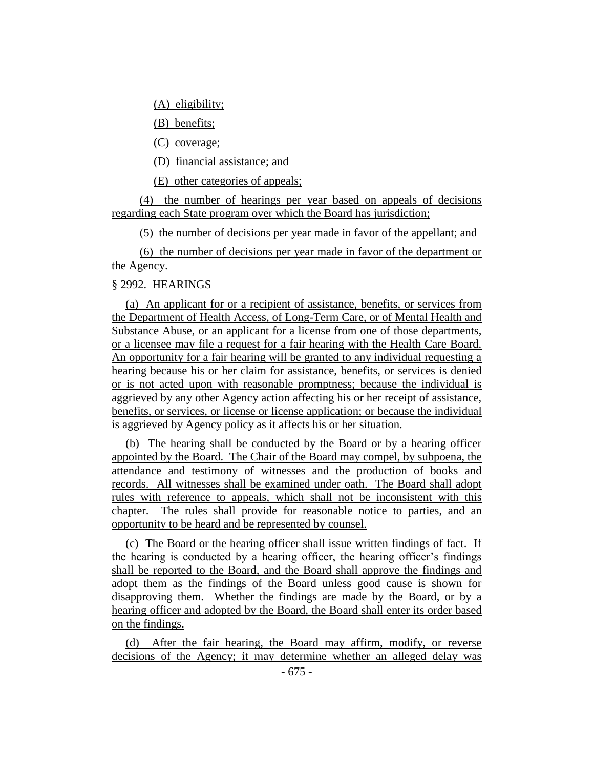(A) eligibility;

(B) benefits;

(C) coverage;

(D) financial assistance; and

(E) other categories of appeals;

(4) the number of hearings per year based on appeals of decisions regarding each State program over which the Board has jurisdiction;

(5) the number of decisions per year made in favor of the appellant; and

(6) the number of decisions per year made in favor of the department or the Agency.

### § 2992. HEARINGS

(a) An applicant for or a recipient of assistance, benefits, or services from the Department of Health Access, of Long-Term Care, or of Mental Health and Substance Abuse, or an applicant for a license from one of those departments, or a licensee may file a request for a fair hearing with the Health Care Board. An opportunity for a fair hearing will be granted to any individual requesting a hearing because his or her claim for assistance, benefits, or services is denied or is not acted upon with reasonable promptness; because the individual is aggrieved by any other Agency action affecting his or her receipt of assistance, benefits, or services, or license or license application; or because the individual is aggrieved by Agency policy as it affects his or her situation.

(b) The hearing shall be conducted by the Board or by a hearing officer appointed by the Board. The Chair of the Board may compel, by subpoena, the attendance and testimony of witnesses and the production of books and records. All witnesses shall be examined under oath. The Board shall adopt rules with reference to appeals, which shall not be inconsistent with this chapter. The rules shall provide for reasonable notice to parties, and an opportunity to be heard and be represented by counsel.

(c) The Board or the hearing officer shall issue written findings of fact. If the hearing is conducted by a hearing officer, the hearing officer's findings shall be reported to the Board, and the Board shall approve the findings and adopt them as the findings of the Board unless good cause is shown for disapproving them. Whether the findings are made by the Board, or by a hearing officer and adopted by the Board, the Board shall enter its order based on the findings.

(d) After the fair hearing, the Board may affirm, modify, or reverse decisions of the Agency; it may determine whether an alleged delay was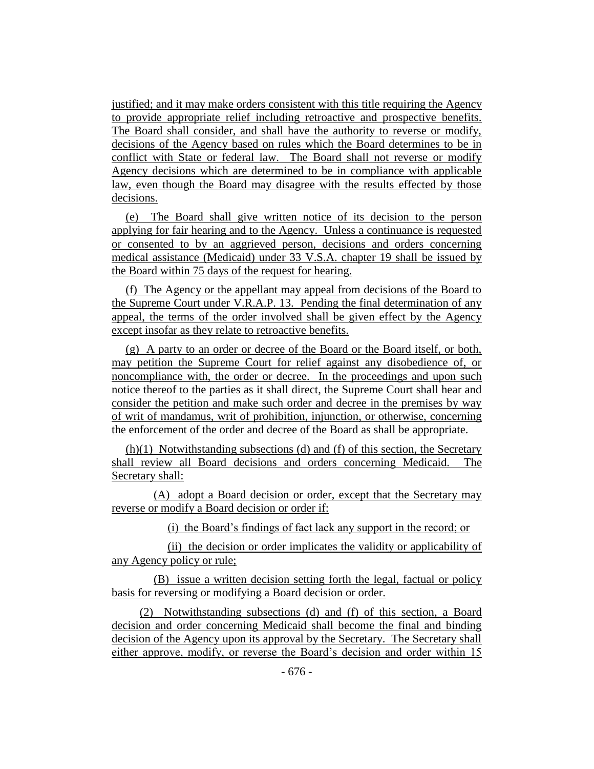justified; and it may make orders consistent with this title requiring the Agency to provide appropriate relief including retroactive and prospective benefits. The Board shall consider, and shall have the authority to reverse or modify, decisions of the Agency based on rules which the Board determines to be in conflict with State or federal law. The Board shall not reverse or modify Agency decisions which are determined to be in compliance with applicable law, even though the Board may disagree with the results effected by those decisions.

(e) The Board shall give written notice of its decision to the person applying for fair hearing and to the Agency. Unless a continuance is requested or consented to by an aggrieved person, decisions and orders concerning medical assistance (Medicaid) under 33 V.S.A. chapter 19 shall be issued by the Board within 75 days of the request for hearing.

(f) The Agency or the appellant may appeal from decisions of the Board to the Supreme Court under V.R.A.P. 13. Pending the final determination of any appeal, the terms of the order involved shall be given effect by the Agency except insofar as they relate to retroactive benefits.

(g) A party to an order or decree of the Board or the Board itself, or both, may petition the Supreme Court for relief against any disobedience of, or noncompliance with, the order or decree. In the proceedings and upon such notice thereof to the parties as it shall direct, the Supreme Court shall hear and consider the petition and make such order and decree in the premises by way of writ of mandamus, writ of prohibition, injunction, or otherwise, concerning the enforcement of the order and decree of the Board as shall be appropriate.

(h)(1) Notwithstanding subsections (d) and (f) of this section, the Secretary shall review all Board decisions and orders concerning Medicaid. The Secretary shall:

(A) adopt a Board decision or order, except that the Secretary may reverse or modify a Board decision or order if:

(i) the Board's findings of fact lack any support in the record; or

(ii) the decision or order implicates the validity or applicability of any Agency policy or rule;

(B) issue a written decision setting forth the legal, factual or policy basis for reversing or modifying a Board decision or order.

(2) Notwithstanding subsections (d) and (f) of this section, a Board decision and order concerning Medicaid shall become the final and binding decision of the Agency upon its approval by the Secretary. The Secretary shall either approve, modify, or reverse the Board's decision and order within 15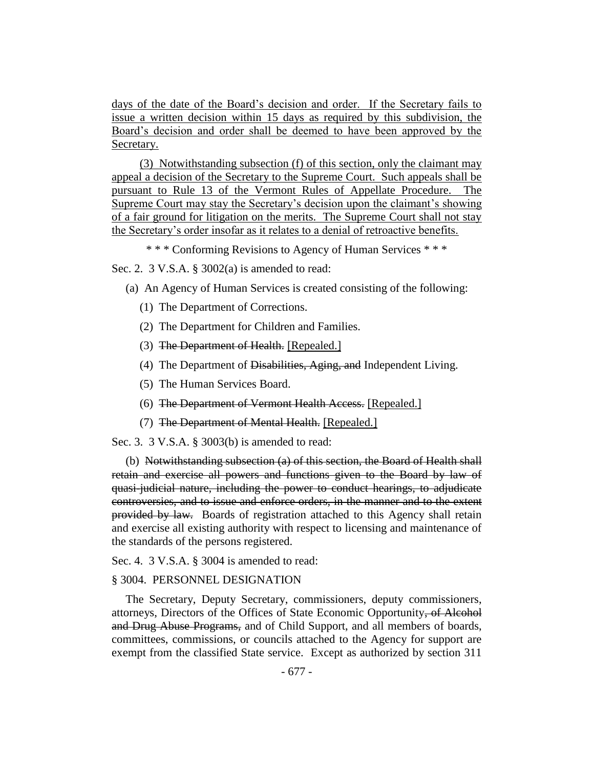days of the date of the Board's decision and order. If the Secretary fails to issue a written decision within 15 days as required by this subdivision, the Board's decision and order shall be deemed to have been approved by the Secretary.

(3) Notwithstanding subsection (f) of this section, only the claimant may appeal a decision of the Secretary to the Supreme Court. Such appeals shall be pursuant to Rule 13 of the Vermont Rules of Appellate Procedure. The Supreme Court may stay the Secretary's decision upon the claimant's showing of a fair ground for litigation on the merits. The Supreme Court shall not stay the Secretary's order insofar as it relates to a denial of retroactive benefits.

\* \* \* Conforming Revisions to Agency of Human Services \* \* \*

Sec. 2. 3 V.S.A. § 3002(a) is amended to read:

- (a) An Agency of Human Services is created consisting of the following:
	- (1) The Department of Corrections.
	- (2) The Department for Children and Families.
	- (3) The Department of Health. [Repealed.]
	- (4) The Department of Disabilities, Aging, and Independent Living.
	- (5) The Human Services Board.
	- (6) The Department of Vermont Health Access. [Repealed.]
	- (7) The Department of Mental Health. [Repealed.]

Sec. 3. 3 V.S.A. § 3003(b) is amended to read:

(b) Notwithstanding subsection (a) of this section, the Board of Health shall retain and exercise all powers and functions given to the Board by law of quasi-judicial nature, including the power to conduct hearings, to adjudicate controversies, and to issue and enforce orders, in the manner and to the extent provided by law. Boards of registration attached to this Agency shall retain and exercise all existing authority with respect to licensing and maintenance of the standards of the persons registered.

Sec. 4. 3 V.S.A. § 3004 is amended to read:

#### § 3004. PERSONNEL DESIGNATION

The Secretary, Deputy Secretary, commissioners, deputy commissioners, attorneys, Directors of the Offices of State Economic Opportunity, of Alcohol and Drug Abuse Programs, and of Child Support, and all members of boards, committees, commissions, or councils attached to the Agency for support are exempt from the classified State service. Except as authorized by section 311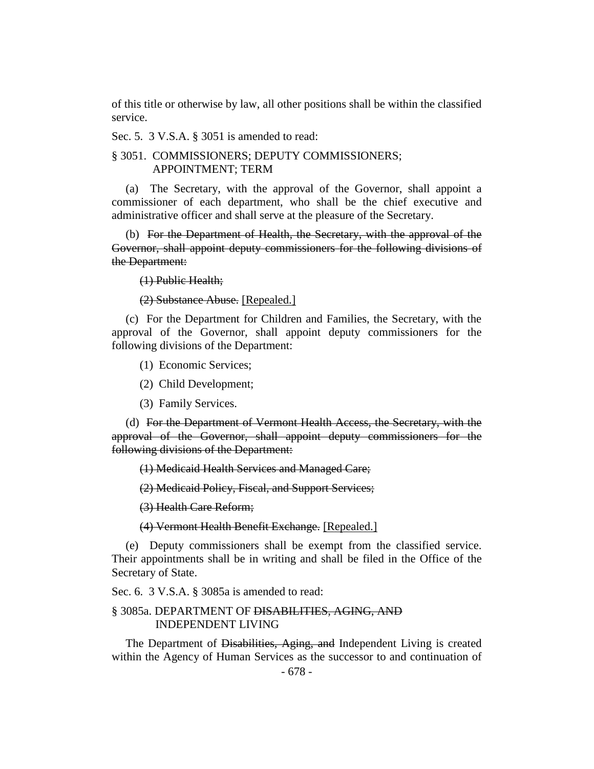of this title or otherwise by law, all other positions shall be within the classified service.

Sec. 5. 3 V.S.A. § 3051 is amended to read:

# § 3051. COMMISSIONERS; DEPUTY COMMISSIONERS; APPOINTMENT; TERM

(a) The Secretary, with the approval of the Governor, shall appoint a commissioner of each department, who shall be the chief executive and administrative officer and shall serve at the pleasure of the Secretary.

(b) For the Department of Health, the Secretary, with the approval of the Governor, shall appoint deputy commissioners for the following divisions of the Department:

(1) Public Health;

(2) Substance Abuse. [Repealed.]

(c) For the Department for Children and Families, the Secretary, with the approval of the Governor, shall appoint deputy commissioners for the following divisions of the Department:

(1) Economic Services;

(2) Child Development;

(3) Family Services.

(d) For the Department of Vermont Health Access, the Secretary, with the approval of the Governor, shall appoint deputy commissioners for the following divisions of the Department:

(1) Medicaid Health Services and Managed Care;

(2) Medicaid Policy, Fiscal, and Support Services;

(3) Health Care Reform;

(4) Vermont Health Benefit Exchange. [Repealed.]

(e) Deputy commissioners shall be exempt from the classified service. Their appointments shall be in writing and shall be filed in the Office of the Secretary of State.

Sec. 6. 3 V.S.A. § 3085a is amended to read:

# § 3085a. DEPARTMENT OF DISABILITIES, AGING, AND INDEPENDENT LIVING

The Department of Disabilities, Aging, and Independent Living is created within the Agency of Human Services as the successor to and continuation of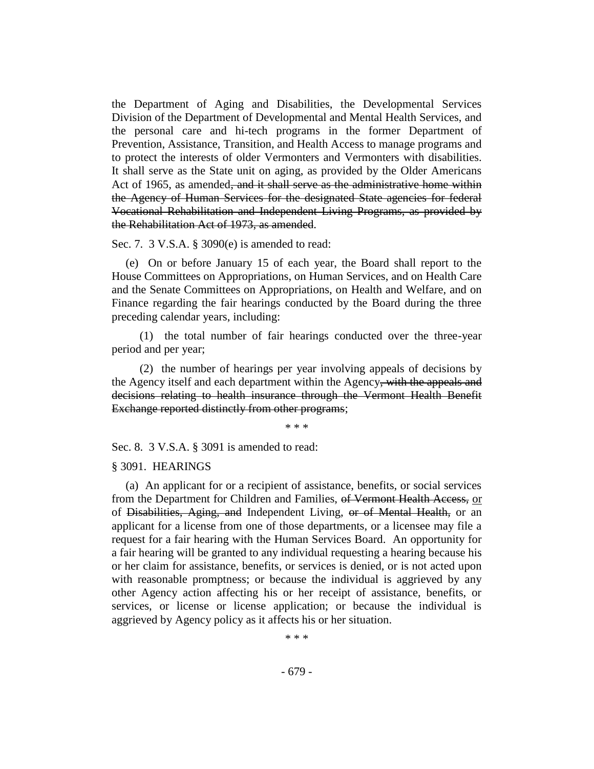the Department of Aging and Disabilities, the Developmental Services Division of the Department of Developmental and Mental Health Services, and the personal care and hi-tech programs in the former Department of Prevention, Assistance, Transition, and Health Access to manage programs and to protect the interests of older Vermonters and Vermonters with disabilities. It shall serve as the State unit on aging, as provided by the Older Americans Act of 1965, as amended, and it shall serve as the administrative home within the Agency of Human Services for the designated State agencies for federal Vocational Rehabilitation and Independent Living Programs, as provided by the Rehabilitation Act of 1973, as amended.

Sec. 7. 3 V.S.A. § 3090(e) is amended to read:

(e) On or before January 15 of each year, the Board shall report to the House Committees on Appropriations, on Human Services, and on Health Care and the Senate Committees on Appropriations, on Health and Welfare, and on Finance regarding the fair hearings conducted by the Board during the three preceding calendar years, including:

(1) the total number of fair hearings conducted over the three-year period and per year;

(2) the number of hearings per year involving appeals of decisions by the Agency itself and each department within the Agency, with the appeals and decisions relating to health insurance through the Vermont Health Benefit Exchange reported distinctly from other programs;

\* \* \*

Sec. 8. 3 V.S.A. § 3091 is amended to read:

#### § 3091. HEARINGS

(a) An applicant for or a recipient of assistance, benefits, or social services from the Department for Children and Families, of Vermont Health Access, or of Disabilities, Aging, and Independent Living, or of Mental Health, or an applicant for a license from one of those departments, or a licensee may file a request for a fair hearing with the Human Services Board. An opportunity for a fair hearing will be granted to any individual requesting a hearing because his or her claim for assistance, benefits, or services is denied, or is not acted upon with reasonable promptness; or because the individual is aggrieved by any other Agency action affecting his or her receipt of assistance, benefits, or services, or license or license application; or because the individual is aggrieved by Agency policy as it affects his or her situation.

\* \* \*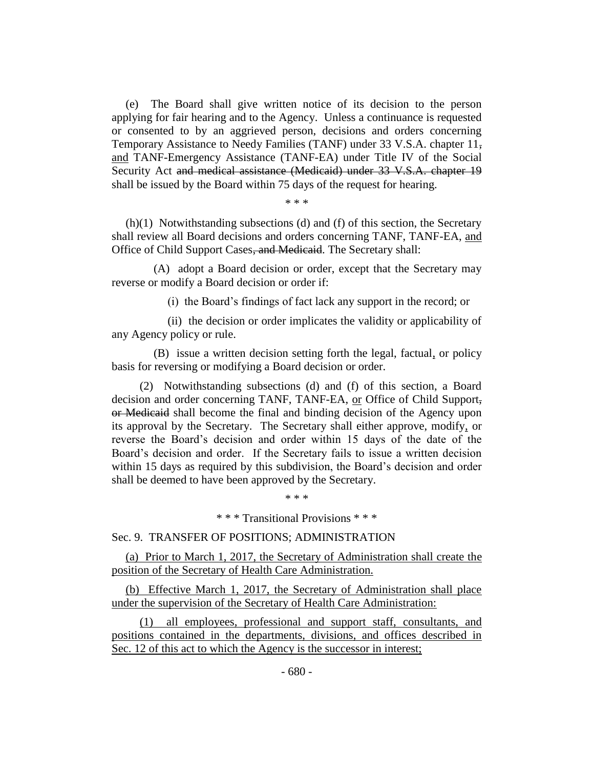(e) The Board shall give written notice of its decision to the person applying for fair hearing and to the Agency. Unless a continuance is requested or consented to by an aggrieved person, decisions and orders concerning Temporary Assistance to Needy Families (TANF) under 33 V.S.A. chapter 11, and TANF-Emergency Assistance (TANF-EA) under Title IV of the Social Security Act and medical assistance (Medicaid) under 33 V.S.A. chapter 19 shall be issued by the Board within 75 days of the request for hearing.

\* \* \*

(h)(1) Notwithstanding subsections (d) and (f) of this section, the Secretary shall review all Board decisions and orders concerning TANF, TANF-EA, and Office of Child Support Cases, and Medicaid. The Secretary shall:

(A) adopt a Board decision or order, except that the Secretary may reverse or modify a Board decision or order if:

(i) the Board's findings of fact lack any support in the record; or

(ii) the decision or order implicates the validity or applicability of any Agency policy or rule.

(B) issue a written decision setting forth the legal, factual, or policy basis for reversing or modifying a Board decision or order.

(2) Notwithstanding subsections (d) and (f) of this section, a Board decision and order concerning TANF, TANF-EA, or Office of Child Support, or Medicaid shall become the final and binding decision of the Agency upon its approval by the Secretary. The Secretary shall either approve, modify, or reverse the Board's decision and order within 15 days of the date of the Board's decision and order. If the Secretary fails to issue a written decision within 15 days as required by this subdivision, the Board's decision and order shall be deemed to have been approved by the Secretary.

\* \* \* Transitional Provisions \* \* \*

\* \* \*

Sec. 9. TRANSFER OF POSITIONS; ADMINISTRATION

(a) Prior to March 1, 2017, the Secretary of Administration shall create the position of the Secretary of Health Care Administration.

(b) Effective March 1, 2017, the Secretary of Administration shall place under the supervision of the Secretary of Health Care Administration:

(1) all employees, professional and support staff, consultants, and positions contained in the departments, divisions, and offices described in Sec. 12 of this act to which the Agency is the successor in interest;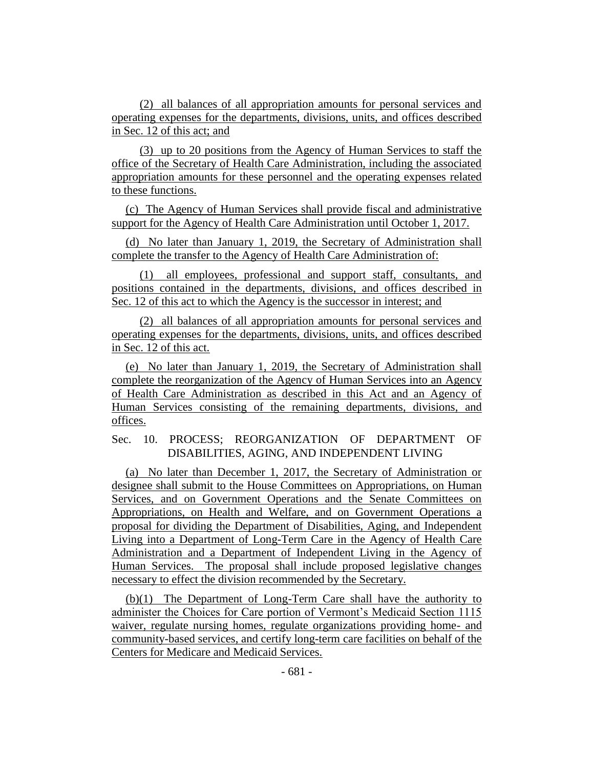(2) all balances of all appropriation amounts for personal services and operating expenses for the departments, divisions, units, and offices described in Sec. 12 of this act; and

(3) up to 20 positions from the Agency of Human Services to staff the office of the Secretary of Health Care Administration, including the associated appropriation amounts for these personnel and the operating expenses related to these functions.

(c) The Agency of Human Services shall provide fiscal and administrative support for the Agency of Health Care Administration until October 1, 2017.

(d) No later than January 1, 2019, the Secretary of Administration shall complete the transfer to the Agency of Health Care Administration of:

(1) all employees, professional and support staff, consultants, and positions contained in the departments, divisions, and offices described in Sec. 12 of this act to which the Agency is the successor in interest; and

(2) all balances of all appropriation amounts for personal services and operating expenses for the departments, divisions, units, and offices described in Sec. 12 of this act.

(e) No later than January 1, 2019, the Secretary of Administration shall complete the reorganization of the Agency of Human Services into an Agency of Health Care Administration as described in this Act and an Agency of Human Services consisting of the remaining departments, divisions, and offices.

### Sec. 10. PROCESS; REORGANIZATION OF DEPARTMENT OF DISABILITIES, AGING, AND INDEPENDENT LIVING

(a) No later than December 1, 2017, the Secretary of Administration or designee shall submit to the House Committees on Appropriations, on Human Services, and on Government Operations and the Senate Committees on Appropriations, on Health and Welfare, and on Government Operations a proposal for dividing the Department of Disabilities, Aging, and Independent Living into a Department of Long-Term Care in the Agency of Health Care Administration and a Department of Independent Living in the Agency of Human Services. The proposal shall include proposed legislative changes necessary to effect the division recommended by the Secretary.

(b)(1) The Department of Long-Term Care shall have the authority to administer the Choices for Care portion of Vermont's Medicaid Section 1115 waiver, regulate nursing homes, regulate organizations providing home- and community-based services, and certify long-term care facilities on behalf of the Centers for Medicare and Medicaid Services.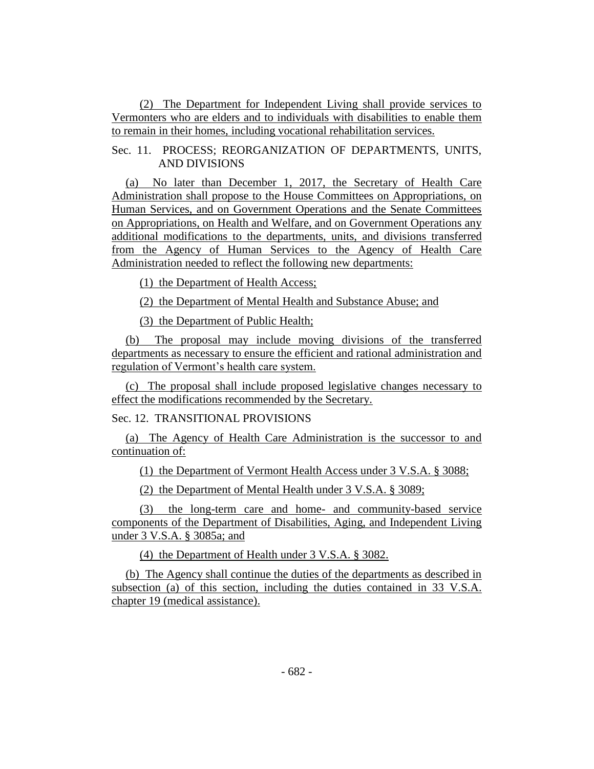(2) The Department for Independent Living shall provide services to Vermonters who are elders and to individuals with disabilities to enable them to remain in their homes, including vocational rehabilitation services.

Sec. 11. PROCESS; REORGANIZATION OF DEPARTMENTS, UNITS, AND DIVISIONS

(a) No later than December 1, 2017, the Secretary of Health Care Administration shall propose to the House Committees on Appropriations, on Human Services, and on Government Operations and the Senate Committees on Appropriations, on Health and Welfare, and on Government Operations any additional modifications to the departments, units, and divisions transferred from the Agency of Human Services to the Agency of Health Care Administration needed to reflect the following new departments:

(1) the Department of Health Access;

(2) the Department of Mental Health and Substance Abuse; and

(3) the Department of Public Health;

(b) The proposal may include moving divisions of the transferred departments as necessary to ensure the efficient and rational administration and regulation of Vermont's health care system.

(c) The proposal shall include proposed legislative changes necessary to effect the modifications recommended by the Secretary.

Sec. 12. TRANSITIONAL PROVISIONS

(a) The Agency of Health Care Administration is the successor to and continuation of:

(1) the Department of Vermont Health Access under 3 V.S.A. § 3088;

(2) the Department of Mental Health under 3 V.S.A. § 3089;

(3) the long-term care and home- and community-based service components of the Department of Disabilities, Aging, and Independent Living under 3 V.S.A. § 3085a; and

(4) the Department of Health under 3 V.S.A. § 3082.

(b) The Agency shall continue the duties of the departments as described in subsection (a) of this section, including the duties contained in 33 V.S.A. chapter 19 (medical assistance).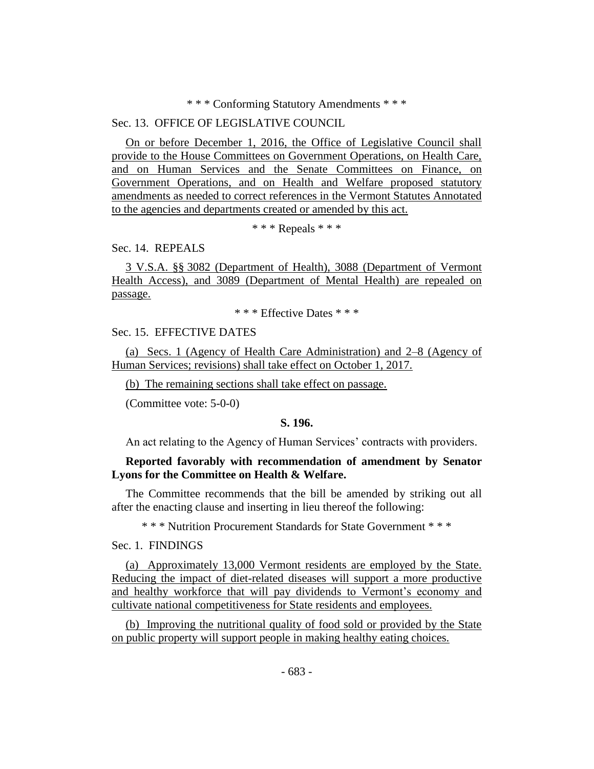#### \* \* \* Conforming Statutory Amendments \* \* \*

### Sec. 13. OFFICE OF LEGISLATIVE COUNCIL

On or before December 1, 2016, the Office of Legislative Council shall provide to the House Committees on Government Operations, on Health Care, and on Human Services and the Senate Committees on Finance, on Government Operations, and on Health and Welfare proposed statutory amendments as needed to correct references in the Vermont Statutes Annotated to the agencies and departments created or amended by this act.

\* \* \* Repeals \* \* \*

Sec. 14. REPEALS

3 V.S.A. §§ 3082 (Department of Health), 3088 (Department of Vermont Health Access), and 3089 (Department of Mental Health) are repealed on passage.

\* \* \* Effective Dates \* \* \*

## Sec. 15. EFFECTIVE DATES

(a) Secs. 1 (Agency of Health Care Administration) and 2–8 (Agency of Human Services; revisions) shall take effect on October 1, 2017.

(b) The remaining sections shall take effect on passage.

(Committee vote: 5-0-0)

#### **S. 196.**

An act relating to the Agency of Human Services' contracts with providers.

# **Reported favorably with recommendation of amendment by Senator Lyons for the Committee on Health & Welfare.**

The Committee recommends that the bill be amended by striking out all after the enacting clause and inserting in lieu thereof the following:

\* \* \* Nutrition Procurement Standards for State Government \* \* \*

Sec. 1. FINDINGS

(a) Approximately 13,000 Vermont residents are employed by the State. Reducing the impact of diet-related diseases will support a more productive and healthy workforce that will pay dividends to Vermont's economy and cultivate national competitiveness for State residents and employees.

(b) Improving the nutritional quality of food sold or provided by the State on public property will support people in making healthy eating choices.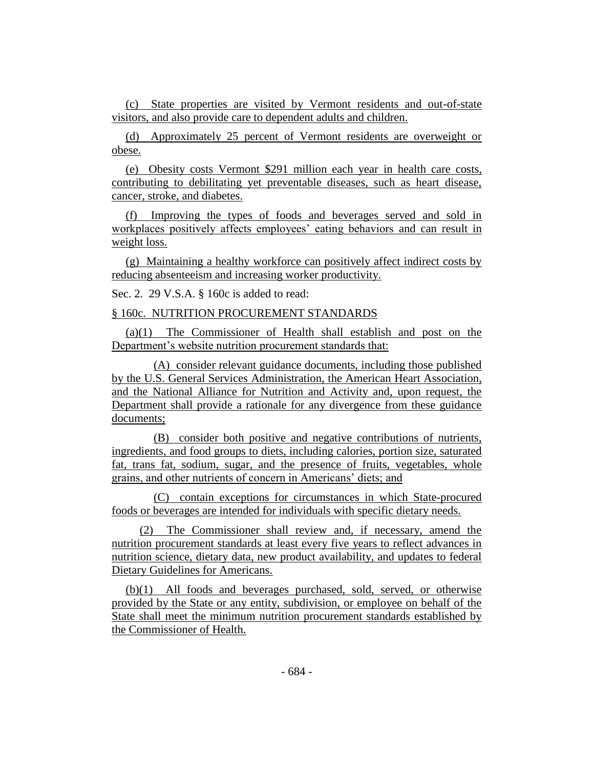(c) State properties are visited by Vermont residents and out-of-state visitors, and also provide care to dependent adults and children.

(d) Approximately 25 percent of Vermont residents are overweight or obese.

(e) Obesity costs Vermont \$291 million each year in health care costs, contributing to debilitating yet preventable diseases, such as heart disease, cancer, stroke, and diabetes.

(f) Improving the types of foods and beverages served and sold in workplaces positively affects employees' eating behaviors and can result in weight loss.

(g) Maintaining a healthy workforce can positively affect indirect costs by reducing absenteeism and increasing worker productivity.

Sec. 2. 29 V.S.A. § 160c is added to read:

#### § 160c. NUTRITION PROCUREMENT STANDARDS

(a)(1) The Commissioner of Health shall establish and post on the Department's website nutrition procurement standards that:

(A) consider relevant guidance documents, including those published by the U.S. General Services Administration, the American Heart Association, and the National Alliance for Nutrition and Activity and, upon request, the Department shall provide a rationale for any divergence from these guidance documents;

(B) consider both positive and negative contributions of nutrients, ingredients, and food groups to diets, including calories, portion size, saturated fat, trans fat, sodium, sugar, and the presence of fruits, vegetables, whole grains, and other nutrients of concern in Americans' diets; and

(C) contain exceptions for circumstances in which State-procured foods or beverages are intended for individuals with specific dietary needs.

(2) The Commissioner shall review and, if necessary, amend the nutrition procurement standards at least every five years to reflect advances in nutrition science, dietary data, new product availability, and updates to federal Dietary Guidelines for Americans.

(b)(1) All foods and beverages purchased, sold, served, or otherwise provided by the State or any entity, subdivision, or employee on behalf of the State shall meet the minimum nutrition procurement standards established by the Commissioner of Health.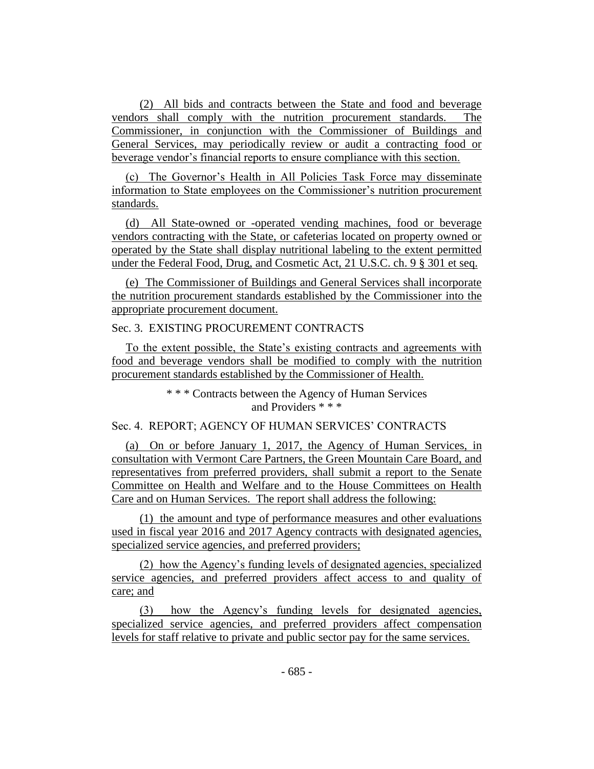(2) All bids and contracts between the State and food and beverage vendors shall comply with the nutrition procurement standards. The Commissioner, in conjunction with the Commissioner of Buildings and General Services, may periodically review or audit a contracting food or beverage vendor's financial reports to ensure compliance with this section.

(c) The Governor's Health in All Policies Task Force may disseminate information to State employees on the Commissioner's nutrition procurement standards.

(d) All State-owned or -operated vending machines, food or beverage vendors contracting with the State, or cafeterias located on property owned or operated by the State shall display nutritional labeling to the extent permitted under the Federal Food, Drug, and Cosmetic Act, 21 U.S.C. ch. 9 § 301 et seq.

(e) The Commissioner of Buildings and General Services shall incorporate the nutrition procurement standards established by the Commissioner into the appropriate procurement document.

# Sec. 3. EXISTING PROCUREMENT CONTRACTS

To the extent possible, the State's existing contracts and agreements with food and beverage vendors shall be modified to comply with the nutrition procurement standards established by the Commissioner of Health.

> \* \* \* Contracts between the Agency of Human Services and Providers \* \* \*

# Sec. 4. REPORT; AGENCY OF HUMAN SERVICES' CONTRACTS

(a) On or before January 1, 2017, the Agency of Human Services, in consultation with Vermont Care Partners, the Green Mountain Care Board, and representatives from preferred providers, shall submit a report to the Senate Committee on Health and Welfare and to the House Committees on Health Care and on Human Services. The report shall address the following:

(1) the amount and type of performance measures and other evaluations used in fiscal year 2016 and 2017 Agency contracts with designated agencies, specialized service agencies, and preferred providers;

(2) how the Agency's funding levels of designated agencies, specialized service agencies, and preferred providers affect access to and quality of care; and

(3) how the Agency's funding levels for designated agencies, specialized service agencies, and preferred providers affect compensation levels for staff relative to private and public sector pay for the same services.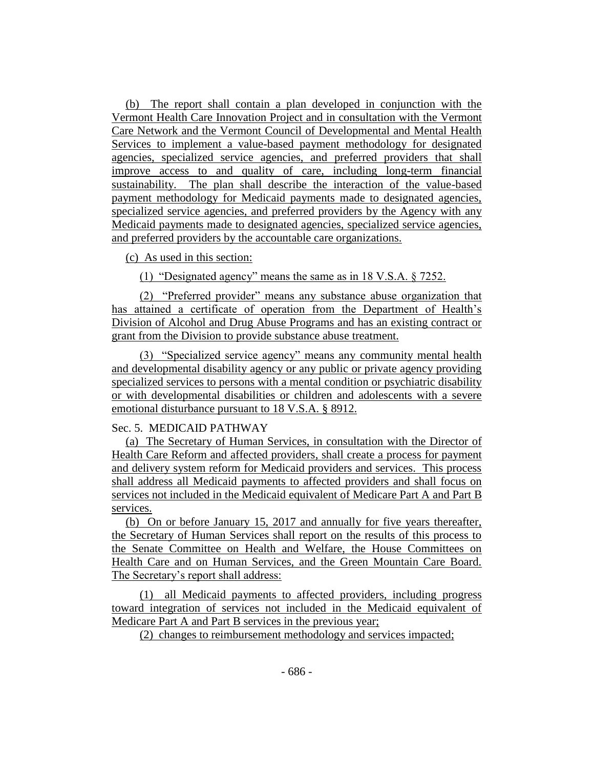(b) The report shall contain a plan developed in conjunction with the Vermont Health Care Innovation Project and in consultation with the Vermont Care Network and the Vermont Council of Developmental and Mental Health Services to implement a value-based payment methodology for designated agencies, specialized service agencies, and preferred providers that shall improve access to and quality of care, including long-term financial sustainability. The plan shall describe the interaction of the value-based payment methodology for Medicaid payments made to designated agencies, specialized service agencies, and preferred providers by the Agency with any Medicaid payments made to designated agencies, specialized service agencies, and preferred providers by the accountable care organizations.

# (c) As used in this section:

(1) "Designated agency" means the same as in 18 V.S.A. § 7252.

(2) "Preferred provider" means any substance abuse organization that has attained a certificate of operation from the Department of Health's Division of Alcohol and Drug Abuse Programs and has an existing contract or grant from the Division to provide substance abuse treatment.

(3) "Specialized service agency" means any community mental health and developmental disability agency or any public or private agency providing specialized services to persons with a mental condition or psychiatric disability or with developmental disabilities or children and adolescents with a severe emotional disturbance pursuant to 18 V.S.A. § 8912.

### Sec. 5. MEDICAID PATHWAY

(a) The Secretary of Human Services, in consultation with the Director of Health Care Reform and affected providers, shall create a process for payment and delivery system reform for Medicaid providers and services. This process shall address all Medicaid payments to affected providers and shall focus on services not included in the Medicaid equivalent of Medicare Part A and Part B services.

(b) On or before January 15, 2017 and annually for five years thereafter, the Secretary of Human Services shall report on the results of this process to the Senate Committee on Health and Welfare, the House Committees on Health Care and on Human Services, and the Green Mountain Care Board. The Secretary's report shall address:

(1) all Medicaid payments to affected providers, including progress toward integration of services not included in the Medicaid equivalent of Medicare Part A and Part B services in the previous year;

(2) changes to reimbursement methodology and services impacted;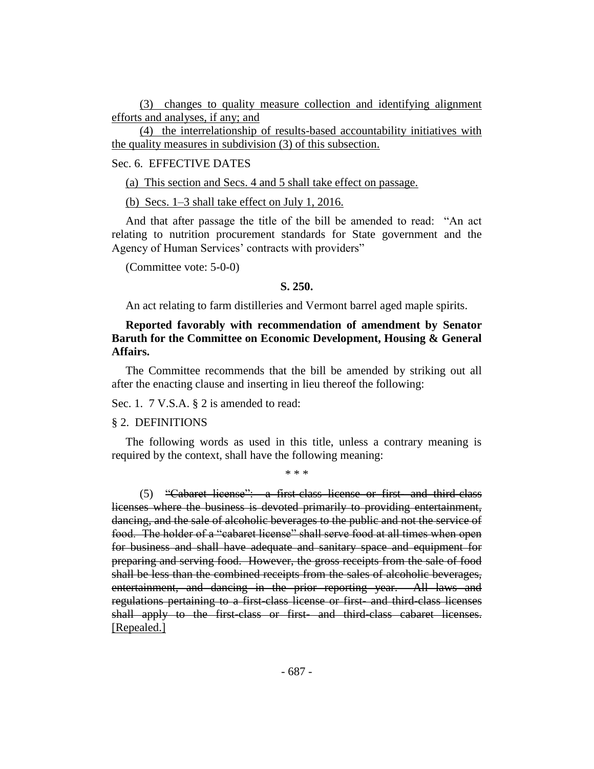(3) changes to quality measure collection and identifying alignment efforts and analyses, if any; and

(4) the interrelationship of results-based accountability initiatives with the quality measures in subdivision (3) of this subsection.

## Sec. 6. EFFECTIVE DATES

(a) This section and Secs. 4 and 5 shall take effect on passage.

(b) Secs. 1–3 shall take effect on July 1, 2016.

And that after passage the title of the bill be amended to read: "An act relating to nutrition procurement standards for State government and the Agency of Human Services' contracts with providers"

(Committee vote: 5-0-0)

#### **S. 250.**

An act relating to farm distilleries and Vermont barrel aged maple spirits.

## **Reported favorably with recommendation of amendment by Senator Baruth for the Committee on Economic Development, Housing & General Affairs.**

The Committee recommends that the bill be amended by striking out all after the enacting clause and inserting in lieu thereof the following:

Sec. 1. 7 V.S.A. § 2 is amended to read:

#### § 2. DEFINITIONS

The following words as used in this title, unless a contrary meaning is required by the context, shall have the following meaning:

\* \* \*

(5) "Cabaret license": a first-class license or first- and third-class licenses where the business is devoted primarily to providing entertainment, dancing, and the sale of alcoholic beverages to the public and not the service of food. The holder of a "cabaret license" shall serve food at all times when open for business and shall have adequate and sanitary space and equipment for preparing and serving food. However, the gross receipts from the sale of food shall be less than the combined receipts from the sales of alcoholic beverages, entertainment, and dancing in the prior reporting year. All laws and regulations pertaining to a first-class license or first- and third-class licenses shall apply to the first-class or first- and third-class cabaret licenses. [Repealed.]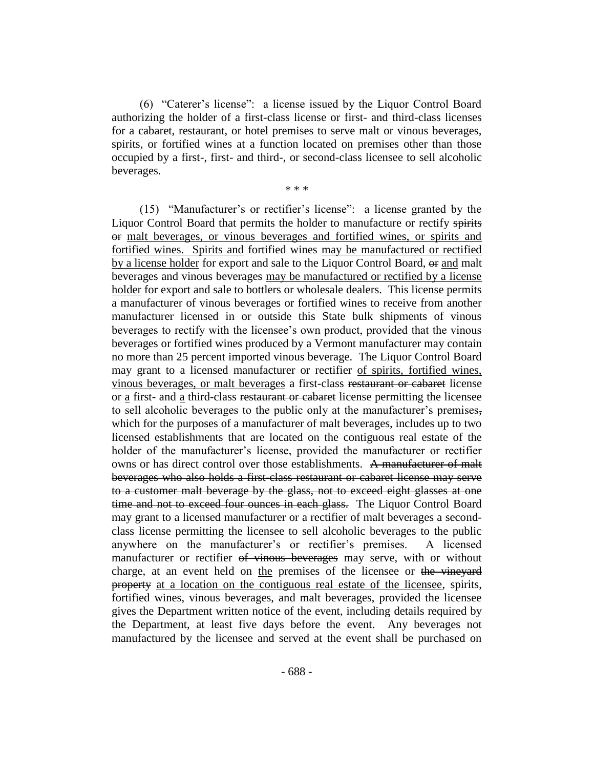(6) "Caterer's license": a license issued by the Liquor Control Board authorizing the holder of a first-class license or first- and third-class licenses for a cabaret, restaurant, or hotel premises to serve malt or vinous beverages, spirits, or fortified wines at a function located on premises other than those occupied by a first-, first- and third-, or second-class licensee to sell alcoholic beverages.

\* \* \*

(15) "Manufacturer's or rectifier's license": a license granted by the Liquor Control Board that permits the holder to manufacture or rectify spirits or malt beverages, or vinous beverages and fortified wines, or spirits and fortified wines. Spirits and fortified wines may be manufactured or rectified by a license holder for export and sale to the Liquor Control Board,  $\Theta$  and malt beverages and vinous beverages may be manufactured or rectified by a license holder for export and sale to bottlers or wholesale dealers. This license permits a manufacturer of vinous beverages or fortified wines to receive from another manufacturer licensed in or outside this State bulk shipments of vinous beverages to rectify with the licensee's own product, provided that the vinous beverages or fortified wines produced by a Vermont manufacturer may contain no more than 25 percent imported vinous beverage. The Liquor Control Board may grant to a licensed manufacturer or rectifier of spirits, fortified wines, vinous beverages, or malt beverages a first-class restaurant or cabaret license or a first- and a third-class restaurant or cabaret license permitting the licensee to sell alcoholic beverages to the public only at the manufacturer's premises, which for the purposes of a manufacturer of malt beverages, includes up to two licensed establishments that are located on the contiguous real estate of the holder of the manufacturer's license, provided the manufacturer or rectifier owns or has direct control over those establishments. A manufacturer of malt beverages who also holds a first-class restaurant or cabaret license may serve to a customer malt beverage by the glass, not to exceed eight glasses at one time and not to exceed four ounces in each glass. The Liquor Control Board may grant to a licensed manufacturer or a rectifier of malt beverages a secondclass license permitting the licensee to sell alcoholic beverages to the public anywhere on the manufacturer's or rectifier's premises. A licensed manufacturer or rectifier of vinous beverages may serve, with or without charge, at an event held on the premises of the licensee or the vineyard property at a location on the contiguous real estate of the licensee, spirits, fortified wines, vinous beverages, and malt beverages, provided the licensee gives the Department written notice of the event, including details required by the Department, at least five days before the event. Any beverages not manufactured by the licensee and served at the event shall be purchased on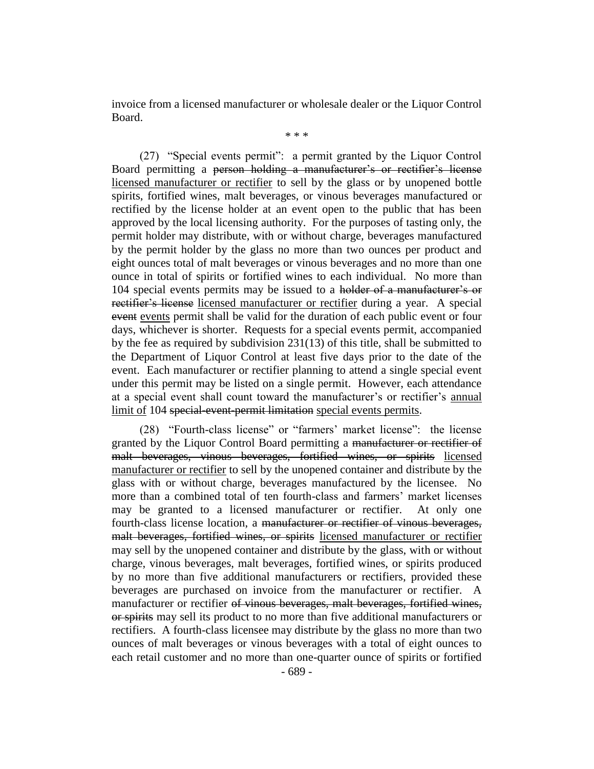invoice from a licensed manufacturer or wholesale dealer or the Liquor Control Board.

\* \* \*

(27) "Special events permit": a permit granted by the Liquor Control Board permitting a person holding a manufacturer's or rectifier's license licensed manufacturer or rectifier to sell by the glass or by unopened bottle spirits, fortified wines, malt beverages, or vinous beverages manufactured or rectified by the license holder at an event open to the public that has been approved by the local licensing authority. For the purposes of tasting only, the permit holder may distribute, with or without charge, beverages manufactured by the permit holder by the glass no more than two ounces per product and eight ounces total of malt beverages or vinous beverages and no more than one ounce in total of spirits or fortified wines to each individual. No more than 104 special events permits may be issued to a holder of a manufacturer's or rectifier's license licensed manufacturer or rectifier during a year. A special event events permit shall be valid for the duration of each public event or four days, whichever is shorter. Requests for a special events permit, accompanied by the fee as required by subdivision 231(13) of this title, shall be submitted to the Department of Liquor Control at least five days prior to the date of the event. Each manufacturer or rectifier planning to attend a single special event under this permit may be listed on a single permit. However, each attendance at a special event shall count toward the manufacturer's or rectifier's annual limit of 104 special-event-permit limitation special events permits.

(28) "Fourth-class license" or "farmers' market license": the license granted by the Liquor Control Board permitting a manufacturer or rectifier of malt beverages, vinous beverages, fortified wines, or spirits licensed manufacturer or rectifier to sell by the unopened container and distribute by the glass with or without charge, beverages manufactured by the licensee. No more than a combined total of ten fourth-class and farmers' market licenses may be granted to a licensed manufacturer or rectifier. At only one fourth-class license location, a manufacturer or rectifier of vinous beverages, malt beverages, fortified wines, or spirits licensed manufacturer or rectifier may sell by the unopened container and distribute by the glass, with or without charge, vinous beverages, malt beverages, fortified wines, or spirits produced by no more than five additional manufacturers or rectifiers, provided these beverages are purchased on invoice from the manufacturer or rectifier. A manufacturer or rectifier of vinous beverages, malt beverages, fortified wines, or spirits may sell its product to no more than five additional manufacturers or rectifiers. A fourth-class licensee may distribute by the glass no more than two ounces of malt beverages or vinous beverages with a total of eight ounces to each retail customer and no more than one-quarter ounce of spirits or fortified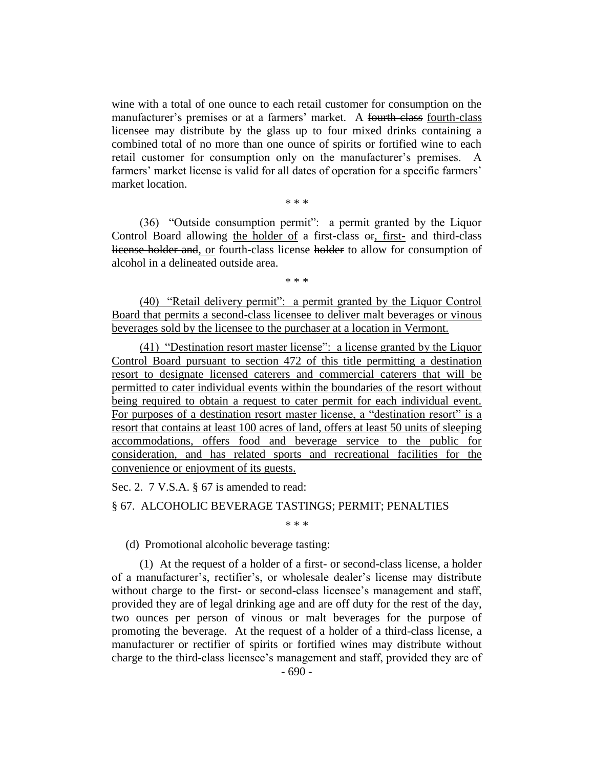wine with a total of one ounce to each retail customer for consumption on the manufacturer's premises or at a farmers' market. A fourth-class fourth-class licensee may distribute by the glass up to four mixed drinks containing a combined total of no more than one ounce of spirits or fortified wine to each retail customer for consumption only on the manufacturer's premises. A farmers' market license is valid for all dates of operation for a specific farmers' market location.

\* \* \*

(36) "Outside consumption permit": a permit granted by the Liquor Control Board allowing the holder of a first-class or, first- and third-class license holder and, or fourth-class license holder to allow for consumption of alcohol in a delineated outside area.

\* \* \*

(40) "Retail delivery permit": a permit granted by the Liquor Control Board that permits a second-class licensee to deliver malt beverages or vinous beverages sold by the licensee to the purchaser at a location in Vermont.

(41) "Destination resort master license": a license granted by the Liquor Control Board pursuant to section 472 of this title permitting a destination resort to designate licensed caterers and commercial caterers that will be permitted to cater individual events within the boundaries of the resort without being required to obtain a request to cater permit for each individual event. For purposes of a destination resort master license, a "destination resort" is a resort that contains at least 100 acres of land, offers at least 50 units of sleeping accommodations, offers food and beverage service to the public for consideration, and has related sports and recreational facilities for the convenience or enjoyment of its guests.

Sec. 2. 7 V.S.A. § 67 is amended to read:

### § 67. ALCOHOLIC BEVERAGE TASTINGS; PERMIT; PENALTIES

\* \* \*

(d) Promotional alcoholic beverage tasting:

(1) At the request of a holder of a first- or second-class license, a holder of a manufacturer's, rectifier's, or wholesale dealer's license may distribute without charge to the first- or second-class licensee's management and staff, provided they are of legal drinking age and are off duty for the rest of the day, two ounces per person of vinous or malt beverages for the purpose of promoting the beverage. At the request of a holder of a third-class license, a manufacturer or rectifier of spirits or fortified wines may distribute without charge to the third-class licensee's management and staff, provided they are of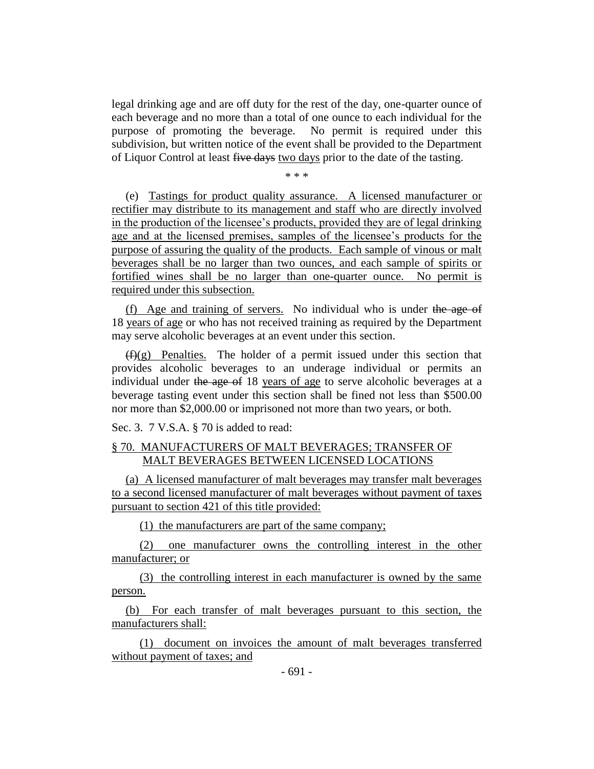legal drinking age and are off duty for the rest of the day, one-quarter ounce of each beverage and no more than a total of one ounce to each individual for the purpose of promoting the beverage. No permit is required under this subdivision, but written notice of the event shall be provided to the Department of Liquor Control at least five days two days prior to the date of the tasting.

\* \* \*

(e) Tastings for product quality assurance. A licensed manufacturer or rectifier may distribute to its management and staff who are directly involved in the production of the licensee's products, provided they are of legal drinking age and at the licensed premises, samples of the licensee's products for the purpose of assuring the quality of the products. Each sample of vinous or malt beverages shall be no larger than two ounces, and each sample of spirits or fortified wines shall be no larger than one-quarter ounce. No permit is required under this subsection.

(f) Age and training of servers. No individual who is under the age of 18 years of age or who has not received training as required by the Department may serve alcoholic beverages at an event under this section.

 $(f)(g)$  Penalties. The holder of a permit issued under this section that provides alcoholic beverages to an underage individual or permits an individual under the age of 18 years of age to serve alcoholic beverages at a beverage tasting event under this section shall be fined not less than \$500.00 nor more than \$2,000.00 or imprisoned not more than two years, or both.

Sec. 3. 7 V.S.A. § 70 is added to read:

## § 70. MANUFACTURERS OF MALT BEVERAGES; TRANSFER OF MALT BEVERAGES BETWEEN LICENSED LOCATIONS

(a) A licensed manufacturer of malt beverages may transfer malt beverages to a second licensed manufacturer of malt beverages without payment of taxes pursuant to section 421 of this title provided:

(1) the manufacturers are part of the same company;

(2) one manufacturer owns the controlling interest in the other manufacturer; or

(3) the controlling interest in each manufacturer is owned by the same person.

(b) For each transfer of malt beverages pursuant to this section, the manufacturers shall:

(1) document on invoices the amount of malt beverages transferred without payment of taxes; and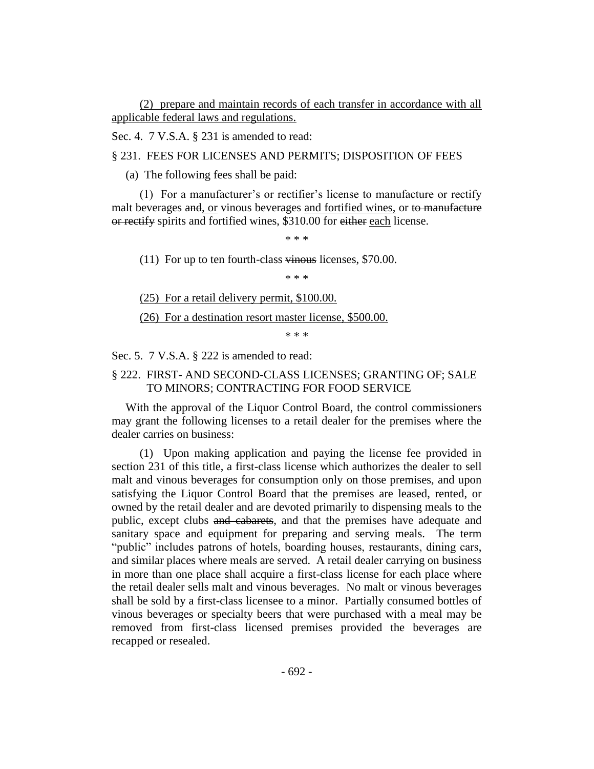(2) prepare and maintain records of each transfer in accordance with all applicable federal laws and regulations.

Sec. 4. 7 V.S.A. § 231 is amended to read:

§ 231. FEES FOR LICENSES AND PERMITS; DISPOSITION OF FEES

(a) The following fees shall be paid:

(1) For a manufacturer's or rectifier's license to manufacture or rectify malt beverages and, or vinous beverages and fortified wines, or to manufacture or rectify spirits and fortified wines, \$310.00 for either each license.

\* \* \*

(11) For up to ten fourth-class  $\overline{\text{v}}$  in equations licenses, \$70.00.

\* \* \*

(25) For a retail delivery permit, \$100.00.

(26) For a destination resort master license, \$500.00.

\* \* \*

Sec. 5. 7 V.S.A. § 222 is amended to read:

# § 222. FIRST- AND SECOND-CLASS LICENSES; GRANTING OF; SALE TO MINORS; CONTRACTING FOR FOOD SERVICE

With the approval of the Liquor Control Board, the control commissioners may grant the following licenses to a retail dealer for the premises where the dealer carries on business:

(1) Upon making application and paying the license fee provided in section 231 of this title, a first-class license which authorizes the dealer to sell malt and vinous beverages for consumption only on those premises, and upon satisfying the Liquor Control Board that the premises are leased, rented, or owned by the retail dealer and are devoted primarily to dispensing meals to the public, except clubs and cabarets, and that the premises have adequate and sanitary space and equipment for preparing and serving meals. The term "public" includes patrons of hotels, boarding houses, restaurants, dining cars, and similar places where meals are served. A retail dealer carrying on business in more than one place shall acquire a first-class license for each place where the retail dealer sells malt and vinous beverages. No malt or vinous beverages shall be sold by a first-class licensee to a minor. Partially consumed bottles of vinous beverages or specialty beers that were purchased with a meal may be removed from first-class licensed premises provided the beverages are recapped or resealed.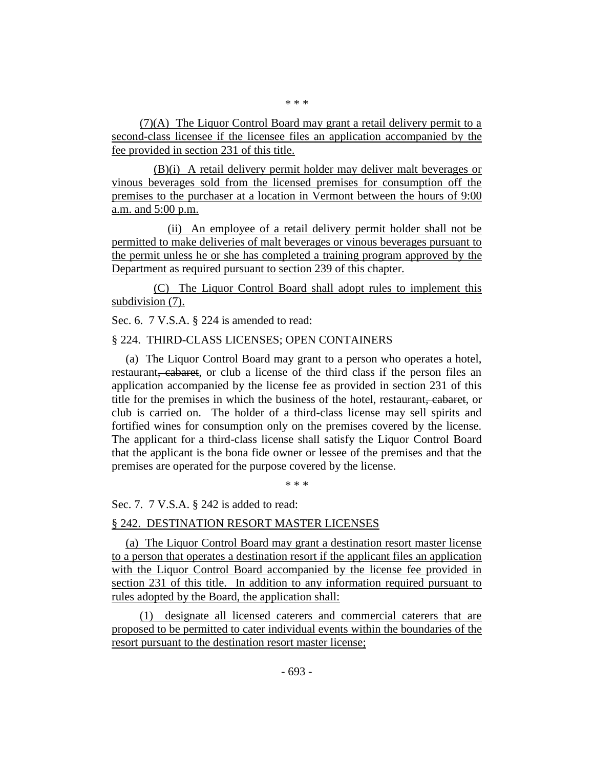(7)(A) The Liquor Control Board may grant a retail delivery permit to a second-class licensee if the licensee files an application accompanied by the fee provided in section 231 of this title.

(B)(i) A retail delivery permit holder may deliver malt beverages or vinous beverages sold from the licensed premises for consumption off the premises to the purchaser at a location in Vermont between the hours of 9:00 a.m. and 5:00 p.m.

(ii) An employee of a retail delivery permit holder shall not be permitted to make deliveries of malt beverages or vinous beverages pursuant to the permit unless he or she has completed a training program approved by the Department as required pursuant to section 239 of this chapter.

(C) The Liquor Control Board shall adopt rules to implement this subdivision (7).

Sec. 6. 7 V.S.A. § 224 is amended to read:

#### § 224. THIRD-CLASS LICENSES; OPEN CONTAINERS

(a) The Liquor Control Board may grant to a person who operates a hotel, restaurant, cabaret, or club a license of the third class if the person files an application accompanied by the license fee as provided in section 231 of this title for the premises in which the business of the hotel, restaurant, cabaret, or club is carried on. The holder of a third-class license may sell spirits and fortified wines for consumption only on the premises covered by the license. The applicant for a third-class license shall satisfy the Liquor Control Board that the applicant is the bona fide owner or lessee of the premises and that the premises are operated for the purpose covered by the license.

\* \* \*

Sec. 7. 7 V.S.A. § 242 is added to read:

### § 242. DESTINATION RESORT MASTER LICENSES

(a) The Liquor Control Board may grant a destination resort master license to a person that operates a destination resort if the applicant files an application with the Liquor Control Board accompanied by the license fee provided in section 231 of this title. In addition to any information required pursuant to rules adopted by the Board, the application shall:

(1) designate all licensed caterers and commercial caterers that are proposed to be permitted to cater individual events within the boundaries of the resort pursuant to the destination resort master license;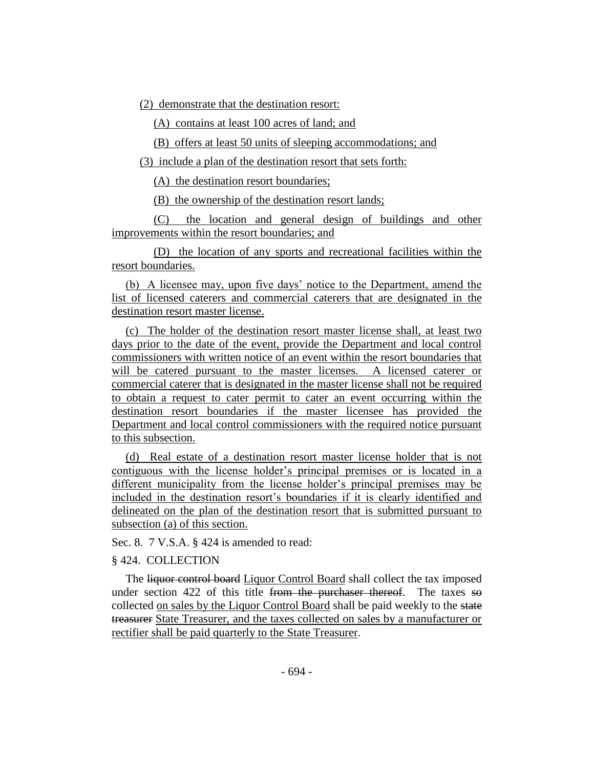(2) demonstrate that the destination resort:

(A) contains at least 100 acres of land; and

(B) offers at least 50 units of sleeping accommodations; and

(3) include a plan of the destination resort that sets forth:

(A) the destination resort boundaries;

(B) the ownership of the destination resort lands;

(C) the location and general design of buildings and other improvements within the resort boundaries; and

(D) the location of any sports and recreational facilities within the resort boundaries.

(b) A licensee may, upon five days' notice to the Department, amend the list of licensed caterers and commercial caterers that are designated in the destination resort master license.

(c) The holder of the destination resort master license shall, at least two days prior to the date of the event, provide the Department and local control commissioners with written notice of an event within the resort boundaries that will be catered pursuant to the master licenses. A licensed caterer or commercial caterer that is designated in the master license shall not be required to obtain a request to cater permit to cater an event occurring within the destination resort boundaries if the master licensee has provided the Department and local control commissioners with the required notice pursuant to this subsection.

(d) Real estate of a destination resort master license holder that is not contiguous with the license holder's principal premises or is located in a different municipality from the license holder's principal premises may be included in the destination resort's boundaries if it is clearly identified and delineated on the plan of the destination resort that is submitted pursuant to subsection (a) of this section.

Sec. 8. 7 V.S.A. § 424 is amended to read:

# § 424. COLLECTION

The liquor control board Liquor Control Board shall collect the tax imposed under section  $422$  of this title from the purchaser thereof. The taxes so collected on sales by the Liquor Control Board shall be paid weekly to the state treasurer State Treasurer, and the taxes collected on sales by a manufacturer or rectifier shall be paid quarterly to the State Treasurer.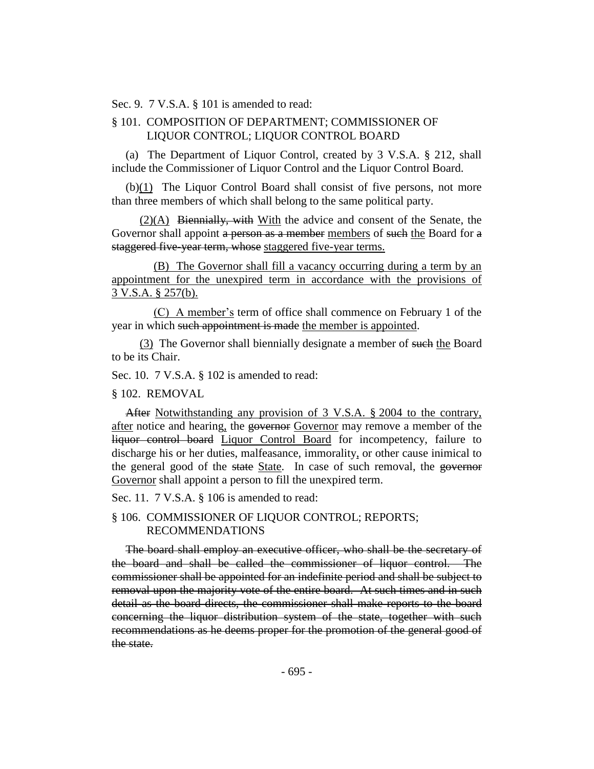Sec. 9. 7 V.S.A. § 101 is amended to read:

## § 101. COMPOSITION OF DEPARTMENT; COMMISSIONER OF LIQUOR CONTROL; LIQUOR CONTROL BOARD

(a) The Department of Liquor Control, created by 3 V.S.A. § 212, shall include the Commissioner of Liquor Control and the Liquor Control Board.

(b)(1) The Liquor Control Board shall consist of five persons, not more than three members of which shall belong to the same political party.

 $(2)(A)$  Biennially, with With the advice and consent of the Senate, the Governor shall appoint a person as a member members of such the Board for a staggered five-year term, whose staggered five-year terms.

(B) The Governor shall fill a vacancy occurring during a term by an appointment for the unexpired term in accordance with the provisions of 3 V.S.A. § 257(b).

(C) A member's term of office shall commence on February 1 of the year in which such appointment is made the member is appointed.

(3) The Governor shall biennially designate a member of such the Board to be its Chair.

Sec. 10. 7 V.S.A. § 102 is amended to read:

§ 102. REMOVAL

After Notwithstanding any provision of 3 V.S.A. § 2004 to the contrary, after notice and hearing, the governor Governor may remove a member of the liquor control board Liquor Control Board for incompetency, failure to discharge his or her duties, malfeasance, immorality, or other cause inimical to the general good of the state State. In case of such removal, the governor Governor shall appoint a person to fill the unexpired term.

Sec. 11. 7 V.S.A. § 106 is amended to read:

§ 106. COMMISSIONER OF LIQUOR CONTROL; REPORTS; RECOMMENDATIONS

The board shall employ an executive officer, who shall be the secretary of the board and shall be called the commissioner of liquor control. The commissioner shall be appointed for an indefinite period and shall be subject to removal upon the majority vote of the entire board. At such times and in such detail as the board directs, the commissioner shall make reports to the board concerning the liquor distribution system of the state, together with such recommendations as he deems proper for the promotion of the general good of the state.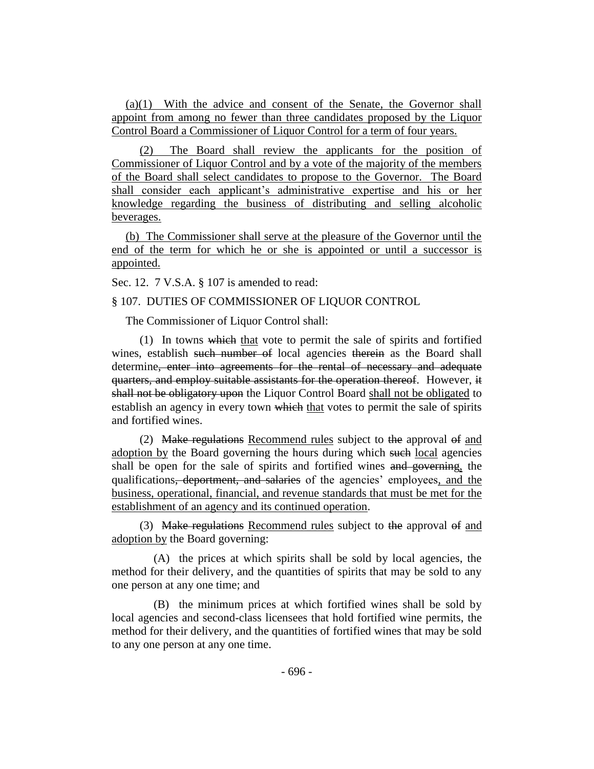(a)(1) With the advice and consent of the Senate, the Governor shall appoint from among no fewer than three candidates proposed by the Liquor Control Board a Commissioner of Liquor Control for a term of four years.

(2) The Board shall review the applicants for the position of Commissioner of Liquor Control and by a vote of the majority of the members of the Board shall select candidates to propose to the Governor. The Board shall consider each applicant's administrative expertise and his or her knowledge regarding the business of distributing and selling alcoholic beverages.

(b) The Commissioner shall serve at the pleasure of the Governor until the end of the term for which he or she is appointed or until a successor is appointed.

Sec. 12. 7 V.S.A. § 107 is amended to read:

§ 107. DUTIES OF COMMISSIONER OF LIQUOR CONTROL

The Commissioner of Liquor Control shall:

(1) In towns which that vote to permit the sale of spirits and fortified wines, establish such number of local agencies therein as the Board shall determine, enter into agreements for the rental of necessary and adequate quarters, and employ suitable assistants for the operation thereof. However, it shall not be obligatory upon the Liquor Control Board shall not be obligated to establish an agency in every town which that votes to permit the sale of spirits and fortified wines.

(2) Make regulations Recommend rules subject to the approval of and adoption by the Board governing the hours during which such local agencies shall be open for the sale of spirits and fortified wines and governing, the qualifications, deportment, and salaries of the agencies' employees, and the business, operational, financial, and revenue standards that must be met for the establishment of an agency and its continued operation.

(3) Make regulations Recommend rules subject to the approval of and adoption by the Board governing:

(A) the prices at which spirits shall be sold by local agencies, the method for their delivery, and the quantities of spirits that may be sold to any one person at any one time; and

(B) the minimum prices at which fortified wines shall be sold by local agencies and second-class licensees that hold fortified wine permits, the method for their delivery, and the quantities of fortified wines that may be sold to any one person at any one time.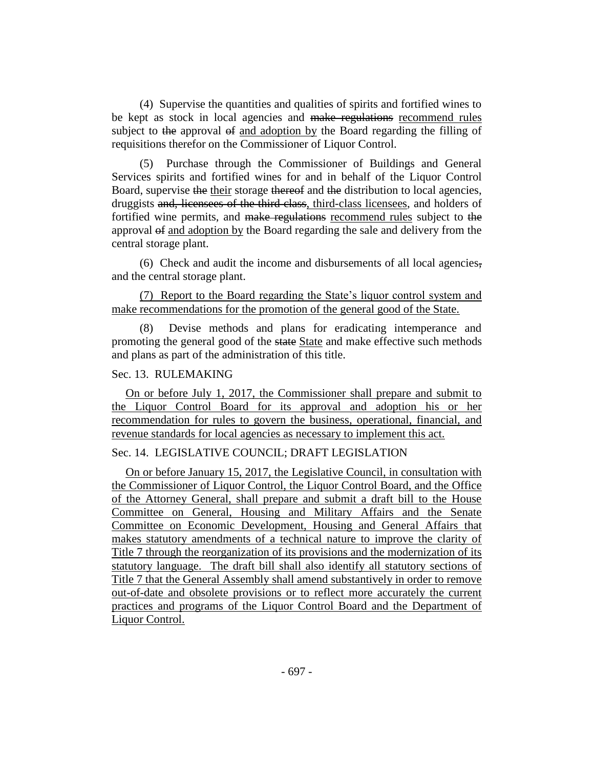(4) Supervise the quantities and qualities of spirits and fortified wines to be kept as stock in local agencies and make regulations recommend rules subject to the approval of and adoption by the Board regarding the filling of requisitions therefor on the Commissioner of Liquor Control.

(5) Purchase through the Commissioner of Buildings and General Services spirits and fortified wines for and in behalf of the Liquor Control Board, supervise the their storage thereof and the distribution to local agencies, druggists and, licensees of the third class, third-class licensees, and holders of fortified wine permits, and make regulations recommend rules subject to the approval of and adoption by the Board regarding the sale and delivery from the central storage plant.

(6) Check and audit the income and disbursements of all local agencies, and the central storage plant.

(7) Report to the Board regarding the State's liquor control system and make recommendations for the promotion of the general good of the State.

(8) Devise methods and plans for eradicating intemperance and promoting the general good of the state State and make effective such methods and plans as part of the administration of this title.

## Sec. 13. RULEMAKING

On or before July 1, 2017, the Commissioner shall prepare and submit to the Liquor Control Board for its approval and adoption his or her recommendation for rules to govern the business, operational, financial, and revenue standards for local agencies as necessary to implement this act.

## Sec. 14. LEGISLATIVE COUNCIL; DRAFT LEGISLATION

On or before January 15, 2017, the Legislative Council, in consultation with the Commissioner of Liquor Control, the Liquor Control Board, and the Office of the Attorney General, shall prepare and submit a draft bill to the House Committee on General, Housing and Military Affairs and the Senate Committee on Economic Development, Housing and General Affairs that makes statutory amendments of a technical nature to improve the clarity of Title 7 through the reorganization of its provisions and the modernization of its statutory language. The draft bill shall also identify all statutory sections of Title 7 that the General Assembly shall amend substantively in order to remove out-of-date and obsolete provisions or to reflect more accurately the current practices and programs of the Liquor Control Board and the Department of Liquor Control.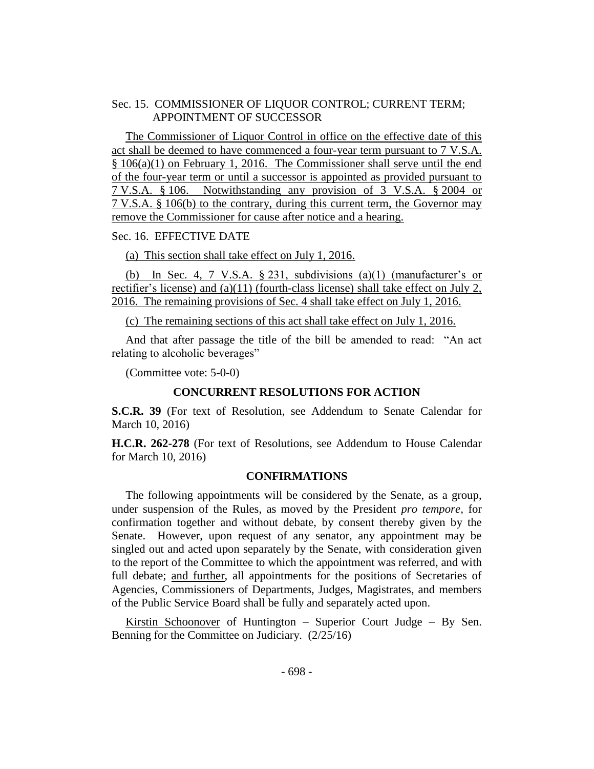## Sec. 15. COMMISSIONER OF LIQUOR CONTROL; CURRENT TERM; APPOINTMENT OF SUCCESSOR

The Commissioner of Liquor Control in office on the effective date of this act shall be deemed to have commenced a four-year term pursuant to 7 V.S.A. § 106(a)(1) on February 1, 2016. The Commissioner shall serve until the end of the four-year term or until a successor is appointed as provided pursuant to 7 V.S.A. § 106. Notwithstanding any provision of 3 V.S.A. § 2004 or 7 V.S.A. § 106(b) to the contrary, during this current term, the Governor may remove the Commissioner for cause after notice and a hearing.

## Sec. 16. EFFECTIVE DATE

### (a) This section shall take effect on July 1, 2016.

(b) In Sec. 4, 7 V.S.A.  $\S 231$ , subdivisions (a)(1) (manufacturer's or rectifier's license) and (a)(11) (fourth-class license) shall take effect on July 2, 2016. The remaining provisions of Sec. 4 shall take effect on July 1, 2016.

(c) The remaining sections of this act shall take effect on July 1, 2016.

And that after passage the title of the bill be amended to read: "An act relating to alcoholic beverages"

(Committee vote: 5-0-0)

### **CONCURRENT RESOLUTIONS FOR ACTION**

**S.C.R. 39** (For text of Resolution, see Addendum to Senate Calendar for March 10, 2016)

**H.C.R. 262-278** (For text of Resolutions, see Addendum to House Calendar for March 10, 2016)

#### **CONFIRMATIONS**

The following appointments will be considered by the Senate, as a group, under suspension of the Rules, as moved by the President *pro tempore,* for confirmation together and without debate, by consent thereby given by the Senate. However, upon request of any senator, any appointment may be singled out and acted upon separately by the Senate, with consideration given to the report of the Committee to which the appointment was referred, and with full debate; and further, all appointments for the positions of Secretaries of Agencies, Commissioners of Departments, Judges, Magistrates, and members of the Public Service Board shall be fully and separately acted upon.

Kirstin Schoonover of Huntington – Superior Court Judge – By Sen. Benning for the Committee on Judiciary. (2/25/16)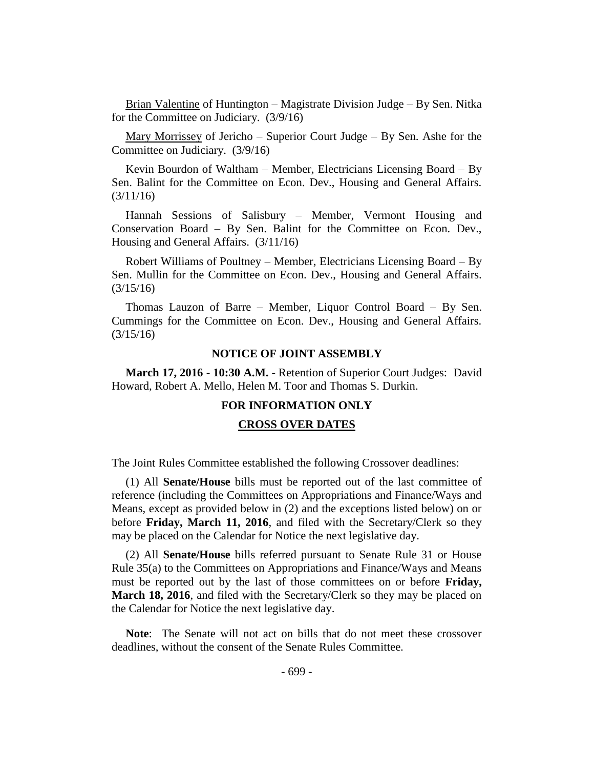Brian Valentine of Huntington – Magistrate Division Judge – By Sen. Nitka for the Committee on Judiciary. (3/9/16)

Mary Morrissey of Jericho – Superior Court Judge – By Sen. Ashe for the Committee on Judiciary. (3/9/16)

Kevin Bourdon of Waltham – Member, Electricians Licensing Board – By Sen. Balint for the Committee on Econ. Dev., Housing and General Affairs. (3/11/16)

Hannah Sessions of Salisbury – Member, Vermont Housing and Conservation Board – By Sen. Balint for the Committee on Econ. Dev., Housing and General Affairs. (3/11/16)

Robert Williams of Poultney – Member, Electricians Licensing Board – By Sen. Mullin for the Committee on Econ. Dev., Housing and General Affairs. (3/15/16)

Thomas Lauzon of Barre – Member, Liquor Control Board – By Sen. Cummings for the Committee on Econ. Dev., Housing and General Affairs. (3/15/16)

#### **NOTICE OF JOINT ASSEMBLY**

**March 17, 2016 - 10:30 A.M.** - Retention of Superior Court Judges: David Howard, Robert A. Mello, Helen M. Toor and Thomas S. Durkin.

### **FOR INFORMATION ONLY**

#### **CROSS OVER DATES**

The Joint Rules Committee established the following Crossover deadlines:

(1) All **Senate/House** bills must be reported out of the last committee of reference (including the Committees on Appropriations and Finance/Ways and Means, except as provided below in (2) and the exceptions listed below) on or before **Friday, March 11, 2016**, and filed with the Secretary/Clerk so they may be placed on the Calendar for Notice the next legislative day.

(2) All **Senate/House** bills referred pursuant to Senate Rule 31 or House Rule 35(a) to the Committees on Appropriations and Finance/Ways and Means must be reported out by the last of those committees on or before **Friday, March 18, 2016**, and filed with the Secretary/Clerk so they may be placed on the Calendar for Notice the next legislative day.

**Note**:The Senate will not act on bills that do not meet these crossover deadlines, without the consent of the Senate Rules Committee.